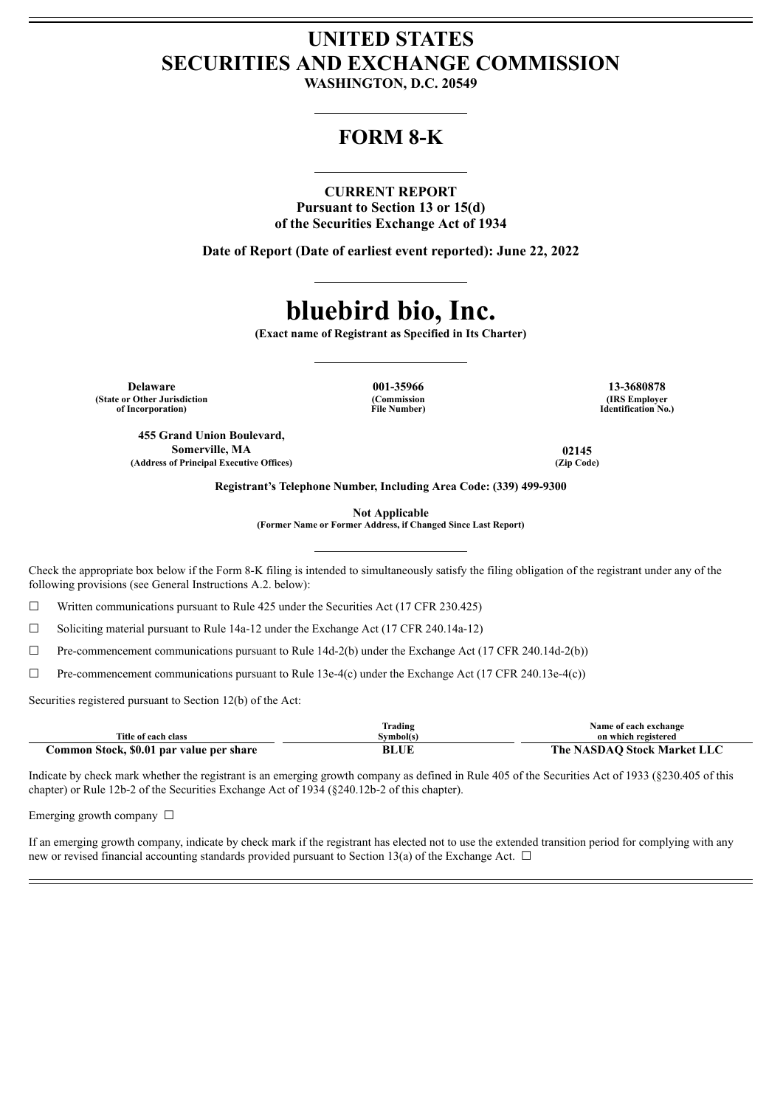# **UNITED STATES SECURITIES AND EXCHANGE COMMISSION**

**WASHINGTON, D.C. 20549**

# **FORM 8-K**

# **CURRENT REPORT**

**Pursuant to Section 13 or 15(d) of the Securities Exchange Act of 1934**

**Date of Report (Date of earliest event reported): June 22, 2022**

# **bluebird bio, Inc.**

**(Exact name of Registrant as Specified in Its Charter)**

**Delaware 001-35966 13-3680878 (State or Other Jurisdiction of Incorporation)**

**455 Grand Union Boulevard, Somerville, MA 02145 (Address of Principal Executive Offices) (Zip Code)**

**(Commission File Number)**

**(IRS Employer Identification No.)**

**Registrant's Telephone Number, Including Area Code: (339) 499-9300**

**Not Applicable**

**(Former Name or Former Address, if Changed Since Last Report)**

Check the appropriate box below if the Form 8-K filing is intended to simultaneously satisfy the filing obligation of the registrant under any of the following provisions (see General Instructions A.2. below):

 $\Box$  Written communications pursuant to Rule 425 under the Securities Act (17 CFR 230.425)

☐ Soliciting material pursuant to Rule 14a-12 under the Exchange Act (17 CFR 240.14a-12)

 $\Box$  Pre-commencement communications pursuant to Rule 14d-2(b) under the Exchange Act (17 CFR 240.14d-2(b))

 $\Box$  Pre-commencement communications pursuant to Rule 13e-4(c) under the Exchange Act (17 CFR 240.13e-4(c))

Securities registered pursuant to Section 12(b) of the Act:

|                                          | Trading   | Name of each exchange              |
|------------------------------------------|-----------|------------------------------------|
| Title of each class                      | Symbol(s) | on which registered                |
| Common Stock, \$0.01 par value per share | BLUL      | <b>The NASDAO Stock Market LLC</b> |

Indicate by check mark whether the registrant is an emerging growth company as defined in Rule 405 of the Securities Act of 1933 (§230.405 of this chapter) or Rule 12b-2 of the Securities Exchange Act of 1934 (§240.12b-2 of this chapter).

Emerging growth company  $\Box$ 

If an emerging growth company, indicate by check mark if the registrant has elected not to use the extended transition period for complying with any new or revised financial accounting standards provided pursuant to Section 13(a) of the Exchange Act.  $\Box$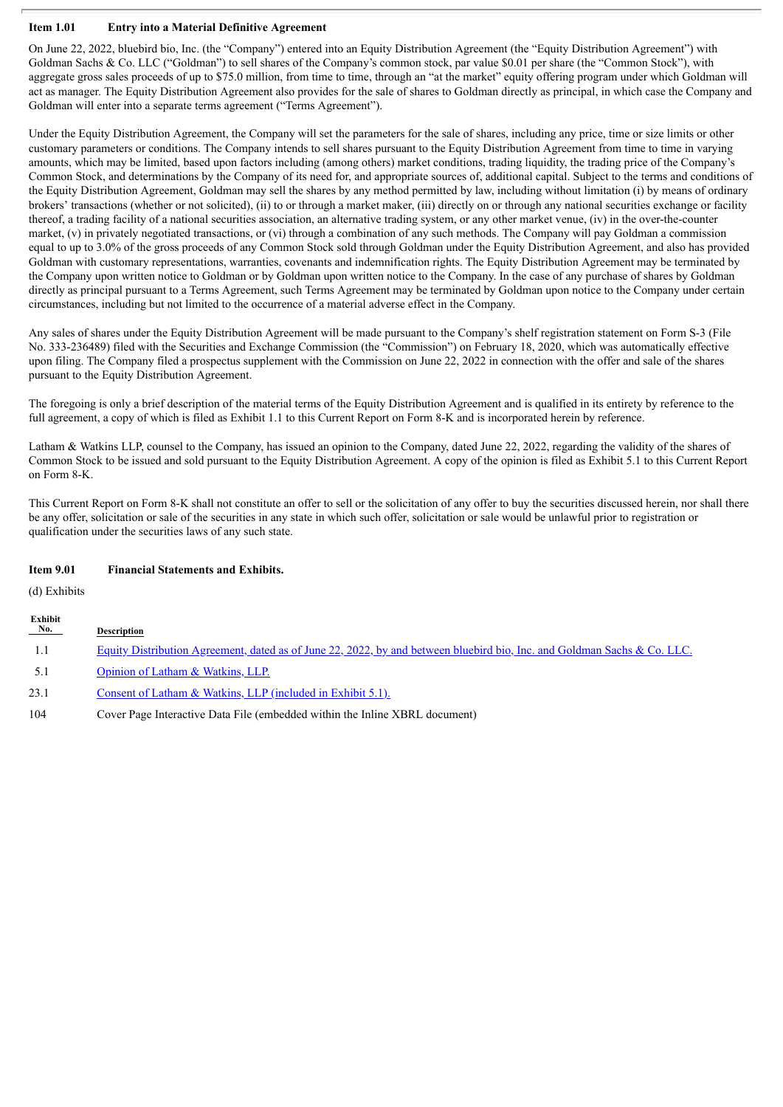# **Item 1.01 Entry into a Material Definitive Agreement**

On June 22, 2022, bluebird bio, Inc. (the "Company") entered into an Equity Distribution Agreement (the "Equity Distribution Agreement") with Goldman Sachs & Co. LLC ("Goldman") to sell shares of the Company's common stock, par value \$0.01 per share (the "Common Stock"), with aggregate gross sales proceeds of up to \$75.0 million, from time to time, through an "at the market" equity offering program under which Goldman will act as manager. The Equity Distribution Agreement also provides for the sale of shares to Goldman directly as principal, in which case the Company and Goldman will enter into a separate terms agreement ("Terms Agreement").

Under the Equity Distribution Agreement, the Company will set the parameters for the sale of shares, including any price, time or size limits or other customary parameters or conditions. The Company intends to sell shares pursuant to the Equity Distribution Agreement from time to time in varying amounts, which may be limited, based upon factors including (among others) market conditions, trading liquidity, the trading price of the Company's Common Stock, and determinations by the Company of its need for, and appropriate sources of, additional capital. Subject to the terms and conditions of the Equity Distribution Agreement, Goldman may sell the shares by any method permitted by law, including without limitation (i) by means of ordinary brokers' transactions (whether or not solicited), (ii) to or through a market maker, (iii) directly on or through any national securities exchange or facility thereof, a trading facility of a national securities association, an alternative trading system, or any other market venue, (iv) in the over-the-counter market, (v) in privately negotiated transactions, or (vi) through a combination of any such methods. The Company will pay Goldman a commission equal to up to 3.0% of the gross proceeds of any Common Stock sold through Goldman under the Equity Distribution Agreement, and also has provided Goldman with customary representations, warranties, covenants and indemnification rights. The Equity Distribution Agreement may be terminated by the Company upon written notice to Goldman or by Goldman upon written notice to the Company. In the case of any purchase of shares by Goldman directly as principal pursuant to a Terms Agreement, such Terms Agreement may be terminated by Goldman upon notice to the Company under certain circumstances, including but not limited to the occurrence of a material adverse effect in the Company.

Any sales of shares under the Equity Distribution Agreement will be made pursuant to the Company's shelf registration statement on Form S-3 (File No. 333-236489) filed with the Securities and Exchange Commission (the "Commission") on February 18, 2020, which was automatically effective upon filing. The Company filed a prospectus supplement with the Commission on June 22, 2022 in connection with the offer and sale of the shares pursuant to the Equity Distribution Agreement.

The foregoing is only a brief description of the material terms of the Equity Distribution Agreement and is qualified in its entirety by reference to the full agreement, a copy of which is filed as Exhibit 1.1 to this Current Report on Form 8-K and is incorporated herein by reference.

Latham & Watkins LLP, counsel to the Company, has issued an opinion to the Company, dated June 22, 2022, regarding the validity of the shares of Common Stock to be issued and sold pursuant to the Equity Distribution Agreement. A copy of the opinion is filed as Exhibit 5.1 to this Current Report on Form 8-K.

This Current Report on Form 8-K shall not constitute an offer to sell or the solicitation of any offer to buy the securities discussed herein, nor shall there be any offer, solicitation or sale of the securities in any state in which such offer, solicitation or sale would be unlawful prior to registration or qualification under the securities laws of any such state.

# **Item 9.01 Financial Statements and Exhibits.**

(d) Exhibits

| Exhibit<br>$N_{0.}$ | <b>Description</b>                                                                                                       |
|---------------------|--------------------------------------------------------------------------------------------------------------------------|
| - 1.1               | Equity Distribution Agreement, dated as of June 22, 2022, by and between bluebird bio, Inc. and Goldman Sachs & Co. LLC. |
| -5.1                | Opinion of Latham & Watkins, LLP.                                                                                        |
| 23.1                | Consent of Latham & Watkins, LLP (included in Exhibit 5.1).                                                              |
| 104                 | Cover Page Interactive Data File (embedded within the Inline XBRL document)                                              |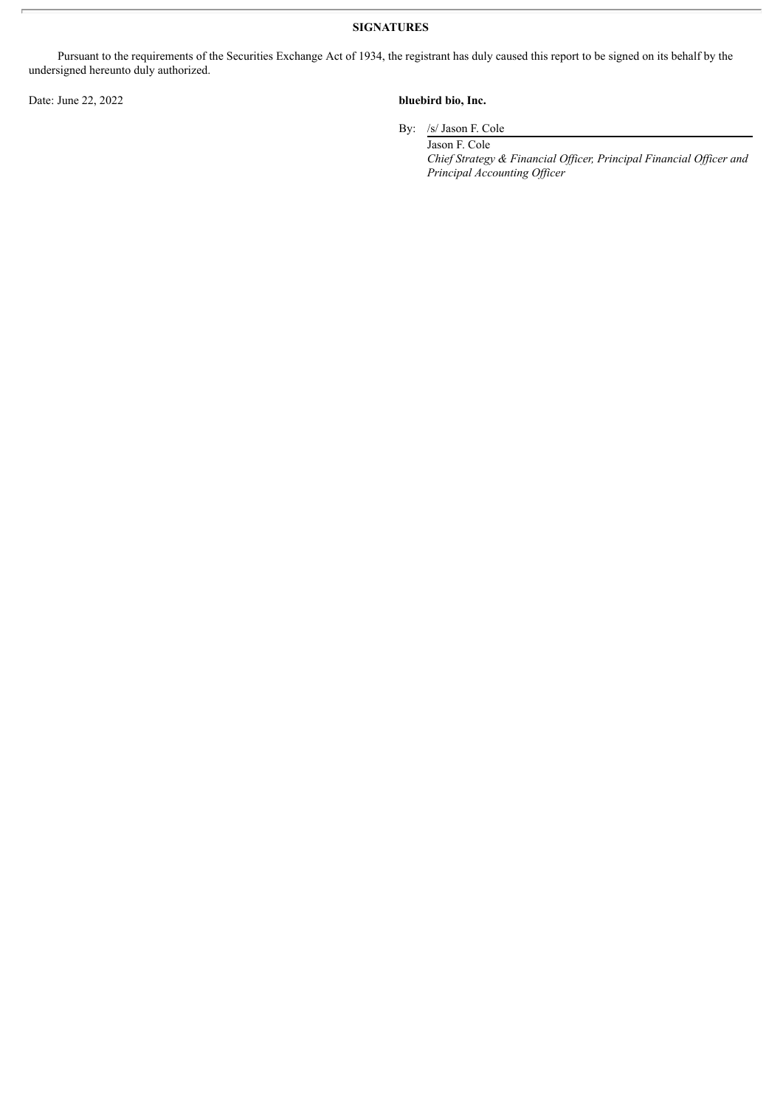**SIGNATURES**

Pursuant to the requirements of the Securities Exchange Act of 1934, the registrant has duly caused this report to be signed on its behalf by the undersigned hereunto duly authorized.

# Date: June 22, 2022 **bluebird bio, Inc.**

By: /s/ Jason F. Cole

Jason F. Cole *Chief Strategy & Financial Of icer, Principal Financial Of icer and Principal Accounting Of icer*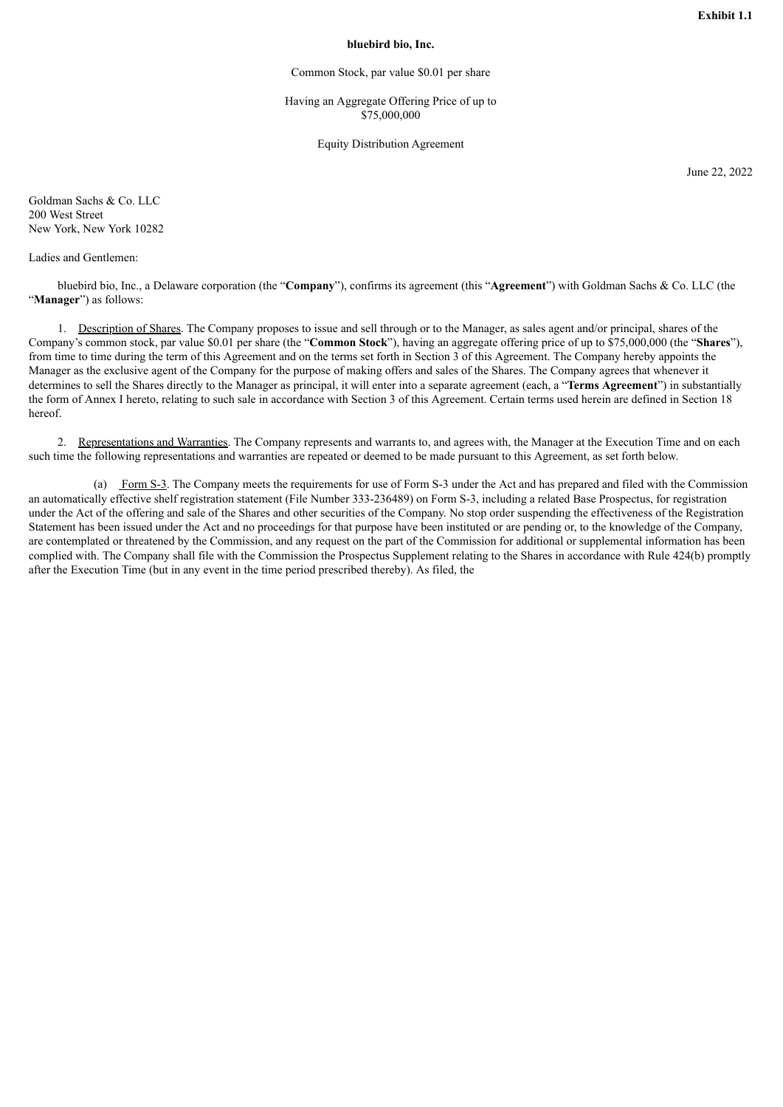# **bluebird bio, Inc.**

Common Stock, par value \$0.01 per share

Having an Aggregate Offering Price of up to \$75,000,000

Equity Distribution Agreement

June 22, 2022

<span id="page-3-0"></span>Goldman Sachs & Co. LLC 200 West Street New York, New York 10282

Ladies and Gentlemen:

bluebird bio, Inc., a Delaware corporation (the "**Company**"), confirms its agreement (this "**Agreement**") with Goldman Sachs & Co. LLC (the "**Manager**") as follows:

1. Description of Shares. The Company proposes to issue and sell through or to the Manager, as sales agent and/or principal, shares of the Company's common stock, par value \$0.01 per share (the "**Common Stock**"), having an aggregate offering price of up to \$75,000,000 (the "**Shares**"), from time to time during the term of this Agreement and on the terms set forth in Section 3 of this Agreement. The Company hereby appoints the Manager as the exclusive agent of the Company for the purpose of making offers and sales of the Shares. The Company agrees that whenever it determines to sell the Shares directly to the Manager as principal, it will enter into a separate agreement (each, a "**Terms Agreement**") in substantially the form of Annex I hereto, relating to such sale in accordance with Section 3 of this Agreement. Certain terms used herein are defined in Section 18 hereof.

2. Representations and Warranties. The Company represents and warrants to, and agrees with, the Manager at the Execution Time and on each such time the following representations and warranties are repeated or deemed to be made pursuant to this Agreement, as set forth below.

(a) Form S-3. The Company meets the requirements for use of Form S-3 under the Act and has prepared and filed with the Commission an automatically effective shelf registration statement (File Number 333-236489) on Form S-3, including a related Base Prospectus, for registration under the Act of the offering and sale of the Shares and other securities of the Company. No stop order suspending the effectiveness of the Registration Statement has been issued under the Act and no proceedings for that purpose have been instituted or are pending or, to the knowledge of the Company, are contemplated or threatened by the Commission, and any request on the part of the Commission for additional or supplemental information has been complied with. The Company shall file with the Commission the Prospectus Supplement relating to the Shares in accordance with Rule 424(b) promptly after the Execution Time (but in any event in the time period prescribed thereby). As filed, the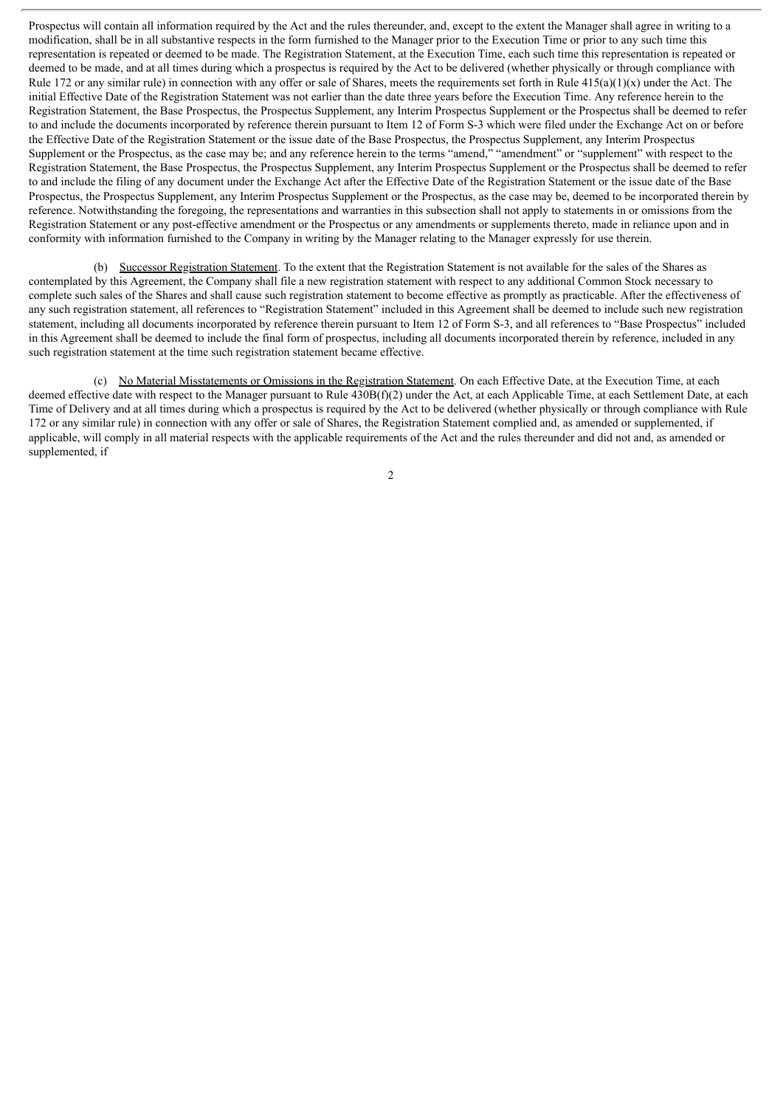Prospectus will contain all information required by the Act and the rules thereunder, and, except to the extent the Manager shall agree in writing to a modification, shall be in all substantive respects in the form furnished to the Manager prior to the Execution Time or prior to any such time this representation is repeated or deemed to be made. The Registration Statement, at the Execution Time, each such time this representation is repeated or deemed to be made, and at all times during which a prospectus is required by the Act to be delivered (whether physically or through compliance with Rule 172 or any similar rule) in connection with any offer or sale of Shares, meets the requirements set forth in Rule  $415(a)(1)(x)$  under the Act. The initial Effective Date of the Registration Statement was not earlier than the date three years before the Execution Time. Any reference herein to the Registration Statement, the Base Prospectus, the Prospectus Supplement, any Interim Prospectus Supplement or the Prospectus shall be deemed to refer to and include the documents incorporated by reference therein pursuant to Item 12 of Form S-3 which were filed under the Exchange Act on or before the Effective Date of the Registration Statement or the issue date of the Base Prospectus, the Prospectus Supplement, any Interim Prospectus Supplement or the Prospectus, as the case may be; and any reference herein to the terms "amend," "amendment" or "supplement" with respect to the Registration Statement, the Base Prospectus, the Prospectus Supplement, any Interim Prospectus Supplement or the Prospectus shall be deemed to refer to and include the filing of any document under the Exchange Act after the Effective Date of the Registration Statement or the issue date of the Base Prospectus, the Prospectus Supplement, any Interim Prospectus Supplement or the Prospectus, as the case may be, deemed to be incorporated therein by reference. Notwithstanding the foregoing, the representations and warranties in this subsection shall not apply to statements in or omissions from the Registration Statement or any post-effective amendment or the Prospectus or any amendments or supplements thereto, made in reliance upon and in conformity with information furnished to the Company in writing by the Manager relating to the Manager expressly for use therein.

(b) Successor Registration Statement. To the extent that the Registration Statement is not available for the sales of the Shares as contemplated by this Agreement, the Company shall file a new registration statement with respect to any additional Common Stock necessary to complete such sales of the Shares and shall cause such registration statement to become effective as promptly as practicable. After the effectiveness of any such registration statement, all references to "Registration Statement" included in this Agreement shall be deemed to include such new registration statement, including all documents incorporated by reference therein pursuant to Item 12 of Form S-3, and all references to "Base Prospectus" included in this Agreement shall be deemed to include the final form of prospectus, including all documents incorporated therein by reference, included in any such registration statement at the time such registration statement became effective.

(c) No Material Misstatements or Omissions in the Registration Statement. On each Effective Date, at the Execution Time, at each deemed effective date with respect to the Manager pursuant to Rule 430B(f)(2) under the Act, at each Applicable Time, at each Settlement Date, at each Time of Delivery and at all times during which a prospectus is required by the Act to be delivered (whether physically or through compliance with Rule 172 or any similar rule) in connection with any offer or sale of Shares, the Registration Statement complied and, as amended or supplemented, if applicable, will comply in all material respects with the applicable requirements of the Act and the rules thereunder and did not and, as amended or supplemented, if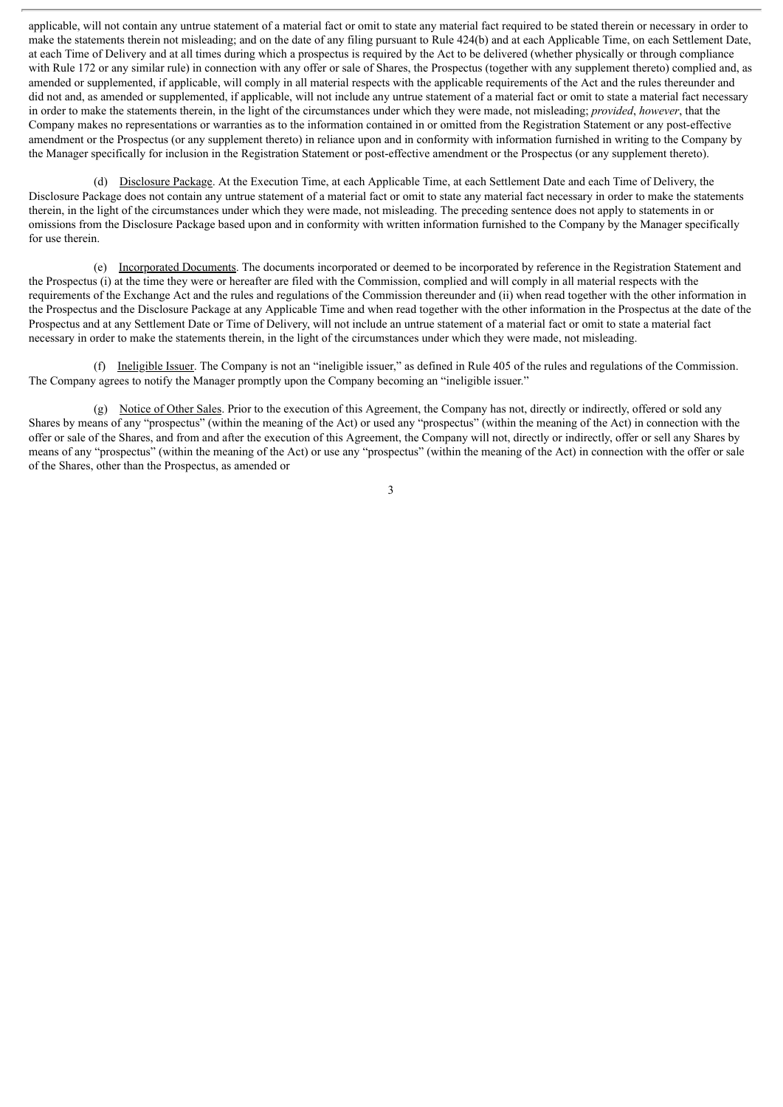applicable, will not contain any untrue statement of a material fact or omit to state any material fact required to be stated therein or necessary in order to make the statements therein not misleading; and on the date of any filing pursuant to Rule 424(b) and at each Applicable Time, on each Settlement Date, at each Time of Delivery and at all times during which a prospectus is required by the Act to be delivered (whether physically or through compliance with Rule 172 or any similar rule) in connection with any offer or sale of Shares, the Prospectus (together with any supplement thereto) complied and, as amended or supplemented, if applicable, will comply in all material respects with the applicable requirements of the Act and the rules thereunder and did not and, as amended or supplemented, if applicable, will not include any untrue statement of a material fact or omit to state a material fact necessary in order to make the statements therein, in the light of the circumstances under which they were made, not misleading; *provided*, *however*, that the Company makes no representations or warranties as to the information contained in or omitted from the Registration Statement or any post-effective amendment or the Prospectus (or any supplement thereto) in reliance upon and in conformity with information furnished in writing to the Company by the Manager specifically for inclusion in the Registration Statement or post-effective amendment or the Prospectus (or any supplement thereto).

(d) Disclosure Package. At the Execution Time, at each Applicable Time, at each Settlement Date and each Time of Delivery, the Disclosure Package does not contain any untrue statement of a material fact or omit to state any material fact necessary in order to make the statements therein, in the light of the circumstances under which they were made, not misleading. The preceding sentence does not apply to statements in or omissions from the Disclosure Package based upon and in conformity with written information furnished to the Company by the Manager specifically for use therein.

(e) Incorporated Documents. The documents incorporated or deemed to be incorporated by reference in the Registration Statement and the Prospectus (i) at the time they were or hereafter are filed with the Commission, complied and will comply in all material respects with the requirements of the Exchange Act and the rules and regulations of the Commission thereunder and (ii) when read together with the other information in the Prospectus and the Disclosure Package at any Applicable Time and when read together with the other information in the Prospectus at the date of the Prospectus and at any Settlement Date or Time of Delivery, will not include an untrue statement of a material fact or omit to state a material fact necessary in order to make the statements therein, in the light of the circumstances under which they were made, not misleading.

(f) Ineligible Issuer. The Company is not an "ineligible issuer," as defined in Rule 405 of the rules and regulations of the Commission. The Company agrees to notify the Manager promptly upon the Company becoming an "ineligible issuer."

(g) Notice of Other Sales. Prior to the execution of this Agreement, the Company has not, directly or indirectly, offered or sold any Shares by means of any "prospectus" (within the meaning of the Act) or used any "prospectus" (within the meaning of the Act) in connection with the offer or sale of the Shares, and from and after the execution of this Agreement, the Company will not, directly or indirectly, offer or sell any Shares by means of any "prospectus" (within the meaning of the Act) or use any "prospectus" (within the meaning of the Act) in connection with the offer or sale of the Shares, other than the Prospectus, as amended or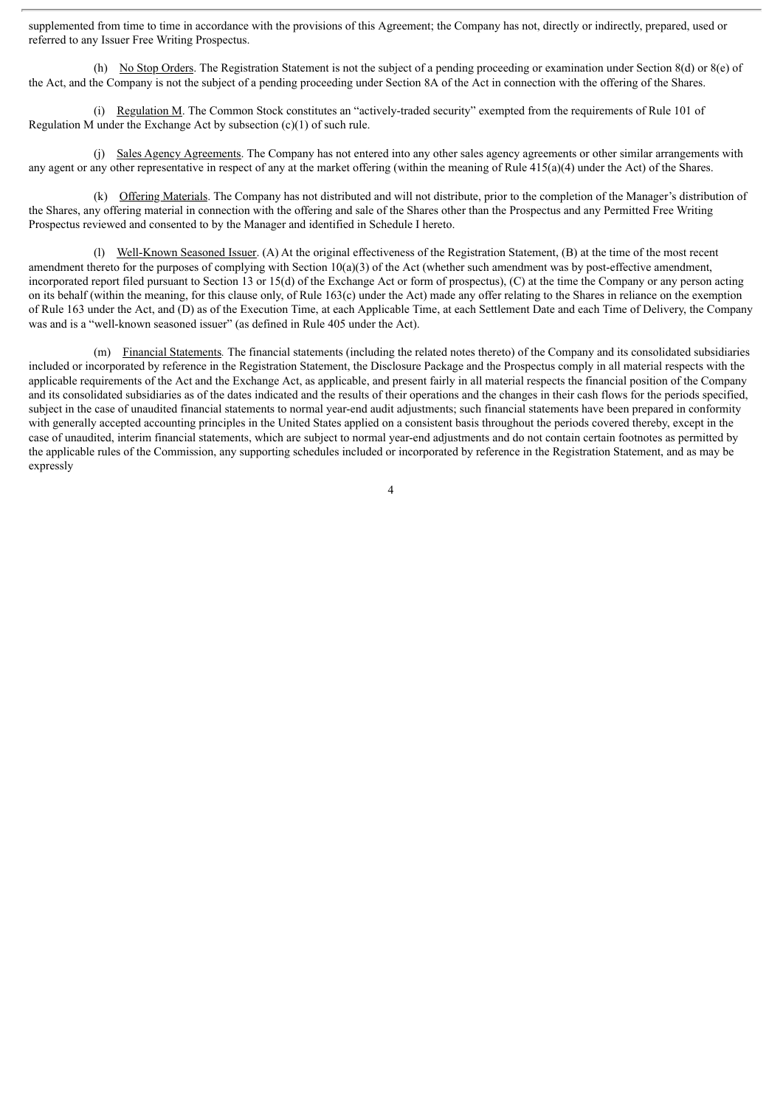supplemented from time to time in accordance with the provisions of this Agreement; the Company has not, directly or indirectly, prepared, used or referred to any Issuer Free Writing Prospectus.

(h) No Stop Orders. The Registration Statement is not the subject of a pending proceeding or examination under Section 8(d) or 8(e) of the Act, and the Company is not the subject of a pending proceeding under Section 8A of the Act in connection with the offering of the Shares.

(i) Regulation M. The Common Stock constitutes an "actively-traded security" exempted from the requirements of Rule 101 of Regulation M under the Exchange Act by subsection (c)(1) of such rule.

(j) Sales Agency Agreements. The Company has not entered into any other sales agency agreements or other similar arrangements with any agent or any other representative in respect of any at the market offering (within the meaning of Rule 415(a)(4) under the Act) of the Shares.

(k) Offering Materials. The Company has not distributed and will not distribute, prior to the completion of the Manager's distribution of the Shares, any offering material in connection with the offering and sale of the Shares other than the Prospectus and any Permitted Free Writing Prospectus reviewed and consented to by the Manager and identified in Schedule I hereto.

(l) Well-Known Seasoned Issuer. (A) At the original effectiveness of the Registration Statement, (B) at the time of the most recent amendment thereto for the purposes of complying with Section 10(a)(3) of the Act (whether such amendment was by post-effective amendment, incorporated report filed pursuant to Section 13 or 15(d) of the Exchange Act or form of prospectus), (C) at the time the Company or any person acting on its behalf (within the meaning, for this clause only, of Rule 163(c) under the Act) made any offer relating to the Shares in reliance on the exemption of Rule 163 under the Act, and (D) as of the Execution Time, at each Applicable Time, at each Settlement Date and each Time of Delivery, the Company was and is a "well-known seasoned issuer" (as defined in Rule 405 under the Act).

(m) Financial Statements*.* The financial statements (including the related notes thereto) of the Company and its consolidated subsidiaries included or incorporated by reference in the Registration Statement, the Disclosure Package and the Prospectus comply in all material respects with the applicable requirements of the Act and the Exchange Act, as applicable, and present fairly in all material respects the financial position of the Company and its consolidated subsidiaries as of the dates indicated and the results of their operations and the changes in their cash flows for the periods specified, subject in the case of unaudited financial statements to normal year-end audit adjustments; such financial statements have been prepared in conformity with generally accepted accounting principles in the United States applied on a consistent basis throughout the periods covered thereby, except in the case of unaudited, interim financial statements, which are subject to normal year-end adjustments and do not contain certain footnotes as permitted by the applicable rules of the Commission, any supporting schedules included or incorporated by reference in the Registration Statement, and as may be expressly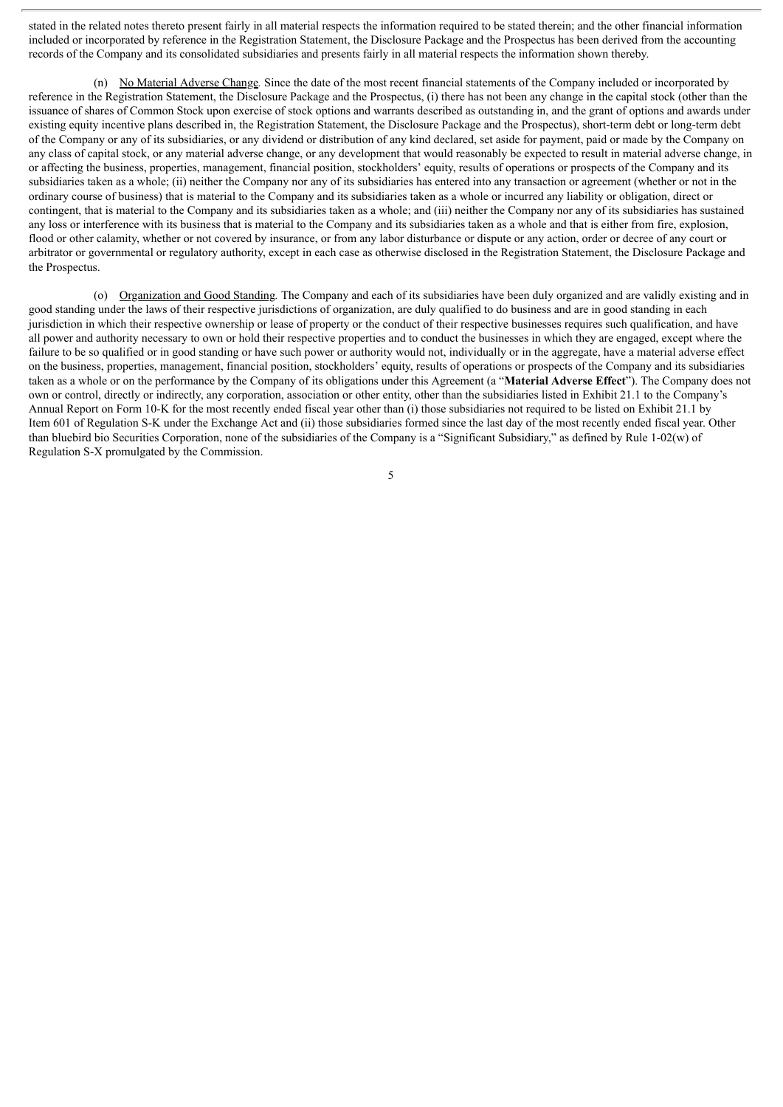stated in the related notes thereto present fairly in all material respects the information required to be stated therein; and the other financial information included or incorporated by reference in the Registration Statement, the Disclosure Package and the Prospectus has been derived from the accounting records of the Company and its consolidated subsidiaries and presents fairly in all material respects the information shown thereby.

(n) No Material Adverse Change*.* Since the date of the most recent financial statements of the Company included or incorporated by reference in the Registration Statement, the Disclosure Package and the Prospectus, (i) there has not been any change in the capital stock (other than the issuance of shares of Common Stock upon exercise of stock options and warrants described as outstanding in, and the grant of options and awards under existing equity incentive plans described in, the Registration Statement, the Disclosure Package and the Prospectus), short-term debt or long-term debt of the Company or any of its subsidiaries, or any dividend or distribution of any kind declared, set aside for payment, paid or made by the Company on any class of capital stock, or any material adverse change, or any development that would reasonably be expected to result in material adverse change, in or affecting the business, properties, management, financial position, stockholders' equity, results of operations or prospects of the Company and its subsidiaries taken as a whole; (ii) neither the Company nor any of its subsidiaries has entered into any transaction or agreement (whether or not in the ordinary course of business) that is material to the Company and its subsidiaries taken as a whole or incurred any liability or obligation, direct or contingent, that is material to the Company and its subsidiaries taken as a whole; and (iii) neither the Company nor any of its subsidiaries has sustained any loss or interference with its business that is material to the Company and its subsidiaries taken as a whole and that is either from fire, explosion, flood or other calamity, whether or not covered by insurance, or from any labor disturbance or dispute or any action, order or decree of any court or arbitrator or governmental or regulatory authority, except in each case as otherwise disclosed in the Registration Statement, the Disclosure Package and the Prospectus.

(o) Organization and Good Standing*.* The Company and each of its subsidiaries have been duly organized and are validly existing and in good standing under the laws of their respective jurisdictions of organization, are duly qualified to do business and are in good standing in each jurisdiction in which their respective ownership or lease of property or the conduct of their respective businesses requires such qualification, and have all power and authority necessary to own or hold their respective properties and to conduct the businesses in which they are engaged, except where the failure to be so qualified or in good standing or have such power or authority would not, individually or in the aggregate, have a material adverse effect on the business, properties, management, financial position, stockholders' equity, results of operations or prospects of the Company and its subsidiaries taken as a whole or on the performance by the Company of its obligations under this Agreement (a "**Material Adverse Effect**"). The Company does not own or control, directly or indirectly, any corporation, association or other entity, other than the subsidiaries listed in Exhibit 21.1 to the Company's Annual Report on Form 10-K for the most recently ended fiscal year other than (i) those subsidiaries not required to be listed on Exhibit 21.1 by Item 601 of Regulation S-K under the Exchange Act and (ii) those subsidiaries formed since the last day of the most recently ended fiscal year. Other than bluebird bio Securities Corporation, none of the subsidiaries of the Company is a "Significant Subsidiary," as defined by Rule 1-02(w) of Regulation S-X promulgated by the Commission.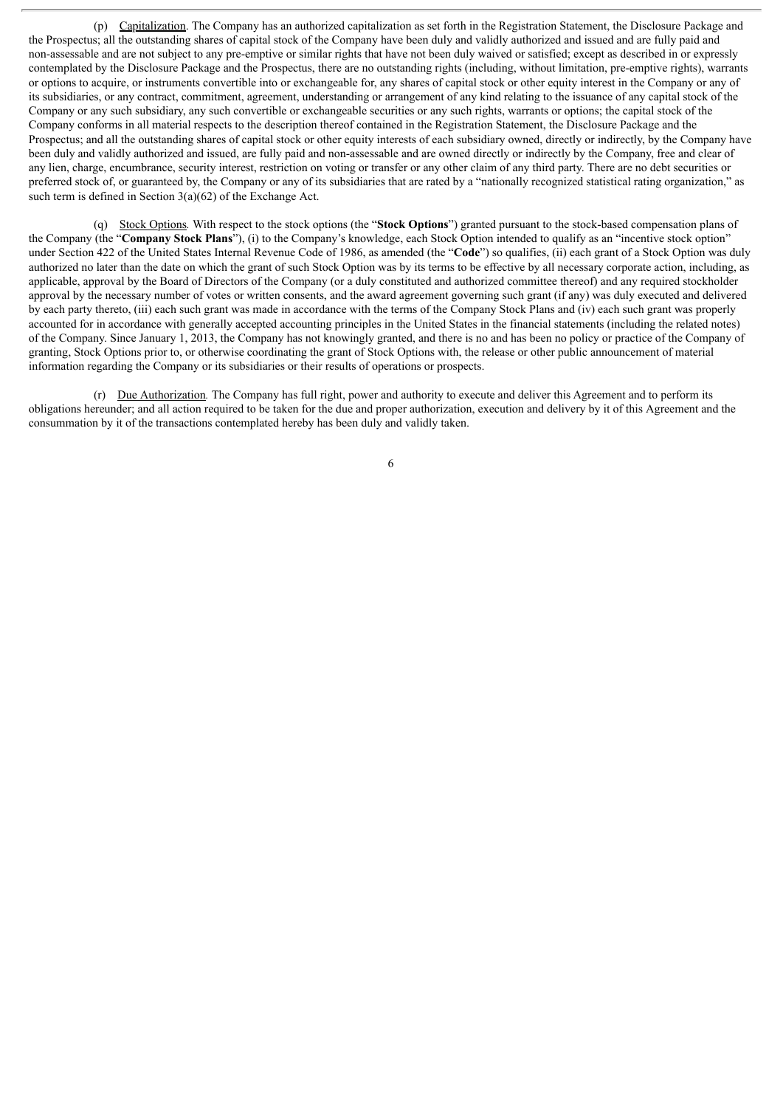(p) Capitalization. The Company has an authorized capitalization as set forth in the Registration Statement, the Disclosure Package and the Prospectus; all the outstanding shares of capital stock of the Company have been duly and validly authorized and issued and are fully paid and non-assessable and are not subject to any pre-emptive or similar rights that have not been duly waived or satisfied; except as described in or expressly contemplated by the Disclosure Package and the Prospectus, there are no outstanding rights (including, without limitation, pre-emptive rights), warrants or options to acquire, or instruments convertible into or exchangeable for, any shares of capital stock or other equity interest in the Company or any of its subsidiaries, or any contract, commitment, agreement, understanding or arrangement of any kind relating to the issuance of any capital stock of the Company or any such subsidiary, any such convertible or exchangeable securities or any such rights, warrants or options; the capital stock of the Company conforms in all material respects to the description thereof contained in the Registration Statement, the Disclosure Package and the Prospectus; and all the outstanding shares of capital stock or other equity interests of each subsidiary owned, directly or indirectly, by the Company have been duly and validly authorized and issued, are fully paid and non-assessable and are owned directly or indirectly by the Company, free and clear of any lien, charge, encumbrance, security interest, restriction on voting or transfer or any other claim of any third party. There are no debt securities or preferred stock of, or guaranteed by, the Company or any of its subsidiaries that are rated by a "nationally recognized statistical rating organization," as such term is defined in Section  $3(a)(62)$  of the Exchange Act.

(q) Stock Options*.* With respect to the stock options (the "**Stock Options**") granted pursuant to the stock-based compensation plans of the Company (the "**Company Stock Plans**"), (i) to the Company's knowledge, each Stock Option intended to qualify as an "incentive stock option" under Section 422 of the United States Internal Revenue Code of 1986, as amended (the "**Code**") so qualifies, (ii) each grant of a Stock Option was duly authorized no later than the date on which the grant of such Stock Option was by its terms to be effective by all necessary corporate action, including, as applicable, approval by the Board of Directors of the Company (or a duly constituted and authorized committee thereof) and any required stockholder approval by the necessary number of votes or written consents, and the award agreement governing such grant (if any) was duly executed and delivered by each party thereto, (iii) each such grant was made in accordance with the terms of the Company Stock Plans and (iv) each such grant was properly accounted for in accordance with generally accepted accounting principles in the United States in the financial statements (including the related notes) of the Company. Since January 1, 2013, the Company has not knowingly granted, and there is no and has been no policy or practice of the Company of granting, Stock Options prior to, or otherwise coordinating the grant of Stock Options with, the release or other public announcement of material information regarding the Company or its subsidiaries or their results of operations or prospects.

(r) Due Authorization*.* The Company has full right, power and authority to execute and deliver this Agreement and to perform its obligations hereunder; and all action required to be taken for the due and proper authorization, execution and delivery by it of this Agreement and the consummation by it of the transactions contemplated hereby has been duly and validly taken.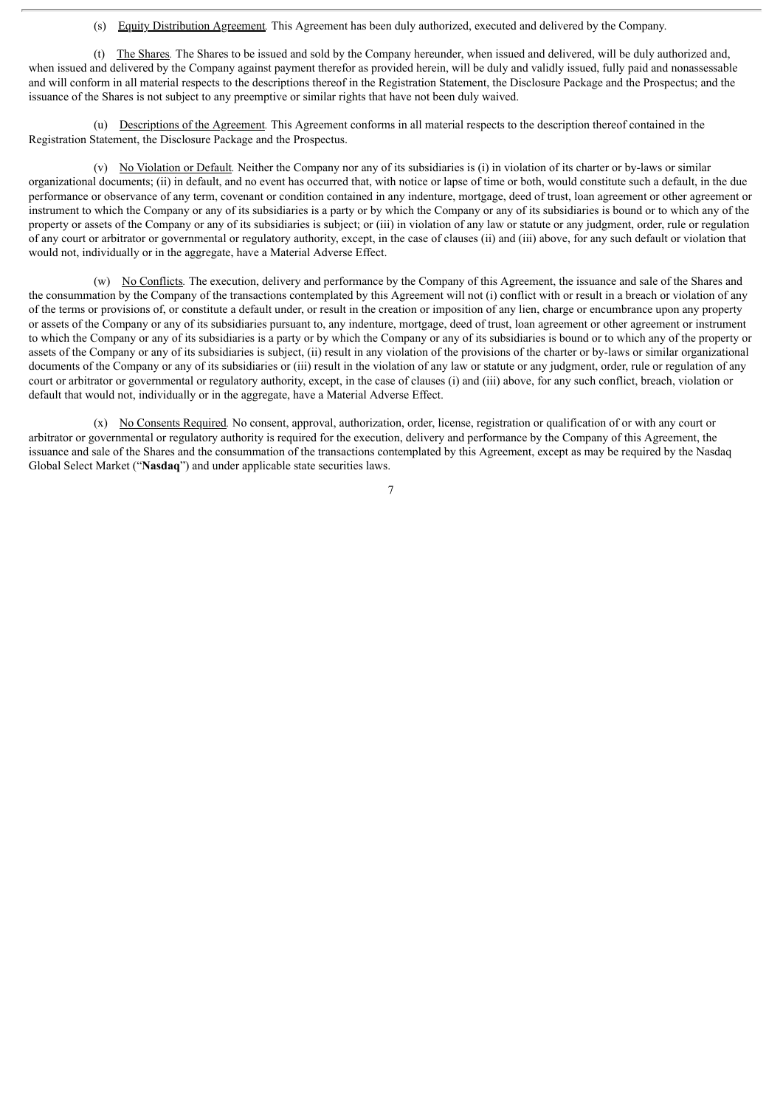(s) Equity Distribution Agreement*.* This Agreement has been duly authorized, executed and delivered by the Company.

(t) The Shares*.* The Shares to be issued and sold by the Company hereunder, when issued and delivered, will be duly authorized and, when issued and delivered by the Company against payment therefor as provided herein, will be duly and validly issued, fully paid and nonassessable and will conform in all material respects to the descriptions thereof in the Registration Statement, the Disclosure Package and the Prospectus; and the issuance of the Shares is not subject to any preemptive or similar rights that have not been duly waived.

(u) Descriptions of the Agreement*.* This Agreement conforms in all material respects to the description thereof contained in the Registration Statement, the Disclosure Package and the Prospectus.

(v) No Violation or Default*.* Neither the Company nor any of its subsidiaries is (i) in violation of its charter or by-laws or similar organizational documents; (ii) in default, and no event has occurred that, with notice or lapse of time or both, would constitute such a default, in the due performance or observance of any term, covenant or condition contained in any indenture, mortgage, deed of trust, loan agreement or other agreement or instrument to which the Company or any of its subsidiaries is a party or by which the Company or any of its subsidiaries is bound or to which any of the property or assets of the Company or any of its subsidiaries is subject; or (iii) in violation of any law or statute or any judgment, order, rule or regulation of any court or arbitrator or governmental or regulatory authority, except, in the case of clauses (ii) and (iii) above, for any such default or violation that would not, individually or in the aggregate, have a Material Adverse Effect.

(w) No Conflicts*.* The execution, delivery and performance by the Company of this Agreement, the issuance and sale of the Shares and the consummation by the Company of the transactions contemplated by this Agreement will not (i) conflict with or result in a breach or violation of any of the terms or provisions of, or constitute a default under, or result in the creation or imposition of any lien, charge or encumbrance upon any property or assets of the Company or any of its subsidiaries pursuant to, any indenture, mortgage, deed of trust, loan agreement or other agreement or instrument to which the Company or any of its subsidiaries is a party or by which the Company or any of its subsidiaries is bound or to which any of the property or assets of the Company or any of its subsidiaries is subject, (ii) result in any violation of the provisions of the charter or by-laws or similar organizational documents of the Company or any of its subsidiaries or (iii) result in the violation of any law or statute or any judgment, order, rule or regulation of any court or arbitrator or governmental or regulatory authority, except, in the case of clauses (i) and (iii) above, for any such conflict, breach, violation or default that would not, individually or in the aggregate, have a Material Adverse Effect.

(x) No Consents Required*.* No consent, approval, authorization, order, license, registration or qualification of or with any court or arbitrator or governmental or regulatory authority is required for the execution, delivery and performance by the Company of this Agreement, the issuance and sale of the Shares and the consummation of the transactions contemplated by this Agreement, except as may be required by the Nasdaq Global Select Market ("**Nasdaq**") and under applicable state securities laws.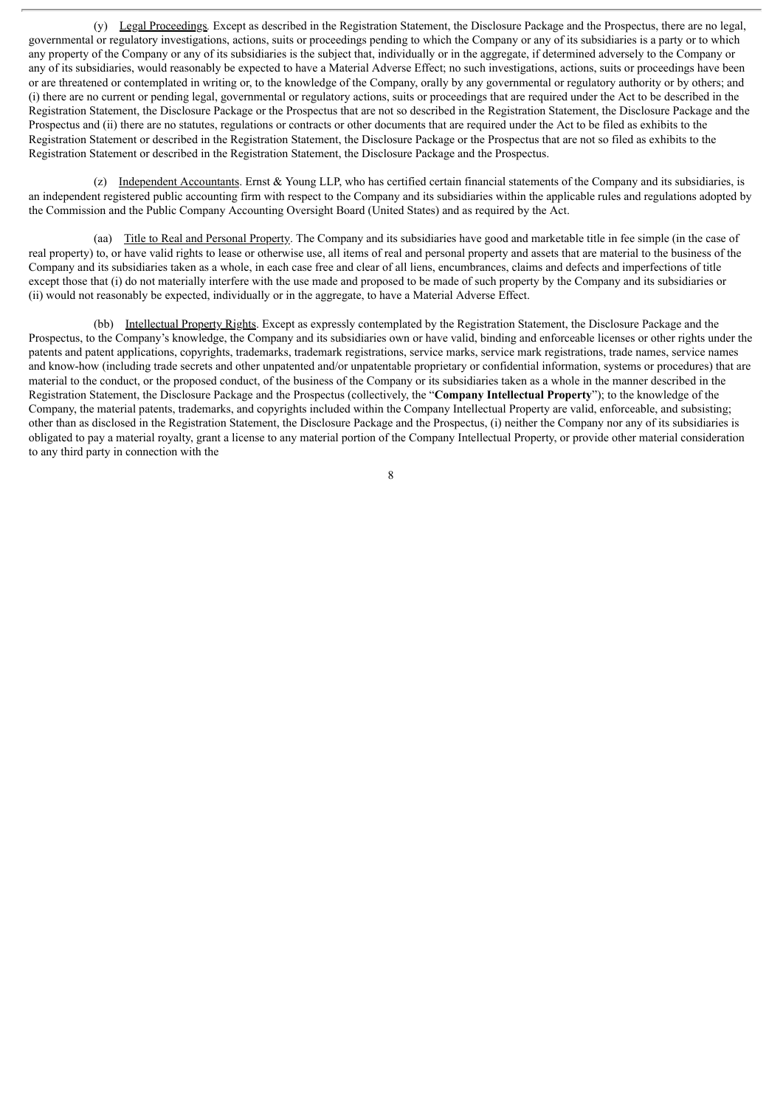(y) Legal Proceedings*.* Except as described in the Registration Statement, the Disclosure Package and the Prospectus, there are no legal, governmental or regulatory investigations, actions, suits or proceedings pending to which the Company or any of its subsidiaries is a party or to which any property of the Company or any of its subsidiaries is the subject that, individually or in the aggregate, if determined adversely to the Company or any of its subsidiaries, would reasonably be expected to have a Material Adverse Effect; no such investigations, actions, suits or proceedings have been or are threatened or contemplated in writing or, to the knowledge of the Company, orally by any governmental or regulatory authority or by others; and (i) there are no current or pending legal, governmental or regulatory actions, suits or proceedings that are required under the Act to be described in the Registration Statement, the Disclosure Package or the Prospectus that are not so described in the Registration Statement, the Disclosure Package and the Prospectus and (ii) there are no statutes, regulations or contracts or other documents that are required under the Act to be filed as exhibits to the Registration Statement or described in the Registration Statement, the Disclosure Package or the Prospectus that are not so filed as exhibits to the Registration Statement or described in the Registration Statement, the Disclosure Package and the Prospectus.

(z) Independent Accountants. Ernst  $\&$  Young LLP, who has certified certain financial statements of the Company and its subsidiaries, is an independent registered public accounting firm with respect to the Company and its subsidiaries within the applicable rules and regulations adopted by the Commission and the Public Company Accounting Oversight Board (United States) and as required by the Act.

(aa) Title to Real and Personal Property. The Company and its subsidiaries have good and marketable title in fee simple (in the case of real property) to, or have valid rights to lease or otherwise use, all items of real and personal property and assets that are material to the business of the Company and its subsidiaries taken as a whole, in each case free and clear of all liens, encumbrances, claims and defects and imperfections of title except those that (i) do not materially interfere with the use made and proposed to be made of such property by the Company and its subsidiaries or (ii) would not reasonably be expected, individually or in the aggregate, to have a Material Adverse Effect.

(bb) Intellectual Property Rights. Except as expressly contemplated by the Registration Statement, the Disclosure Package and the Prospectus, to the Company's knowledge, the Company and its subsidiaries own or have valid, binding and enforceable licenses or other rights under the patents and patent applications, copyrights, trademarks, trademark registrations, service marks, service mark registrations, trade names, service names and know-how (including trade secrets and other unpatented and/or unpatentable proprietary or confidential information, systems or procedures) that are material to the conduct, or the proposed conduct, of the business of the Company or its subsidiaries taken as a whole in the manner described in the Registration Statement, the Disclosure Package and the Prospectus (collectively, the "**Company Intellectual Property**"); to the knowledge of the Company, the material patents, trademarks, and copyrights included within the Company Intellectual Property are valid, enforceable, and subsisting; other than as disclosed in the Registration Statement, the Disclosure Package and the Prospectus, (i) neither the Company nor any of its subsidiaries is obligated to pay a material royalty, grant a license to any material portion of the Company Intellectual Property, or provide other material consideration to any third party in connection with the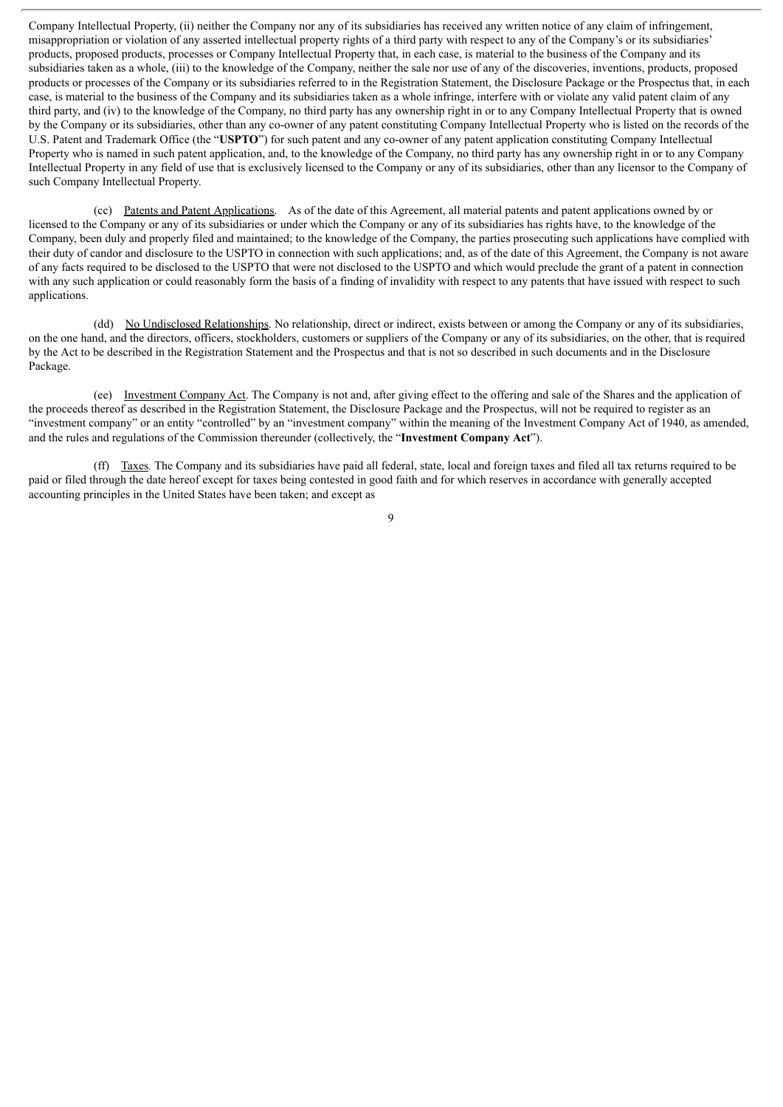Company Intellectual Property, (ii) neither the Company nor any of its subsidiaries has received any written notice of any claim of infringement, misappropriation or violation of any asserted intellectual property rights of a third party with respect to any of the Company's or its subsidiaries' products, proposed products, processes or Company Intellectual Property that, in each case, is material to the business of the Company and its subsidiaries taken as a whole, (iii) to the knowledge of the Company, neither the sale nor use of any of the discoveries, inventions, products, proposed products or processes of the Company or its subsidiaries referred to in the Registration Statement, the Disclosure Package or the Prospectus that, in each case, is material to the business of the Company and its subsidiaries taken as a whole infringe, interfere with or violate any valid patent claim of any third party, and (iv) to the knowledge of the Company, no third party has any ownership right in or to any Company Intellectual Property that is owned by the Company or its subsidiaries, other than any co-owner of any patent constituting Company Intellectual Property who is listed on the records of the U.S. Patent and Trademark Office (the "**USPTO**") for such patent and any co-owner of any patent application constituting Company Intellectual Property who is named in such patent application, and, to the knowledge of the Company, no third party has any ownership right in or to any Company Intellectual Property in any field of use that is exclusively licensed to the Company or any of its subsidiaries, other than any licensor to the Company of such Company Intellectual Property.

(cc) Patents and Patent Applications. As of the date of this Agreement, all material patents and patent applications owned by or licensed to the Company or any of its subsidiaries or under which the Company or any of its subsidiaries has rights have, to the knowledge of the Company, been duly and properly filed and maintained; to the knowledge of the Company, the parties prosecuting such applications have complied with their duty of candor and disclosure to the USPTO in connection with such applications; and, as of the date of this Agreement, the Company is not aware of any facts required to be disclosed to the USPTO that were not disclosed to the USPTO and which would preclude the grant of a patent in connection with any such application or could reasonably form the basis of a finding of invalidity with respect to any patents that have issued with respect to such applications.

(dd) No Undisclosed Relationships. No relationship, direct or indirect, exists between or among the Company or any of its subsidiaries, on the one hand, and the directors, officers, stockholders, customers or suppliers of the Company or any of its subsidiaries, on the other, that is required by the Act to be described in the Registration Statement and the Prospectus and that is not so described in such documents and in the Disclosure Package.

(ee) Investment Company Act. The Company is not and, after giving effect to the offering and sale of the Shares and the application of the proceeds thereof as described in the Registration Statement, the Disclosure Package and the Prospectus, will not be required to register as an "investment company" or an entity "controlled" by an "investment company" within the meaning of the Investment Company Act of 1940, as amended, and the rules and regulations of the Commission thereunder (collectively, the "**Investment Company Act**").

(ff) Taxes*.* The Company and its subsidiaries have paid all federal, state, local and foreign taxes and filed all tax returns required to be paid or filed through the date hereof except for taxes being contested in good faith and for which reserves in accordance with generally accepted accounting principles in the United States have been taken; and except as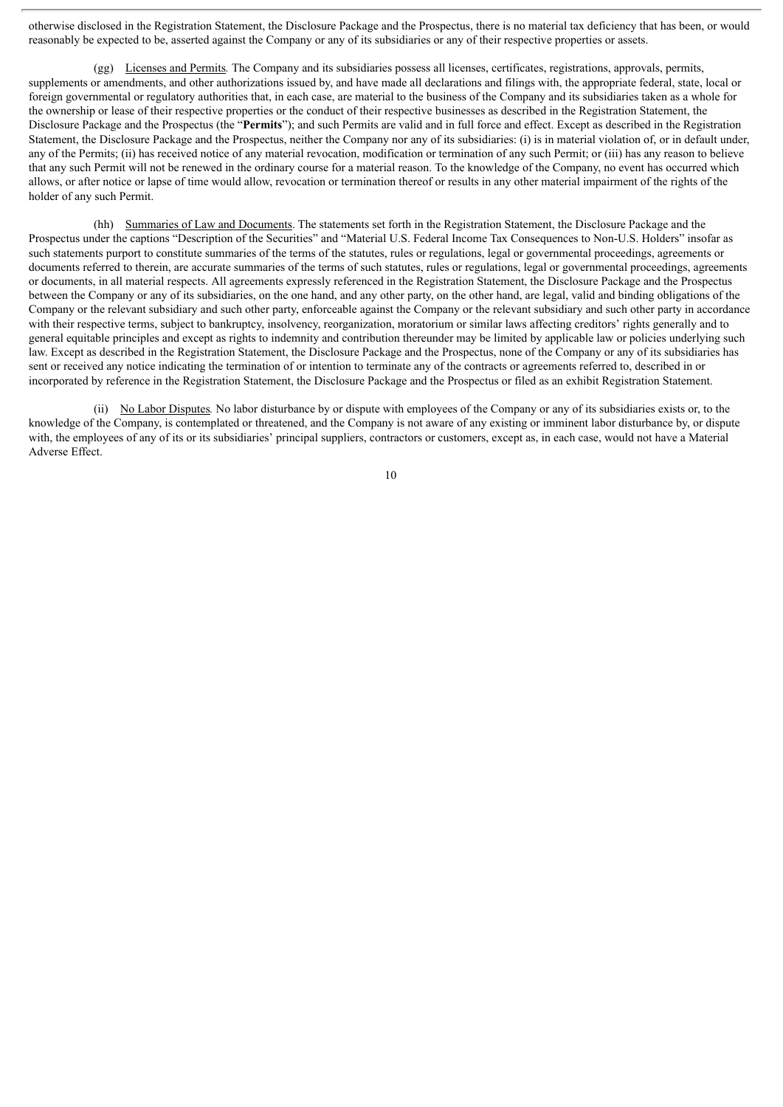otherwise disclosed in the Registration Statement, the Disclosure Package and the Prospectus, there is no material tax deficiency that has been, or would reasonably be expected to be, asserted against the Company or any of its subsidiaries or any of their respective properties or assets.

(gg) Licenses and Permits*.* The Company and its subsidiaries possess all licenses, certificates, registrations, approvals, permits, supplements or amendments, and other authorizations issued by, and have made all declarations and filings with, the appropriate federal, state, local or foreign governmental or regulatory authorities that, in each case, are material to the business of the Company and its subsidiaries taken as a whole for the ownership or lease of their respective properties or the conduct of their respective businesses as described in the Registration Statement, the Disclosure Package and the Prospectus (the "**Permits**"); and such Permits are valid and in full force and effect. Except as described in the Registration Statement, the Disclosure Package and the Prospectus, neither the Company nor any of its subsidiaries: (i) is in material violation of, or in default under, any of the Permits; (ii) has received notice of any material revocation, modification or termination of any such Permit; or (iii) has any reason to believe that any such Permit will not be renewed in the ordinary course for a material reason. To the knowledge of the Company, no event has occurred which allows, or after notice or lapse of time would allow, revocation or termination thereof or results in any other material impairment of the rights of the holder of any such Permit.

(hh) Summaries of Law and Documents. The statements set forth in the Registration Statement, the Disclosure Package and the Prospectus under the captions "Description of the Securities" and "Material U.S. Federal Income Tax Consequences to Non-U.S. Holders" insofar as such statements purport to constitute summaries of the terms of the statutes, rules or regulations, legal or governmental proceedings, agreements or documents referred to therein, are accurate summaries of the terms of such statutes, rules or regulations, legal or governmental proceedings, agreements or documents, in all material respects. All agreements expressly referenced in the Registration Statement, the Disclosure Package and the Prospectus between the Company or any of its subsidiaries, on the one hand, and any other party, on the other hand, are legal, valid and binding obligations of the Company or the relevant subsidiary and such other party, enforceable against the Company or the relevant subsidiary and such other party in accordance with their respective terms, subject to bankruptcy, insolvency, reorganization, moratorium or similar laws affecting creditors' rights generally and to general equitable principles and except as rights to indemnity and contribution thereunder may be limited by applicable law or policies underlying such law. Except as described in the Registration Statement, the Disclosure Package and the Prospectus, none of the Company or any of its subsidiaries has sent or received any notice indicating the termination of or intention to terminate any of the contracts or agreements referred to, described in or incorporated by reference in the Registration Statement, the Disclosure Package and the Prospectus or filed as an exhibit Registration Statement.

(ii) No Labor Disputes*.* No labor disturbance by or dispute with employees of the Company or any of its subsidiaries exists or, to the knowledge of the Company, is contemplated or threatened, and the Company is not aware of any existing or imminent labor disturbance by, or dispute with, the employees of any of its or its subsidiaries' principal suppliers, contractors or customers, except as, in each case, would not have a Material Adverse Effect.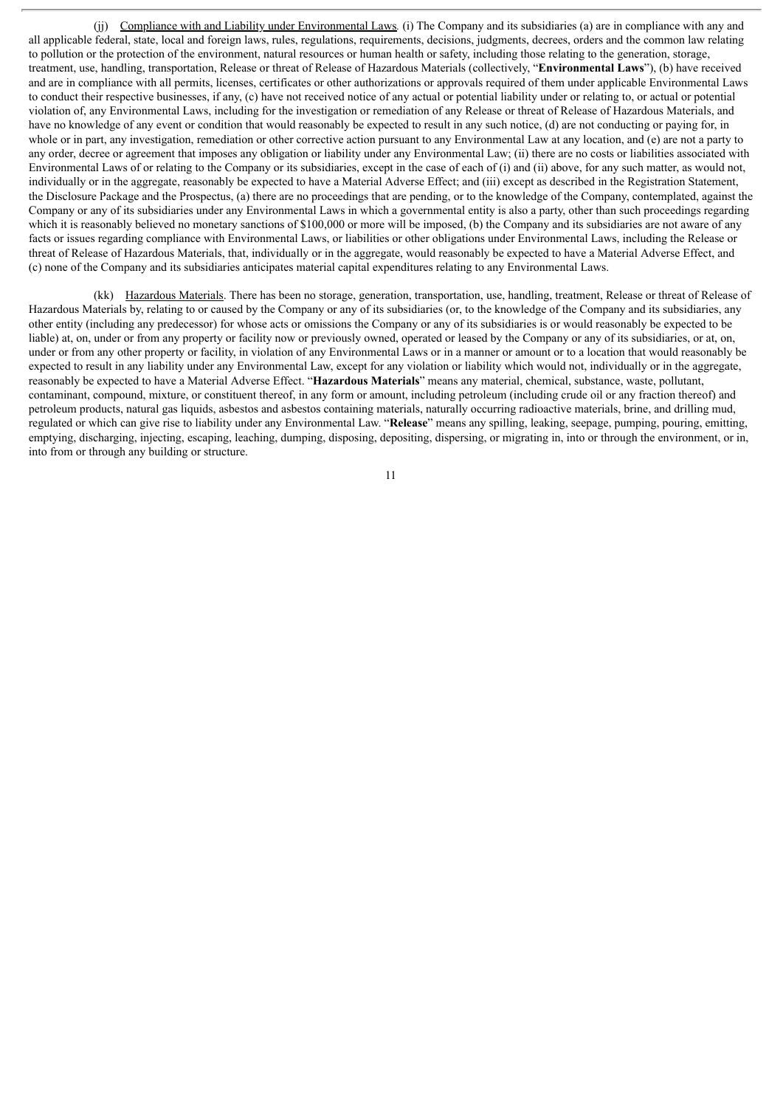(jj) Compliance with and Liability under Environmental Laws*.* (i) The Company and its subsidiaries (a) are in compliance with any and all applicable federal, state, local and foreign laws, rules, regulations, requirements, decisions, judgments, decrees, orders and the common law relating to pollution or the protection of the environment, natural resources or human health or safety, including those relating to the generation, storage, treatment, use, handling, transportation, Release or threat of Release of Hazardous Materials (collectively, "**Environmental Laws**"), (b) have received and are in compliance with all permits, licenses, certificates or other authorizations or approvals required of them under applicable Environmental Laws to conduct their respective businesses, if any, (c) have not received notice of any actual or potential liability under or relating to, or actual or potential violation of, any Environmental Laws, including for the investigation or remediation of any Release or threat of Release of Hazardous Materials, and have no knowledge of any event or condition that would reasonably be expected to result in any such notice, (d) are not conducting or paying for, in whole or in part, any investigation, remediation or other corrective action pursuant to any Environmental Law at any location, and (e) are not a party to any order, decree or agreement that imposes any obligation or liability under any Environmental Law; (ii) there are no costs or liabilities associated with Environmental Laws of or relating to the Company or its subsidiaries, except in the case of each of (i) and (ii) above, for any such matter, as would not, individually or in the aggregate, reasonably be expected to have a Material Adverse Effect; and (iii) except as described in the Registration Statement, the Disclosure Package and the Prospectus, (a) there are no proceedings that are pending, or to the knowledge of the Company, contemplated, against the Company or any of its subsidiaries under any Environmental Laws in which a governmental entity is also a party, other than such proceedings regarding which it is reasonably believed no monetary sanctions of \$100,000 or more will be imposed, (b) the Company and its subsidiaries are not aware of any facts or issues regarding compliance with Environmental Laws, or liabilities or other obligations under Environmental Laws, including the Release or threat of Release of Hazardous Materials, that, individually or in the aggregate, would reasonably be expected to have a Material Adverse Effect, and (c) none of the Company and its subsidiaries anticipates material capital expenditures relating to any Environmental Laws.

(kk) Hazardous Materials. There has been no storage, generation, transportation, use, handling, treatment, Release or threat of Release of Hazardous Materials by, relating to or caused by the Company or any of its subsidiaries (or, to the knowledge of the Company and its subsidiaries, any other entity (including any predecessor) for whose acts or omissions the Company or any of its subsidiaries is or would reasonably be expected to be liable) at, on, under or from any property or facility now or previously owned, operated or leased by the Company or any of its subsidiaries, or at, on, under or from any other property or facility, in violation of any Environmental Laws or in a manner or amount or to a location that would reasonably be expected to result in any liability under any Environmental Law, except for any violation or liability which would not, individually or in the aggregate, reasonably be expected to have a Material Adverse Effect. "**Hazardous Materials**" means any material, chemical, substance, waste, pollutant, contaminant, compound, mixture, or constituent thereof, in any form or amount, including petroleum (including crude oil or any fraction thereof) and petroleum products, natural gas liquids, asbestos and asbestos containing materials, naturally occurring radioactive materials, brine, and drilling mud, regulated or which can give rise to liability under any Environmental Law. "**Release**" means any spilling, leaking, seepage, pumping, pouring, emitting, emptying, discharging, injecting, escaping, leaching, dumping, disposing, depositing, dispersing, or migrating in, into or through the environment, or in, into from or through any building or structure.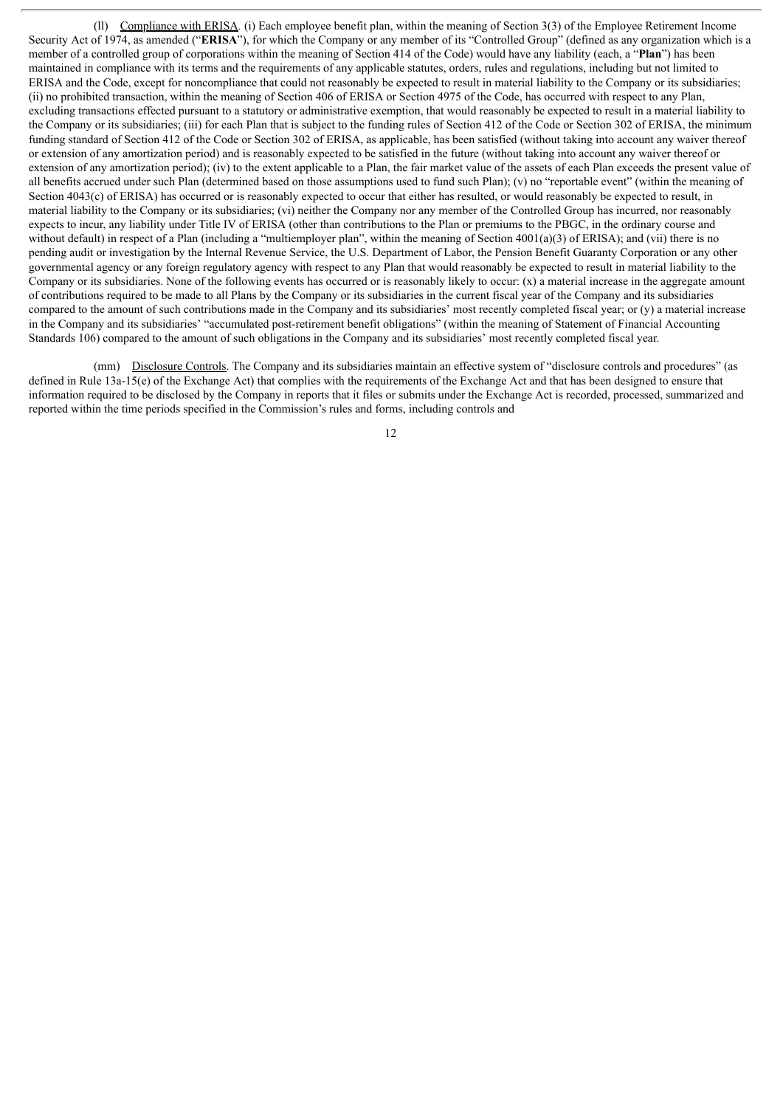(ll) Compliance with ERISA*.* (i) Each employee benefit plan, within the meaning of Section 3(3) of the Employee Retirement Income Security Act of 1974, as amended ("**ERISA**"), for which the Company or any member of its "Controlled Group" (defined as any organization which is a member of a controlled group of corporations within the meaning of Section 414 of the Code) would have any liability (each, a "**Plan**") has been maintained in compliance with its terms and the requirements of any applicable statutes, orders, rules and regulations, including but not limited to ERISA and the Code, except for noncompliance that could not reasonably be expected to result in material liability to the Company or its subsidiaries; (ii) no prohibited transaction, within the meaning of Section 406 of ERISA or Section 4975 of the Code, has occurred with respect to any Plan, excluding transactions effected pursuant to a statutory or administrative exemption, that would reasonably be expected to result in a material liability to the Company or its subsidiaries; (iii) for each Plan that is subject to the funding rules of Section 412 of the Code or Section 302 of ERISA, the minimum funding standard of Section 412 of the Code or Section 302 of ERISA, as applicable, has been satisfied (without taking into account any waiver thereof or extension of any amortization period) and is reasonably expected to be satisfied in the future (without taking into account any waiver thereof or extension of any amortization period); (iv) to the extent applicable to a Plan, the fair market value of the assets of each Plan exceeds the present value of all benefits accrued under such Plan (determined based on those assumptions used to fund such Plan); (v) no "reportable event" (within the meaning of Section 4043(c) of ERISA) has occurred or is reasonably expected to occur that either has resulted, or would reasonably be expected to result, in material liability to the Company or its subsidiaries; (vi) neither the Company nor any member of the Controlled Group has incurred, nor reasonably expects to incur, any liability under Title IV of ERISA (other than contributions to the Plan or premiums to the PBGC, in the ordinary course and without default) in respect of a Plan (including a "multiemployer plan", within the meaning of Section 4001(a)(3) of ERISA); and (vii) there is no pending audit or investigation by the Internal Revenue Service, the U.S. Department of Labor, the Pension Benefit Guaranty Corporation or any other governmental agency or any foreign regulatory agency with respect to any Plan that would reasonably be expected to result in material liability to the Company or its subsidiaries. None of the following events has occurred or is reasonably likely to occur:  $(x)$  a material increase in the aggregate amount of contributions required to be made to all Plans by the Company or its subsidiaries in the current fiscal year of the Company and its subsidiaries compared to the amount of such contributions made in the Company and its subsidiaries' most recently completed fiscal year; or (y) a material increase in the Company and its subsidiaries' "accumulated post-retirement benefit obligations" (within the meaning of Statement of Financial Accounting Standards 106) compared to the amount of such obligations in the Company and its subsidiaries' most recently completed fiscal year.

(mm) Disclosure Controls. The Company and its subsidiaries maintain an effective system of "disclosure controls and procedures" (as defined in Rule 13a-15(e) of the Exchange Act) that complies with the requirements of the Exchange Act and that has been designed to ensure that information required to be disclosed by the Company in reports that it files or submits under the Exchange Act is recorded, processed, summarized and reported within the time periods specified in the Commission's rules and forms, including controls and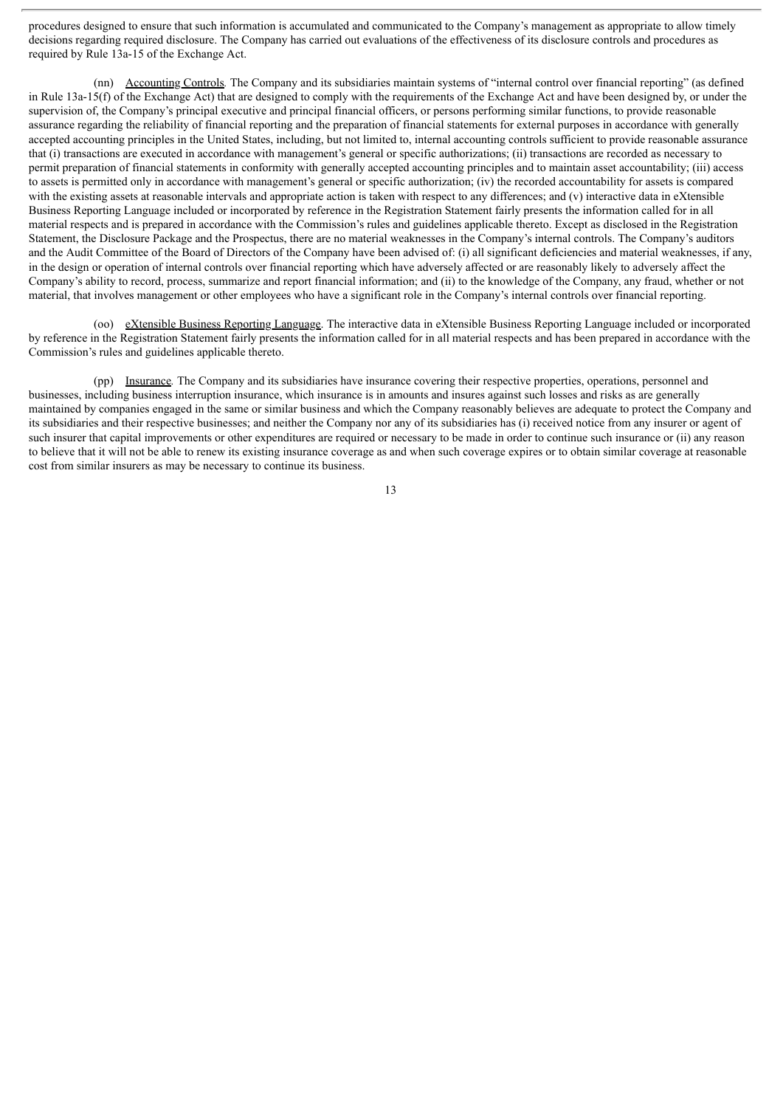procedures designed to ensure that such information is accumulated and communicated to the Company's management as appropriate to allow timely decisions regarding required disclosure. The Company has carried out evaluations of the effectiveness of its disclosure controls and procedures as required by Rule 13a-15 of the Exchange Act.

(nn) Accounting Controls*.* The Company and its subsidiaries maintain systems of "internal control over financial reporting" (as defined in Rule 13a-15(f) of the Exchange Act) that are designed to comply with the requirements of the Exchange Act and have been designed by, or under the supervision of, the Company's principal executive and principal financial officers, or persons performing similar functions, to provide reasonable assurance regarding the reliability of financial reporting and the preparation of financial statements for external purposes in accordance with generally accepted accounting principles in the United States, including, but not limited to, internal accounting controls sufficient to provide reasonable assurance that (i) transactions are executed in accordance with management's general or specific authorizations; (ii) transactions are recorded as necessary to permit preparation of financial statements in conformity with generally accepted accounting principles and to maintain asset accountability; (iii) access to assets is permitted only in accordance with management's general or specific authorization; (iv) the recorded accountability for assets is compared with the existing assets at reasonable intervals and appropriate action is taken with respect to any differences; and (v) interactive data in eXtensible Business Reporting Language included or incorporated by reference in the Registration Statement fairly presents the information called for in all material respects and is prepared in accordance with the Commission's rules and guidelines applicable thereto. Except as disclosed in the Registration Statement, the Disclosure Package and the Prospectus, there are no material weaknesses in the Company's internal controls. The Company's auditors and the Audit Committee of the Board of Directors of the Company have been advised of: (i) all significant deficiencies and material weaknesses, if any, in the design or operation of internal controls over financial reporting which have adversely affected or are reasonably likely to adversely affect the Company's ability to record, process, summarize and report financial information; and (ii) to the knowledge of the Company, any fraud, whether or not material, that involves management or other employees who have a significant role in the Company's internal controls over financial reporting.

(oo) eXtensible Business Reporting Language. The interactive data in eXtensible Business Reporting Language included or incorporated by reference in the Registration Statement fairly presents the information called for in all material respects and has been prepared in accordance with the Commission's rules and guidelines applicable thereto.

(pp) Insurance*.* The Company and its subsidiaries have insurance covering their respective properties, operations, personnel and businesses, including business interruption insurance, which insurance is in amounts and insures against such losses and risks as are generally maintained by companies engaged in the same or similar business and which the Company reasonably believes are adequate to protect the Company and its subsidiaries and their respective businesses; and neither the Company nor any of its subsidiaries has (i) received notice from any insurer or agent of such insurer that capital improvements or other expenditures are required or necessary to be made in order to continue such insurance or (ii) any reason to believe that it will not be able to renew its existing insurance coverage as and when such coverage expires or to obtain similar coverage at reasonable cost from similar insurers as may be necessary to continue its business.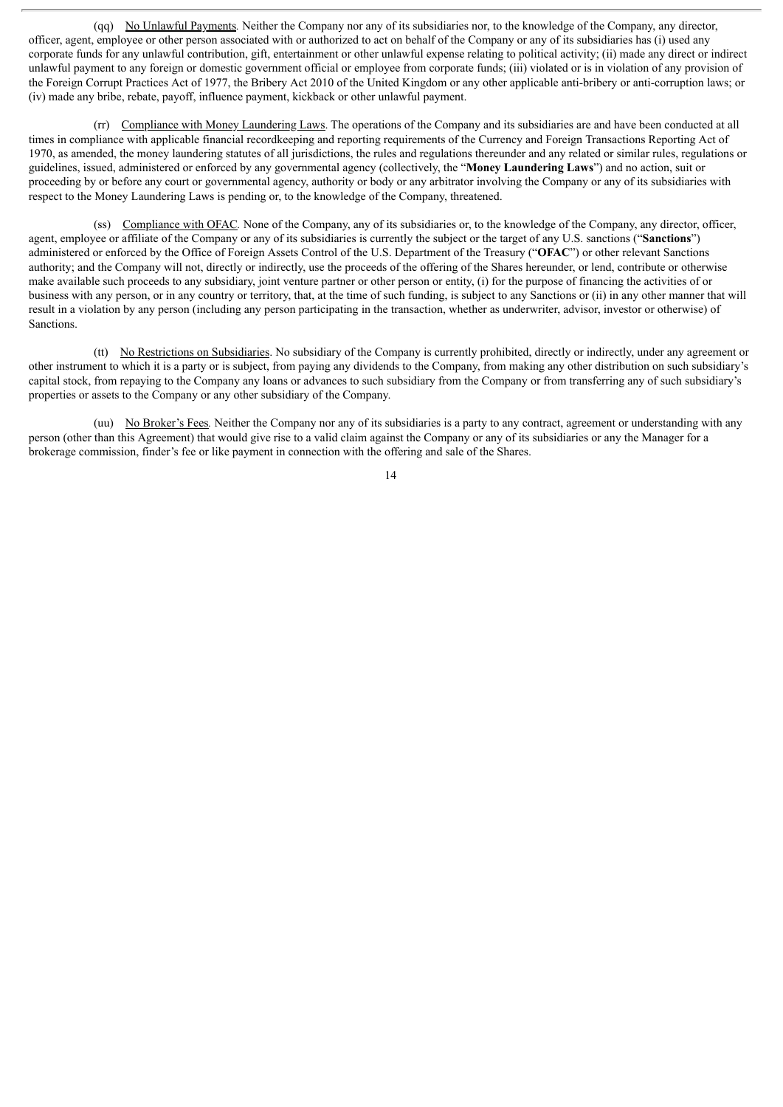(qq) No Unlawful Payments*.* Neither the Company nor any of its subsidiaries nor, to the knowledge of the Company, any director, officer, agent, employee or other person associated with or authorized to act on behalf of the Company or any of its subsidiaries has (i) used any corporate funds for any unlawful contribution, gift, entertainment or other unlawful expense relating to political activity; (ii) made any direct or indirect unlawful payment to any foreign or domestic government official or employee from corporate funds; (iii) violated or is in violation of any provision of the Foreign Corrupt Practices Act of 1977, the Bribery Act 2010 of the United Kingdom or any other applicable anti-bribery or anti-corruption laws; or (iv) made any bribe, rebate, payoff, influence payment, kickback or other unlawful payment.

(rr) Compliance with Money Laundering Laws. The operations of the Company and its subsidiaries are and have been conducted at all times in compliance with applicable financial recordkeeping and reporting requirements of the Currency and Foreign Transactions Reporting Act of 1970, as amended, the money laundering statutes of all jurisdictions, the rules and regulations thereunder and any related or similar rules, regulations or guidelines, issued, administered or enforced by any governmental agency (collectively, the "**Money Laundering Laws**") and no action, suit or proceeding by or before any court or governmental agency, authority or body or any arbitrator involving the Company or any of its subsidiaries with respect to the Money Laundering Laws is pending or, to the knowledge of the Company, threatened.

(ss) Compliance with OFAC*.* None of the Company, any of its subsidiaries or, to the knowledge of the Company, any director, officer, agent, employee or affiliate of the Company or any of its subsidiaries is currently the subject or the target of any U.S. sanctions ("**Sanctions**") administered or enforced by the Office of Foreign Assets Control of the U.S. Department of the Treasury ("**OFAC**") or other relevant Sanctions authority; and the Company will not, directly or indirectly, use the proceeds of the offering of the Shares hereunder, or lend, contribute or otherwise make available such proceeds to any subsidiary, joint venture partner or other person or entity, (i) for the purpose of financing the activities of or business with any person, or in any country or territory, that, at the time of such funding, is subject to any Sanctions or (ii) in any other manner that will result in a violation by any person (including any person participating in the transaction, whether as underwriter, advisor, investor or otherwise) of Sanctions.

(tt) No Restrictions on Subsidiaries. No subsidiary of the Company is currently prohibited, directly or indirectly, under any agreement or other instrument to which it is a party or is subject, from paying any dividends to the Company, from making any other distribution on such subsidiary's capital stock, from repaying to the Company any loans or advances to such subsidiary from the Company or from transferring any of such subsidiary's properties or assets to the Company or any other subsidiary of the Company.

(uu) No Broker's Fees*.* Neither the Company nor any of its subsidiaries is a party to any contract, agreement or understanding with any person (other than this Agreement) that would give rise to a valid claim against the Company or any of its subsidiaries or any the Manager for a brokerage commission, finder's fee or like payment in connection with the offering and sale of the Shares.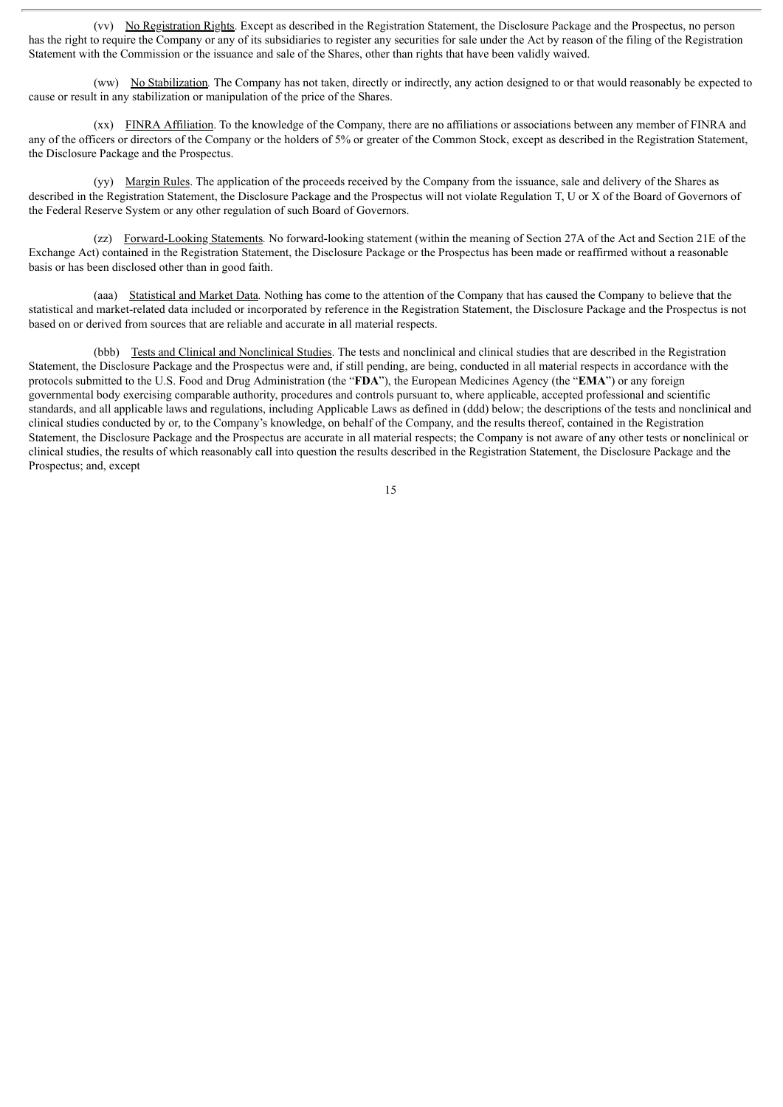(vv) No Registration Rights. Except as described in the Registration Statement, the Disclosure Package and the Prospectus, no person has the right to require the Company or any of its subsidiaries to register any securities for sale under the Act by reason of the filing of the Registration Statement with the Commission or the issuance and sale of the Shares, other than rights that have been validly waived.

(ww) No Stabilization*.* The Company has not taken, directly or indirectly, any action designed to or that would reasonably be expected to cause or result in any stabilization or manipulation of the price of the Shares.

(xx) FINRA Affiliation. To the knowledge of the Company, there are no affiliations or associations between any member of FINRA and any of the officers or directors of the Company or the holders of 5% or greater of the Common Stock, except as described in the Registration Statement, the Disclosure Package and the Prospectus.

(yy) Margin Rules. The application of the proceeds received by the Company from the issuance, sale and delivery of the Shares as described in the Registration Statement, the Disclosure Package and the Prospectus will not violate Regulation T, U or X of the Board of Governors of the Federal Reserve System or any other regulation of such Board of Governors.

(zz) Forward-Looking Statements*.* No forward-looking statement (within the meaning of Section 27A of the Act and Section 21E of the Exchange Act) contained in the Registration Statement, the Disclosure Package or the Prospectus has been made or reaffirmed without a reasonable basis or has been disclosed other than in good faith.

(aaa) Statistical and Market Data*.* Nothing has come to the attention of the Company that has caused the Company to believe that the statistical and market-related data included or incorporated by reference in the Registration Statement, the Disclosure Package and the Prospectus is not based on or derived from sources that are reliable and accurate in all material respects.

(bbb) Tests and Clinical and Nonclinical Studies. The tests and nonclinical and clinical studies that are described in the Registration Statement, the Disclosure Package and the Prospectus were and, if still pending, are being, conducted in all material respects in accordance with the protocols submitted to the U.S. Food and Drug Administration (the "**FDA**"), the European Medicines Agency (the "**EMA**") or any foreign governmental body exercising comparable authority, procedures and controls pursuant to, where applicable, accepted professional and scientific standards, and all applicable laws and regulations, including Applicable Laws as defined in (ddd) below; the descriptions of the tests and nonclinical and clinical studies conducted by or, to the Company's knowledge, on behalf of the Company, and the results thereof, contained in the Registration Statement, the Disclosure Package and the Prospectus are accurate in all material respects; the Company is not aware of any other tests or nonclinical or clinical studies, the results of which reasonably call into question the results described in the Registration Statement, the Disclosure Package and the Prospectus; and, except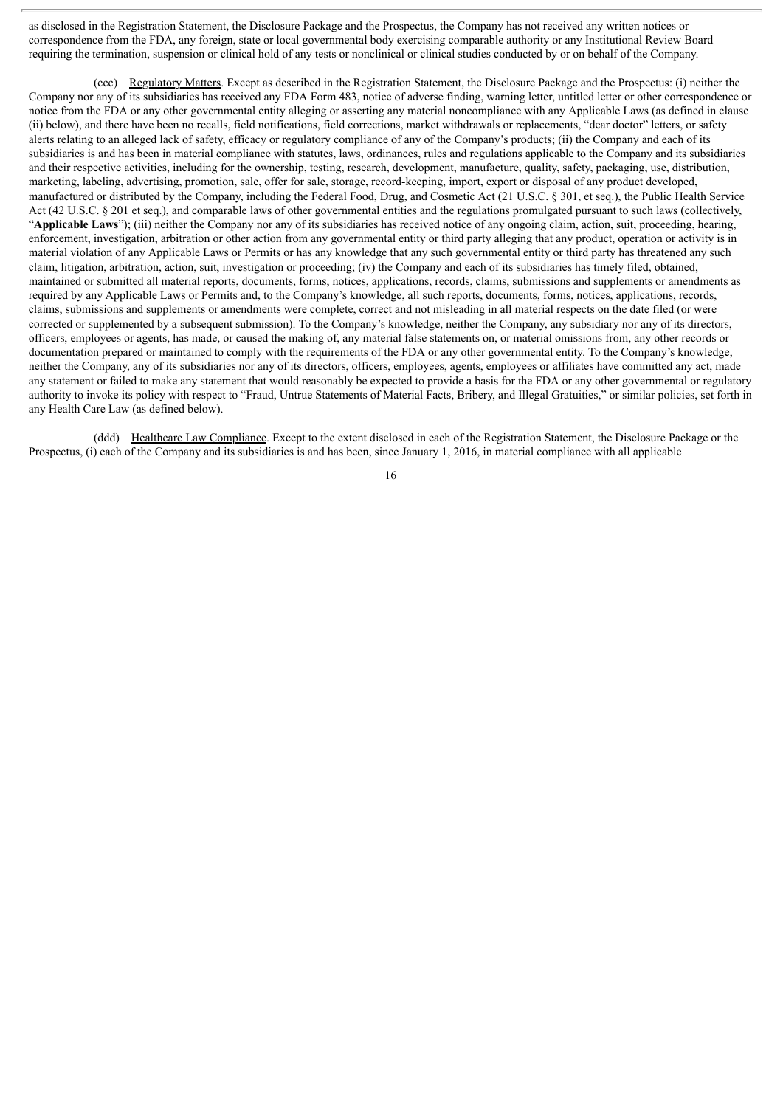as disclosed in the Registration Statement, the Disclosure Package and the Prospectus, the Company has not received any written notices or correspondence from the FDA, any foreign, state or local governmental body exercising comparable authority or any Institutional Review Board requiring the termination, suspension or clinical hold of any tests or nonclinical or clinical studies conducted by or on behalf of the Company.

(ccc) Regulatory Matters. Except as described in the Registration Statement, the Disclosure Package and the Prospectus: (i) neither the Company nor any of its subsidiaries has received any FDA Form 483, notice of adverse finding, warning letter, untitled letter or other correspondence or notice from the FDA or any other governmental entity alleging or asserting any material noncompliance with any Applicable Laws (as defined in clause (ii) below), and there have been no recalls, field notifications, field corrections, market withdrawals or replacements, "dear doctor" letters, or safety alerts relating to an alleged lack of safety, efficacy or regulatory compliance of any of the Company's products; (ii) the Company and each of its subsidiaries is and has been in material compliance with statutes, laws, ordinances, rules and regulations applicable to the Company and its subsidiaries and their respective activities, including for the ownership, testing, research, development, manufacture, quality, safety, packaging, use, distribution, marketing, labeling, advertising, promotion, sale, offer for sale, storage, record-keeping, import, export or disposal of any product developed, manufactured or distributed by the Company, including the Federal Food, Drug, and Cosmetic Act (21 U.S.C. § 301, et seq.), the Public Health Service Act (42 U.S.C. § 201 et seq.), and comparable laws of other governmental entities and the regulations promulgated pursuant to such laws (collectively, "**Applicable Laws**"); (iii) neither the Company nor any of its subsidiaries has received notice of any ongoing claim, action, suit, proceeding, hearing, enforcement, investigation, arbitration or other action from any governmental entity or third party alleging that any product, operation or activity is in material violation of any Applicable Laws or Permits or has any knowledge that any such governmental entity or third party has threatened any such claim, litigation, arbitration, action, suit, investigation or proceeding; (iv) the Company and each of its subsidiaries has timely filed, obtained, maintained or submitted all material reports, documents, forms, notices, applications, records, claims, submissions and supplements or amendments as required by any Applicable Laws or Permits and, to the Company's knowledge, all such reports, documents, forms, notices, applications, records, claims, submissions and supplements or amendments were complete, correct and not misleading in all material respects on the date filed (or were corrected or supplemented by a subsequent submission). To the Company's knowledge, neither the Company, any subsidiary nor any of its directors, officers, employees or agents, has made, or caused the making of, any material false statements on, or material omissions from, any other records or documentation prepared or maintained to comply with the requirements of the FDA or any other governmental entity. To the Company's knowledge, neither the Company, any of its subsidiaries nor any of its directors, officers, employees, agents, employees or affiliates have committed any act, made any statement or failed to make any statement that would reasonably be expected to provide a basis for the FDA or any other governmental or regulatory authority to invoke its policy with respect to "Fraud, Untrue Statements of Material Facts, Bribery, and Illegal Gratuities," or similar policies, set forth in any Health Care Law (as defined below).

(ddd) Healthcare Law Compliance. Except to the extent disclosed in each of the Registration Statement, the Disclosure Package or the Prospectus, (i) each of the Company and its subsidiaries is and has been, since January 1, 2016, in material compliance with all applicable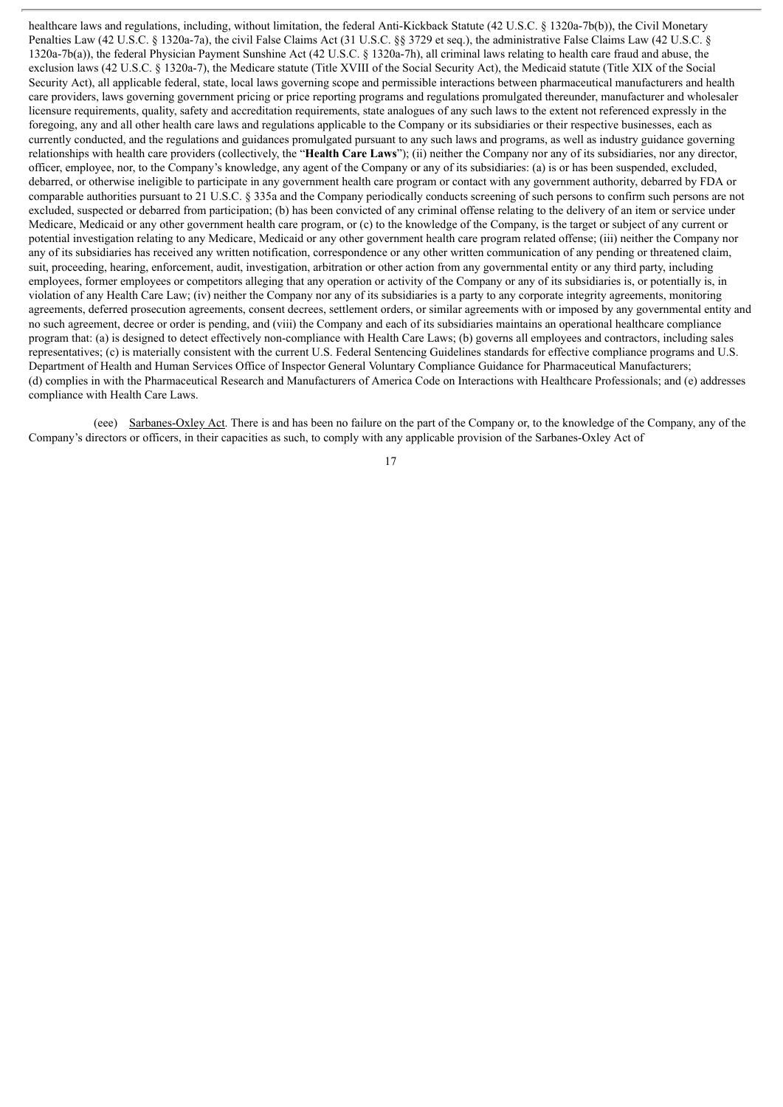healthcare laws and regulations, including, without limitation, the federal Anti-Kickback Statute (42 U.S.C. § 1320a-7b(b)), the Civil Monetary Penalties Law (42 U.S.C. § 1320a-7a), the civil False Claims Act (31 U.S.C. §§ 3729 et seq.), the administrative False Claims Law (42 U.S.C. § 1320a-7b(a)), the federal Physician Payment Sunshine Act (42 U.S.C. § 1320a-7h), all criminal laws relating to health care fraud and abuse, the exclusion laws (42 U.S.C. § 1320a-7), the Medicare statute (Title XVIII of the Social Security Act), the Medicaid statute (Title XIX of the Social Security Act), all applicable federal, state, local laws governing scope and permissible interactions between pharmaceutical manufacturers and health care providers, laws governing government pricing or price reporting programs and regulations promulgated thereunder, manufacturer and wholesaler licensure requirements, quality, safety and accreditation requirements, state analogues of any such laws to the extent not referenced expressly in the foregoing, any and all other health care laws and regulations applicable to the Company or its subsidiaries or their respective businesses, each as currently conducted, and the regulations and guidances promulgated pursuant to any such laws and programs, as well as industry guidance governing relationships with health care providers (collectively, the "**Health Care Laws**"); (ii) neither the Company nor any of its subsidiaries, nor any director, officer, employee, nor, to the Company's knowledge, any agent of the Company or any of its subsidiaries: (a) is or has been suspended, excluded, debarred, or otherwise ineligible to participate in any government health care program or contact with any government authority, debarred by FDA or comparable authorities pursuant to 21 U.S.C. § 335a and the Company periodically conducts screening of such persons to confirm such persons are not excluded, suspected or debarred from participation; (b) has been convicted of any criminal offense relating to the delivery of an item or service under Medicare, Medicaid or any other government health care program, or (c) to the knowledge of the Company, is the target or subject of any current or potential investigation relating to any Medicare, Medicaid or any other government health care program related offense; (iii) neither the Company nor any of its subsidiaries has received any written notification, correspondence or any other written communication of any pending or threatened claim, suit, proceeding, hearing, enforcement, audit, investigation, arbitration or other action from any governmental entity or any third party, including employees, former employees or competitors alleging that any operation or activity of the Company or any of its subsidiaries is, or potentially is, in violation of any Health Care Law; (iv) neither the Company nor any of its subsidiaries is a party to any corporate integrity agreements, monitoring agreements, deferred prosecution agreements, consent decrees, settlement orders, or similar agreements with or imposed by any governmental entity and no such agreement, decree or order is pending, and (viii) the Company and each of its subsidiaries maintains an operational healthcare compliance program that: (a) is designed to detect effectively non-compliance with Health Care Laws; (b) governs all employees and contractors, including sales representatives; (c) is materially consistent with the current U.S. Federal Sentencing Guidelines standards for effective compliance programs and U.S. Department of Health and Human Services Office of Inspector General Voluntary Compliance Guidance for Pharmaceutical Manufacturers; (d) complies in with the Pharmaceutical Research and Manufacturers of America Code on Interactions with Healthcare Professionals; and (e) addresses compliance with Health Care Laws.

(eee) Sarbanes-Oxley Act. There is and has been no failure on the part of the Company or, to the knowledge of the Company, any of the Company's directors or officers, in their capacities as such, to comply with any applicable provision of the Sarbanes-Oxley Act of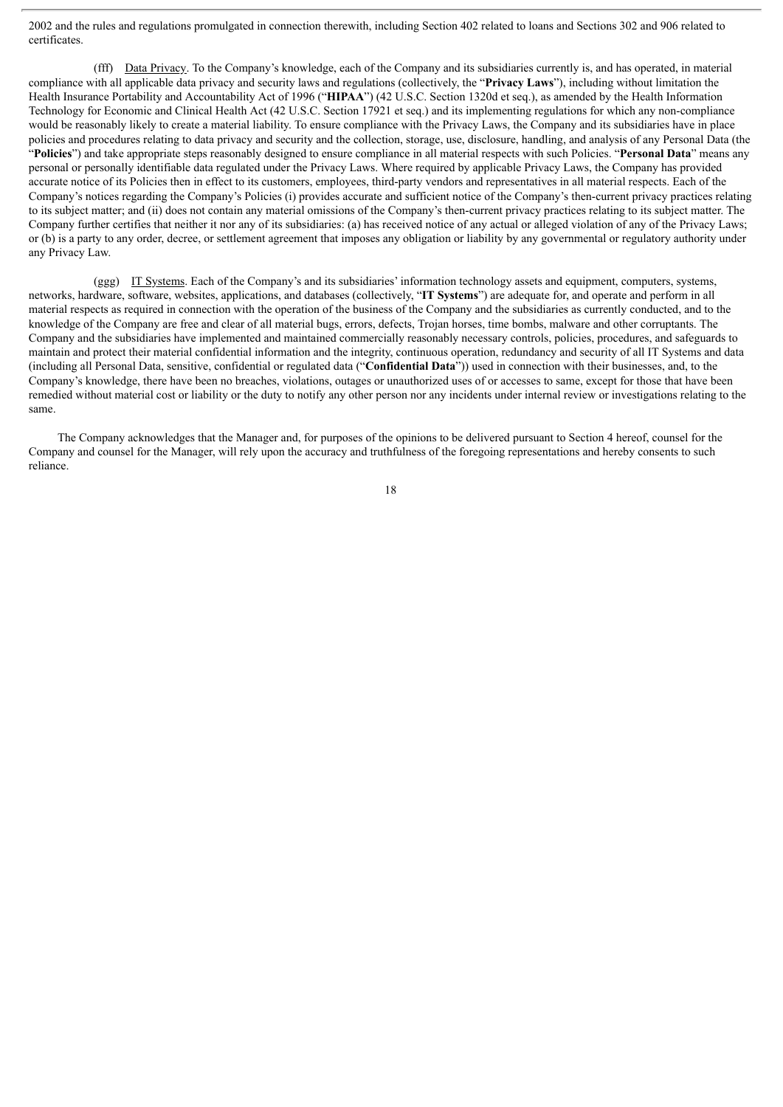2002 and the rules and regulations promulgated in connection therewith, including Section 402 related to loans and Sections 302 and 906 related to certificates.

(fff) Data Privacy. To the Company's knowledge, each of the Company and its subsidiaries currently is, and has operated, in material compliance with all applicable data privacy and security laws and regulations (collectively, the "**Privacy Laws**"), including without limitation the Health Insurance Portability and Accountability Act of 1996 ("**HIPAA**") (42 U.S.C. Section 1320d et seq.), as amended by the Health Information Technology for Economic and Clinical Health Act (42 U.S.C. Section 17921 et seq.) and its implementing regulations for which any non-compliance would be reasonably likely to create a material liability. To ensure compliance with the Privacy Laws, the Company and its subsidiaries have in place policies and procedures relating to data privacy and security and the collection, storage, use, disclosure, handling, and analysis of any Personal Data (the "**Policies**") and take appropriate steps reasonably designed to ensure compliance in all material respects with such Policies. "**Personal Data**" means any personal or personally identifiable data regulated under the Privacy Laws. Where required by applicable Privacy Laws, the Company has provided accurate notice of its Policies then in effect to its customers, employees, third-party vendors and representatives in all material respects. Each of the Company's notices regarding the Company's Policies (i) provides accurate and sufficient notice of the Company's then-current privacy practices relating to its subject matter; and (ii) does not contain any material omissions of the Company's then-current privacy practices relating to its subject matter. The Company further certifies that neither it nor any of its subsidiaries: (a) has received notice of any actual or alleged violation of any of the Privacy Laws; or (b) is a party to any order, decree, or settlement agreement that imposes any obligation or liability by any governmental or regulatory authority under any Privacy Law.

(ggg) IT Systems. Each of the Company's and its subsidiaries' information technology assets and equipment, computers, systems, networks, hardware, software, websites, applications, and databases (collectively, "**IT Systems**") are adequate for, and operate and perform in all material respects as required in connection with the operation of the business of the Company and the subsidiaries as currently conducted, and to the knowledge of the Company are free and clear of all material bugs, errors, defects, Trojan horses, time bombs, malware and other corruptants. The Company and the subsidiaries have implemented and maintained commercially reasonably necessary controls, policies, procedures, and safeguards to maintain and protect their material confidential information and the integrity, continuous operation, redundancy and security of all IT Systems and data (including all Personal Data, sensitive, confidential or regulated data ("**Confidential Data**")) used in connection with their businesses, and, to the Company's knowledge, there have been no breaches, violations, outages or unauthorized uses of or accesses to same, except for those that have been remedied without material cost or liability or the duty to notify any other person nor any incidents under internal review or investigations relating to the same.

The Company acknowledges that the Manager and, for purposes of the opinions to be delivered pursuant to Section 4 hereof, counsel for the Company and counsel for the Manager, will rely upon the accuracy and truthfulness of the foregoing representations and hereby consents to such reliance.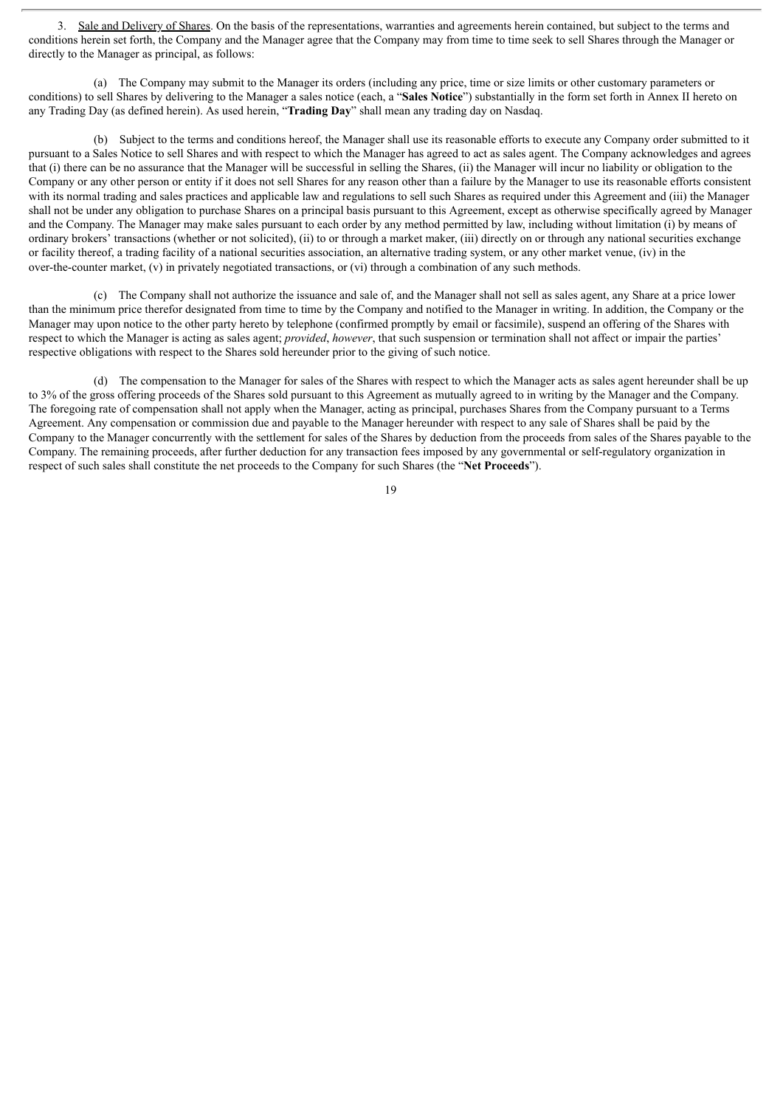3. Sale and Delivery of Shares. On the basis of the representations, warranties and agreements herein contained, but subject to the terms and conditions herein set forth, the Company and the Manager agree that the Company may from time to time seek to sell Shares through the Manager or directly to the Manager as principal, as follows:

(a) The Company may submit to the Manager its orders (including any price, time or size limits or other customary parameters or conditions) to sell Shares by delivering to the Manager a sales notice (each, a "**Sales Notice**") substantially in the form set forth in Annex II hereto on any Trading Day (as defined herein). As used herein, "**Trading Day**" shall mean any trading day on Nasdaq.

(b) Subject to the terms and conditions hereof, the Manager shall use its reasonable efforts to execute any Company order submitted to it pursuant to a Sales Notice to sell Shares and with respect to which the Manager has agreed to act as sales agent. The Company acknowledges and agrees that (i) there can be no assurance that the Manager will be successful in selling the Shares, (ii) the Manager will incur no liability or obligation to the Company or any other person or entity if it does not sell Shares for any reason other than a failure by the Manager to use its reasonable efforts consistent with its normal trading and sales practices and applicable law and regulations to sell such Shares as required under this Agreement and (iii) the Manager shall not be under any obligation to purchase Shares on a principal basis pursuant to this Agreement, except as otherwise specifically agreed by Manager and the Company. The Manager may make sales pursuant to each order by any method permitted by law, including without limitation (i) by means of ordinary brokers' transactions (whether or not solicited), (ii) to or through a market maker, (iii) directly on or through any national securities exchange or facility thereof, a trading facility of a national securities association, an alternative trading system, or any other market venue, (iv) in the over-the-counter market, (v) in privately negotiated transactions, or (vi) through a combination of any such methods.

(c) The Company shall not authorize the issuance and sale of, and the Manager shall not sell as sales agent, any Share at a price lower than the minimum price therefor designated from time to time by the Company and notified to the Manager in writing. In addition, the Company or the Manager may upon notice to the other party hereto by telephone (confirmed promptly by email or facsimile), suspend an offering of the Shares with respect to which the Manager is acting as sales agent; *provided*, *however*, that such suspension or termination shall not affect or impair the parties' respective obligations with respect to the Shares sold hereunder prior to the giving of such notice.

(d) The compensation to the Manager for sales of the Shares with respect to which the Manager acts as sales agent hereunder shall be up to 3% of the gross offering proceeds of the Shares sold pursuant to this Agreement as mutually agreed to in writing by the Manager and the Company. The foregoing rate of compensation shall not apply when the Manager, acting as principal, purchases Shares from the Company pursuant to a Terms Agreement. Any compensation or commission due and payable to the Manager hereunder with respect to any sale of Shares shall be paid by the Company to the Manager concurrently with the settlement for sales of the Shares by deduction from the proceeds from sales of the Shares payable to the Company. The remaining proceeds, after further deduction for any transaction fees imposed by any governmental or self-regulatory organization in respect of such sales shall constitute the net proceeds to the Company for such Shares (the "**Net Proceeds**").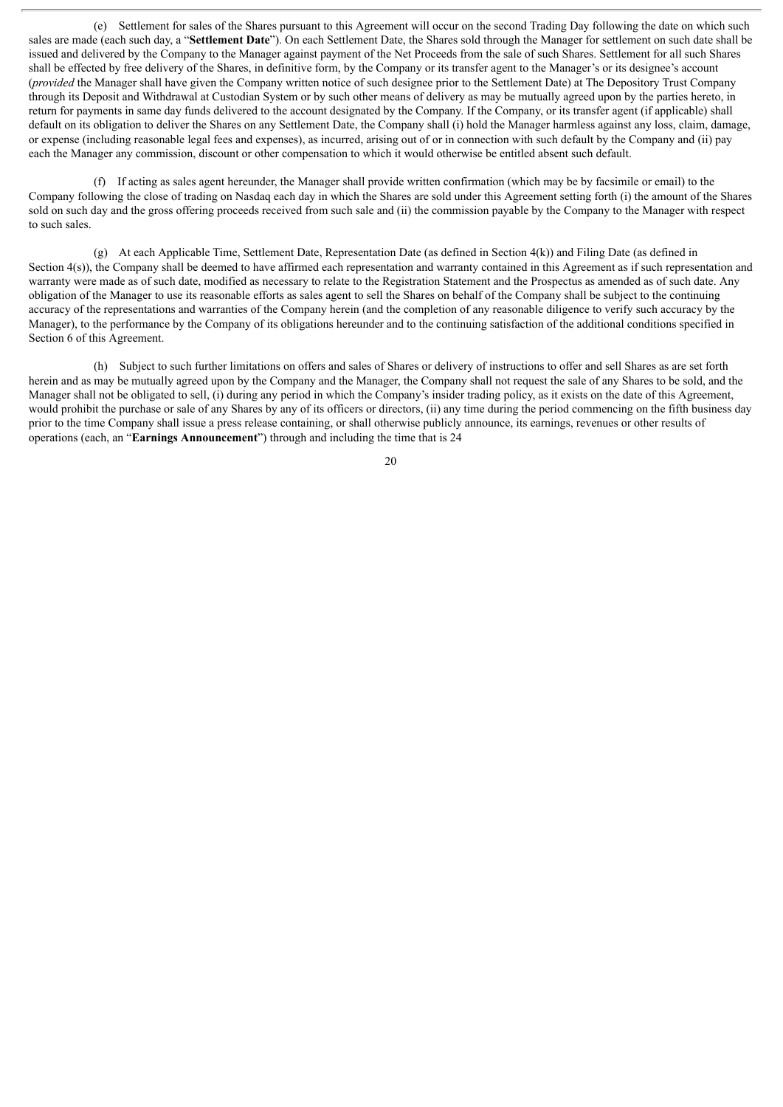(e) Settlement for sales of the Shares pursuant to this Agreement will occur on the second Trading Day following the date on which such sales are made (each such day, a "**Settlement Date**"). On each Settlement Date, the Shares sold through the Manager for settlement on such date shall be issued and delivered by the Company to the Manager against payment of the Net Proceeds from the sale of such Shares. Settlement for all such Shares shall be effected by free delivery of the Shares, in definitive form, by the Company or its transfer agent to the Manager's or its designee's account (*provided* the Manager shall have given the Company written notice of such designee prior to the Settlement Date) at The Depository Trust Company through its Deposit and Withdrawal at Custodian System or by such other means of delivery as may be mutually agreed upon by the parties hereto, in return for payments in same day funds delivered to the account designated by the Company. If the Company, or its transfer agent (if applicable) shall default on its obligation to deliver the Shares on any Settlement Date, the Company shall (i) hold the Manager harmless against any loss, claim, damage, or expense (including reasonable legal fees and expenses), as incurred, arising out of or in connection with such default by the Company and (ii) pay each the Manager any commission, discount or other compensation to which it would otherwise be entitled absent such default.

(f) If acting as sales agent hereunder, the Manager shall provide written confirmation (which may be by facsimile or email) to the Company following the close of trading on Nasdaq each day in which the Shares are sold under this Agreement setting forth (i) the amount of the Shares sold on such day and the gross offering proceeds received from such sale and (ii) the commission payable by the Company to the Manager with respect to such sales.

(g) At each Applicable Time, Settlement Date, Representation Date (as defined in Section 4(k)) and Filing Date (as defined in Section 4(s)), the Company shall be deemed to have affirmed each representation and warranty contained in this Agreement as if such representation and warranty were made as of such date, modified as necessary to relate to the Registration Statement and the Prospectus as amended as of such date. Any obligation of the Manager to use its reasonable efforts as sales agent to sell the Shares on behalf of the Company shall be subject to the continuing accuracy of the representations and warranties of the Company herein (and the completion of any reasonable diligence to verify such accuracy by the Manager), to the performance by the Company of its obligations hereunder and to the continuing satisfaction of the additional conditions specified in Section 6 of this Agreement.

(h) Subject to such further limitations on offers and sales of Shares or delivery of instructions to offer and sell Shares as are set forth herein and as may be mutually agreed upon by the Company and the Manager, the Company shall not request the sale of any Shares to be sold, and the Manager shall not be obligated to sell, (i) during any period in which the Company's insider trading policy, as it exists on the date of this Agreement, would prohibit the purchase or sale of any Shares by any of its officers or directors, (ii) any time during the period commencing on the fifth business day prior to the time Company shall issue a press release containing, or shall otherwise publicly announce, its earnings, revenues or other results of operations (each, an "**Earnings Announcement**") through and including the time that is 24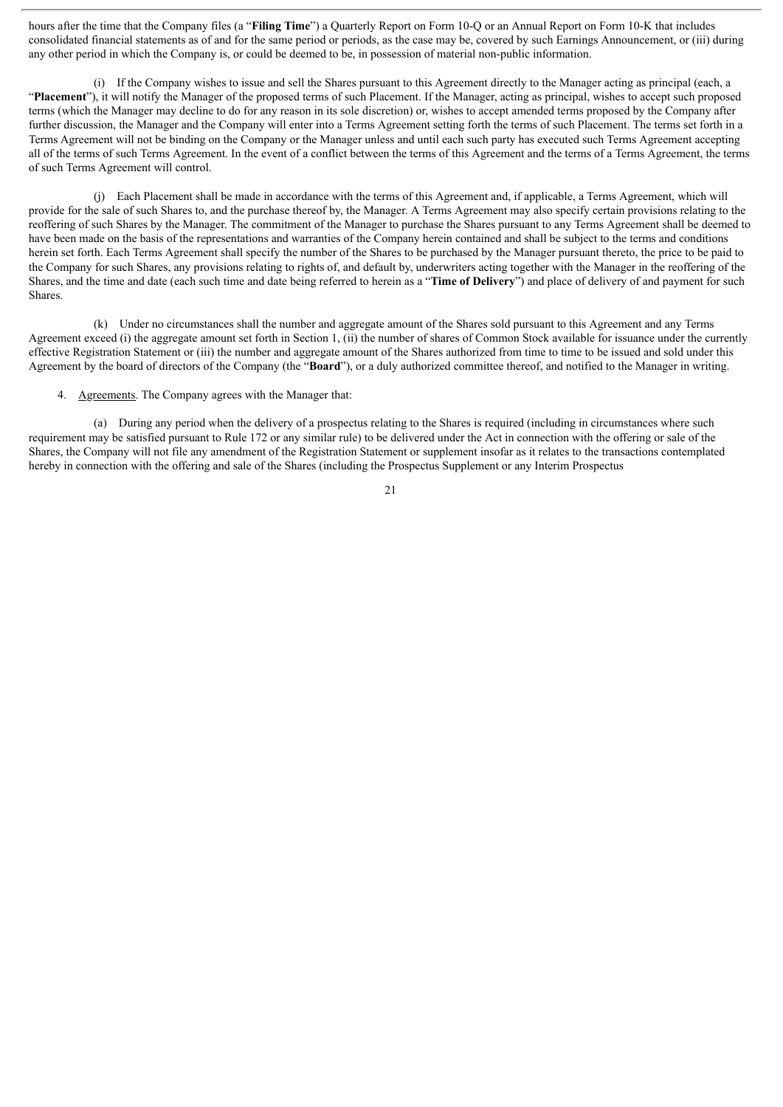hours after the time that the Company files (a "**Filing Time**") a Quarterly Report on Form 10-Q or an Annual Report on Form 10-K that includes consolidated financial statements as of and for the same period or periods, as the case may be, covered by such Earnings Announcement, or (iii) during any other period in which the Company is, or could be deemed to be, in possession of material non-public information.

(i) If the Company wishes to issue and sell the Shares pursuant to this Agreement directly to the Manager acting as principal (each, a "**Placement**"), it will notify the Manager of the proposed terms of such Placement. If the Manager, acting as principal, wishes to accept such proposed terms (which the Manager may decline to do for any reason in its sole discretion) or, wishes to accept amended terms proposed by the Company after further discussion, the Manager and the Company will enter into a Terms Agreement setting forth the terms of such Placement. The terms set forth in a Terms Agreement will not be binding on the Company or the Manager unless and until each such party has executed such Terms Agreement accepting all of the terms of such Terms Agreement. In the event of a conflict between the terms of this Agreement and the terms of a Terms Agreement, the terms of such Terms Agreement will control.

(j) Each Placement shall be made in accordance with the terms of this Agreement and, if applicable, a Terms Agreement, which will provide for the sale of such Shares to, and the purchase thereof by, the Manager. A Terms Agreement may also specify certain provisions relating to the reoffering of such Shares by the Manager. The commitment of the Manager to purchase the Shares pursuant to any Terms Agreement shall be deemed to have been made on the basis of the representations and warranties of the Company herein contained and shall be subject to the terms and conditions herein set forth. Each Terms Agreement shall specify the number of the Shares to be purchased by the Manager pursuant thereto, the price to be paid to the Company for such Shares, any provisions relating to rights of, and default by, underwriters acting together with the Manager in the reoffering of the Shares, and the time and date (each such time and date being referred to herein as a "**Time of Delivery**") and place of delivery of and payment for such Shares.

(k) Under no circumstances shall the number and aggregate amount of the Shares sold pursuant to this Agreement and any Terms Agreement exceed (i) the aggregate amount set forth in Section 1, (ii) the number of shares of Common Stock available for issuance under the currently effective Registration Statement or (iii) the number and aggregate amount of the Shares authorized from time to time to be issued and sold under this Agreement by the board of directors of the Company (the "**Board**"), or a duly authorized committee thereof, and notified to the Manager in writing.

4. Agreements. The Company agrees with the Manager that:

(a) During any period when the delivery of a prospectus relating to the Shares is required (including in circumstances where such requirement may be satisfied pursuant to Rule 172 or any similar rule) to be delivered under the Act in connection with the offering or sale of the Shares, the Company will not file any amendment of the Registration Statement or supplement insofar as it relates to the transactions contemplated hereby in connection with the offering and sale of the Shares (including the Prospectus Supplement or any Interim Prospectus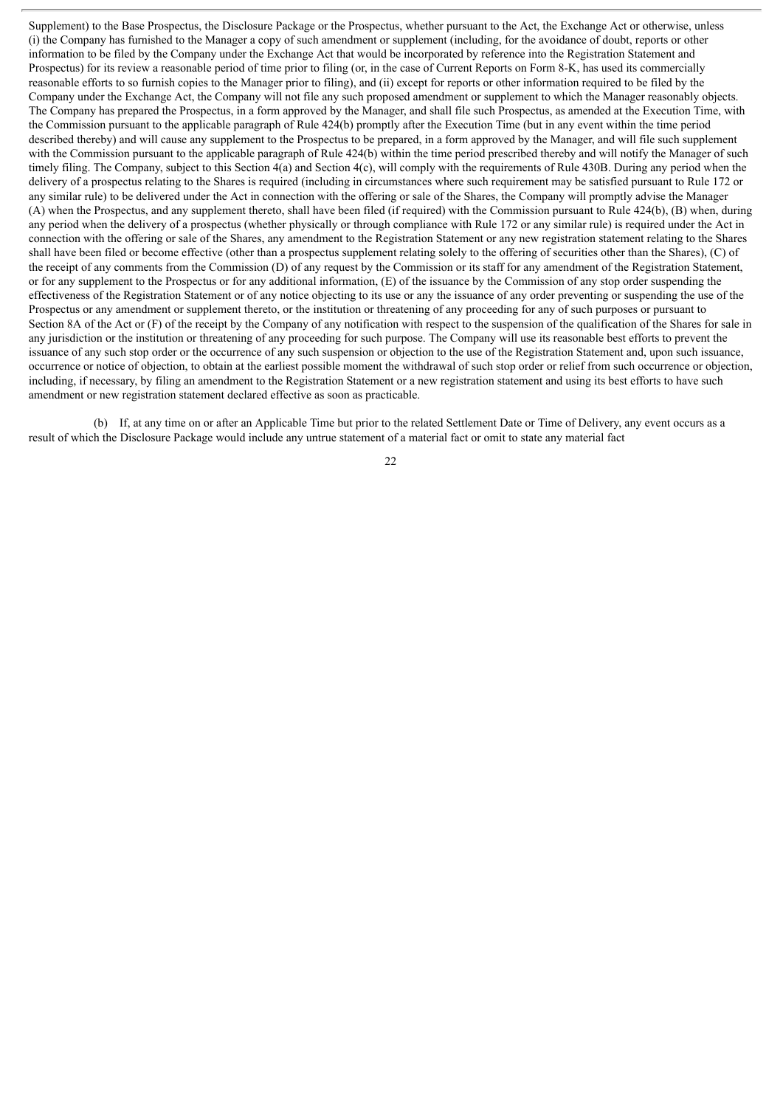Supplement) to the Base Prospectus, the Disclosure Package or the Prospectus, whether pursuant to the Act, the Exchange Act or otherwise, unless (i) the Company has furnished to the Manager a copy of such amendment or supplement (including, for the avoidance of doubt, reports or other information to be filed by the Company under the Exchange Act that would be incorporated by reference into the Registration Statement and Prospectus) for its review a reasonable period of time prior to filing (or, in the case of Current Reports on Form 8-K, has used its commercially reasonable efforts to so furnish copies to the Manager prior to filing), and (ii) except for reports or other information required to be filed by the Company under the Exchange Act, the Company will not file any such proposed amendment or supplement to which the Manager reasonably objects. The Company has prepared the Prospectus, in a form approved by the Manager, and shall file such Prospectus, as amended at the Execution Time, with the Commission pursuant to the applicable paragraph of Rule 424(b) promptly after the Execution Time (but in any event within the time period described thereby) and will cause any supplement to the Prospectus to be prepared, in a form approved by the Manager, and will file such supplement with the Commission pursuant to the applicable paragraph of Rule 424(b) within the time period prescribed thereby and will notify the Manager of such timely filing. The Company, subject to this Section 4(a) and Section 4(c), will comply with the requirements of Rule 430B. During any period when the delivery of a prospectus relating to the Shares is required (including in circumstances where such requirement may be satisfied pursuant to Rule 172 or any similar rule) to be delivered under the Act in connection with the offering or sale of the Shares, the Company will promptly advise the Manager (A) when the Prospectus, and any supplement thereto, shall have been filed (if required) with the Commission pursuant to Rule 424(b), (B) when, during any period when the delivery of a prospectus (whether physically or through compliance with Rule 172 or any similar rule) is required under the Act in connection with the offering or sale of the Shares, any amendment to the Registration Statement or any new registration statement relating to the Shares shall have been filed or become effective (other than a prospectus supplement relating solely to the offering of securities other than the Shares), (C) of the receipt of any comments from the Commission (D) of any request by the Commission or its staff for any amendment of the Registration Statement, or for any supplement to the Prospectus or for any additional information, (E) of the issuance by the Commission of any stop order suspending the effectiveness of the Registration Statement or of any notice objecting to its use or any the issuance of any order preventing or suspending the use of the Prospectus or any amendment or supplement thereto, or the institution or threatening of any proceeding for any of such purposes or pursuant to Section 8A of the Act or (F) of the receipt by the Company of any notification with respect to the suspension of the qualification of the Shares for sale in any jurisdiction or the institution or threatening of any proceeding for such purpose. The Company will use its reasonable best efforts to prevent the issuance of any such stop order or the occurrence of any such suspension or objection to the use of the Registration Statement and, upon such issuance, occurrence or notice of objection, to obtain at the earliest possible moment the withdrawal of such stop order or relief from such occurrence or objection, including, if necessary, by filing an amendment to the Registration Statement or a new registration statement and using its best efforts to have such amendment or new registration statement declared effective as soon as practicable.

(b) If, at any time on or after an Applicable Time but prior to the related Settlement Date or Time of Delivery, any event occurs as a result of which the Disclosure Package would include any untrue statement of a material fact or omit to state any material fact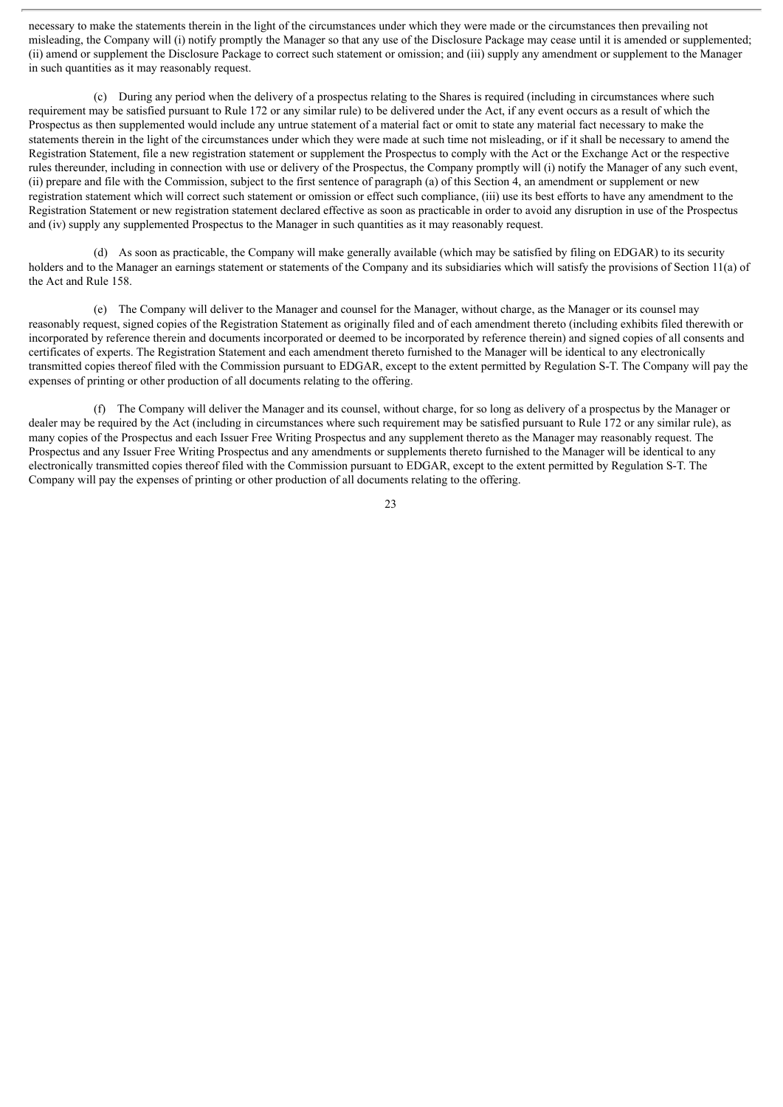necessary to make the statements therein in the light of the circumstances under which they were made or the circumstances then prevailing not misleading, the Company will (i) notify promptly the Manager so that any use of the Disclosure Package may cease until it is amended or supplemented; (ii) amend or supplement the Disclosure Package to correct such statement or omission; and (iii) supply any amendment or supplement to the Manager in such quantities as it may reasonably request.

(c) During any period when the delivery of a prospectus relating to the Shares is required (including in circumstances where such requirement may be satisfied pursuant to Rule 172 or any similar rule) to be delivered under the Act, if any event occurs as a result of which the Prospectus as then supplemented would include any untrue statement of a material fact or omit to state any material fact necessary to make the statements therein in the light of the circumstances under which they were made at such time not misleading, or if it shall be necessary to amend the Registration Statement, file a new registration statement or supplement the Prospectus to comply with the Act or the Exchange Act or the respective rules thereunder, including in connection with use or delivery of the Prospectus, the Company promptly will (i) notify the Manager of any such event, (ii) prepare and file with the Commission, subject to the first sentence of paragraph (a) of this Section 4, an amendment or supplement or new registration statement which will correct such statement or omission or effect such compliance, (iii) use its best efforts to have any amendment to the Registration Statement or new registration statement declared effective as soon as practicable in order to avoid any disruption in use of the Prospectus and (iv) supply any supplemented Prospectus to the Manager in such quantities as it may reasonably request.

(d) As soon as practicable, the Company will make generally available (which may be satisfied by filing on EDGAR) to its security holders and to the Manager an earnings statement or statements of the Company and its subsidiaries which will satisfy the provisions of Section 11(a) of the Act and Rule 158.

(e) The Company will deliver to the Manager and counsel for the Manager, without charge, as the Manager or its counsel may reasonably request, signed copies of the Registration Statement as originally filed and of each amendment thereto (including exhibits filed therewith or incorporated by reference therein and documents incorporated or deemed to be incorporated by reference therein) and signed copies of all consents and certificates of experts. The Registration Statement and each amendment thereto furnished to the Manager will be identical to any electronically transmitted copies thereof filed with the Commission pursuant to EDGAR, except to the extent permitted by Regulation S-T. The Company will pay the expenses of printing or other production of all documents relating to the offering.

(f) The Company will deliver the Manager and its counsel, without charge, for so long as delivery of a prospectus by the Manager or dealer may be required by the Act (including in circumstances where such requirement may be satisfied pursuant to Rule 172 or any similar rule), as many copies of the Prospectus and each Issuer Free Writing Prospectus and any supplement thereto as the Manager may reasonably request. The Prospectus and any Issuer Free Writing Prospectus and any amendments or supplements thereto furnished to the Manager will be identical to any electronically transmitted copies thereof filed with the Commission pursuant to EDGAR, except to the extent permitted by Regulation S-T. The Company will pay the expenses of printing or other production of all documents relating to the offering.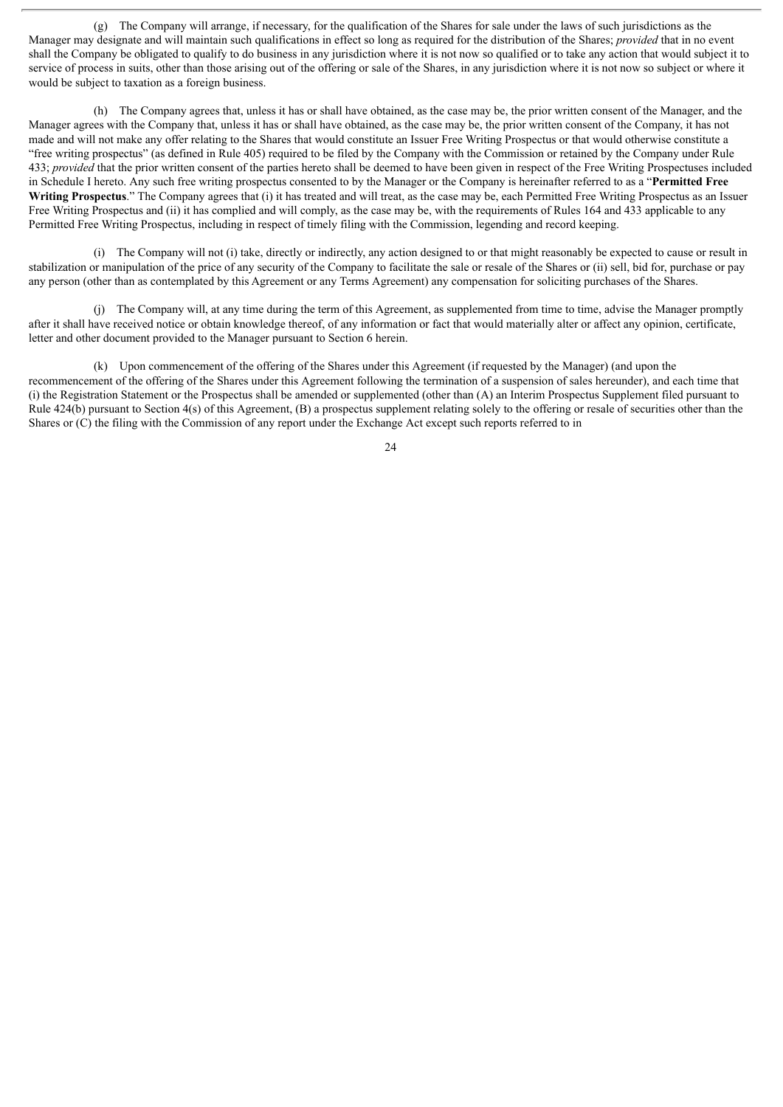(g) The Company will arrange, if necessary, for the qualification of the Shares for sale under the laws of such jurisdictions as the Manager may designate and will maintain such qualifications in effect so long as required for the distribution of the Shares; *provided* that in no event shall the Company be obligated to qualify to do business in any jurisdiction where it is not now so qualified or to take any action that would subject it to service of process in suits, other than those arising out of the offering or sale of the Shares, in any jurisdiction where it is not now so subject or where it would be subject to taxation as a foreign business.

(h) The Company agrees that, unless it has or shall have obtained, as the case may be, the prior written consent of the Manager, and the Manager agrees with the Company that, unless it has or shall have obtained, as the case may be, the prior written consent of the Company, it has not made and will not make any offer relating to the Shares that would constitute an Issuer Free Writing Prospectus or that would otherwise constitute a "free writing prospectus" (as defined in Rule 405) required to be filed by the Company with the Commission or retained by the Company under Rule 433; *provided* that the prior written consent of the parties hereto shall be deemed to have been given in respect of the Free Writing Prospectuses included in Schedule I hereto. Any such free writing prospectus consented to by the Manager or the Company is hereinafter referred to as a "**Permitted Free Writing Prospectus**." The Company agrees that (i) it has treated and will treat, as the case may be, each Permitted Free Writing Prospectus as an Issuer Free Writing Prospectus and (ii) it has complied and will comply, as the case may be, with the requirements of Rules 164 and 433 applicable to any Permitted Free Writing Prospectus, including in respect of timely filing with the Commission, legending and record keeping.

(i) The Company will not (i) take, directly or indirectly, any action designed to or that might reasonably be expected to cause or result in stabilization or manipulation of the price of any security of the Company to facilitate the sale or resale of the Shares or (ii) sell, bid for, purchase or pay any person (other than as contemplated by this Agreement or any Terms Agreement) any compensation for soliciting purchases of the Shares.

(j) The Company will, at any time during the term of this Agreement, as supplemented from time to time, advise the Manager promptly after it shall have received notice or obtain knowledge thereof, of any information or fact that would materially alter or affect any opinion, certificate, letter and other document provided to the Manager pursuant to Section 6 herein.

(k) Upon commencement of the offering of the Shares under this Agreement (if requested by the Manager) (and upon the recommencement of the offering of the Shares under this Agreement following the termination of a suspension of sales hereunder), and each time that (i) the Registration Statement or the Prospectus shall be amended or supplemented (other than (A) an Interim Prospectus Supplement filed pursuant to Rule 424(b) pursuant to Section 4(s) of this Agreement, (B) a prospectus supplement relating solely to the offering or resale of securities other than the Shares or (C) the filing with the Commission of any report under the Exchange Act except such reports referred to in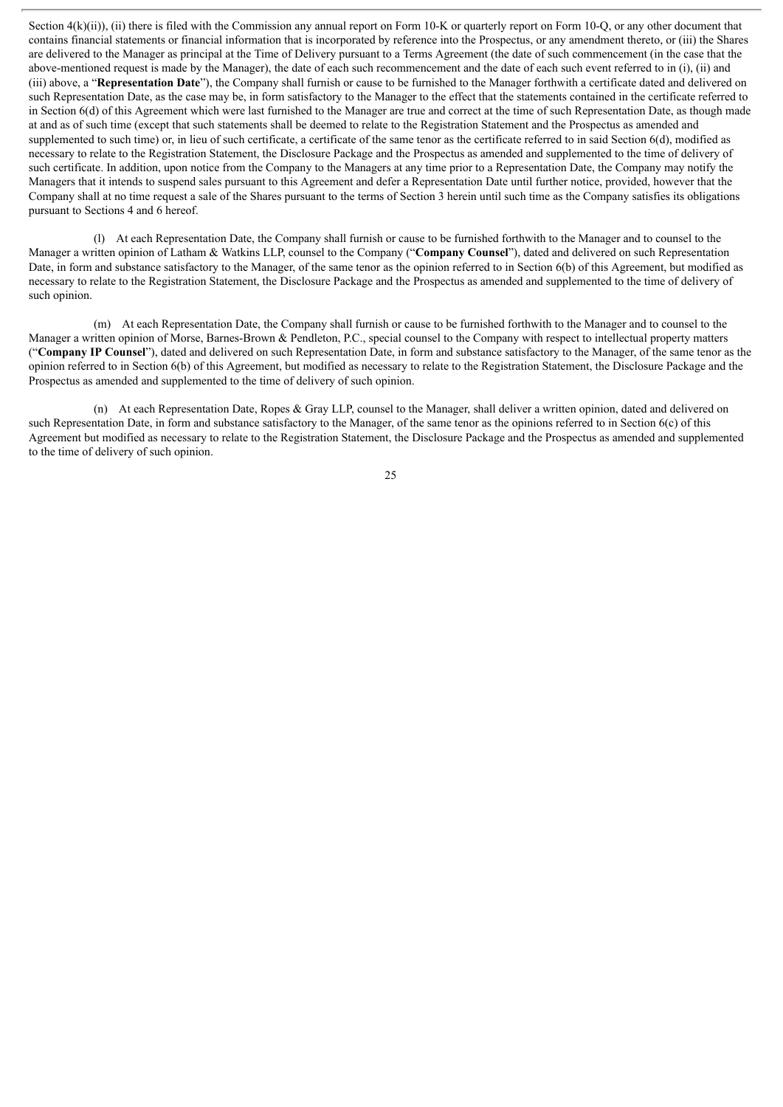Section  $4(k)(ii)$ , (ii) there is filed with the Commission any annual report on Form 10-K or quarterly report on Form 10-Q, or any other document that contains financial statements or financial information that is incorporated by reference into the Prospectus, or any amendment thereto, or (iii) the Shares are delivered to the Manager as principal at the Time of Delivery pursuant to a Terms Agreement (the date of such commencement (in the case that the above-mentioned request is made by the Manager), the date of each such recommencement and the date of each such event referred to in (i), (ii) and (iii) above, a "**Representation Date**"), the Company shall furnish or cause to be furnished to the Manager forthwith a certificate dated and delivered on such Representation Date, as the case may be, in form satisfactory to the Manager to the effect that the statements contained in the certificate referred to in Section 6(d) of this Agreement which were last furnished to the Manager are true and correct at the time of such Representation Date, as though made at and as of such time (except that such statements shall be deemed to relate to the Registration Statement and the Prospectus as amended and supplemented to such time) or, in lieu of such certificate, a certificate of the same tenor as the certificate referred to in said Section 6(d), modified as necessary to relate to the Registration Statement, the Disclosure Package and the Prospectus as amended and supplemented to the time of delivery of such certificate. In addition, upon notice from the Company to the Managers at any time prior to a Representation Date, the Company may notify the Managers that it intends to suspend sales pursuant to this Agreement and defer a Representation Date until further notice, provided, however that the Company shall at no time request a sale of the Shares pursuant to the terms of Section 3 herein until such time as the Company satisfies its obligations pursuant to Sections 4 and 6 hereof.

(l) At each Representation Date, the Company shall furnish or cause to be furnished forthwith to the Manager and to counsel to the Manager a written opinion of Latham & Watkins LLP, counsel to the Company ("**Company Counsel**"), dated and delivered on such Representation Date, in form and substance satisfactory to the Manager, of the same tenor as the opinion referred to in Section 6(b) of this Agreement, but modified as necessary to relate to the Registration Statement, the Disclosure Package and the Prospectus as amended and supplemented to the time of delivery of such opinion.

(m) At each Representation Date, the Company shall furnish or cause to be furnished forthwith to the Manager and to counsel to the Manager a written opinion of Morse, Barnes-Brown & Pendleton, P.C., special counsel to the Company with respect to intellectual property matters ("**Company IP Counsel**"), dated and delivered on such Representation Date, in form and substance satisfactory to the Manager, of the same tenor as the opinion referred to in Section 6(b) of this Agreement, but modified as necessary to relate to the Registration Statement, the Disclosure Package and the Prospectus as amended and supplemented to the time of delivery of such opinion.

(n) At each Representation Date, Ropes & Gray LLP, counsel to the Manager, shall deliver a written opinion, dated and delivered on such Representation Date, in form and substance satisfactory to the Manager, of the same tenor as the opinions referred to in Section 6(c) of this Agreement but modified as necessary to relate to the Registration Statement, the Disclosure Package and the Prospectus as amended and supplemented to the time of delivery of such opinion.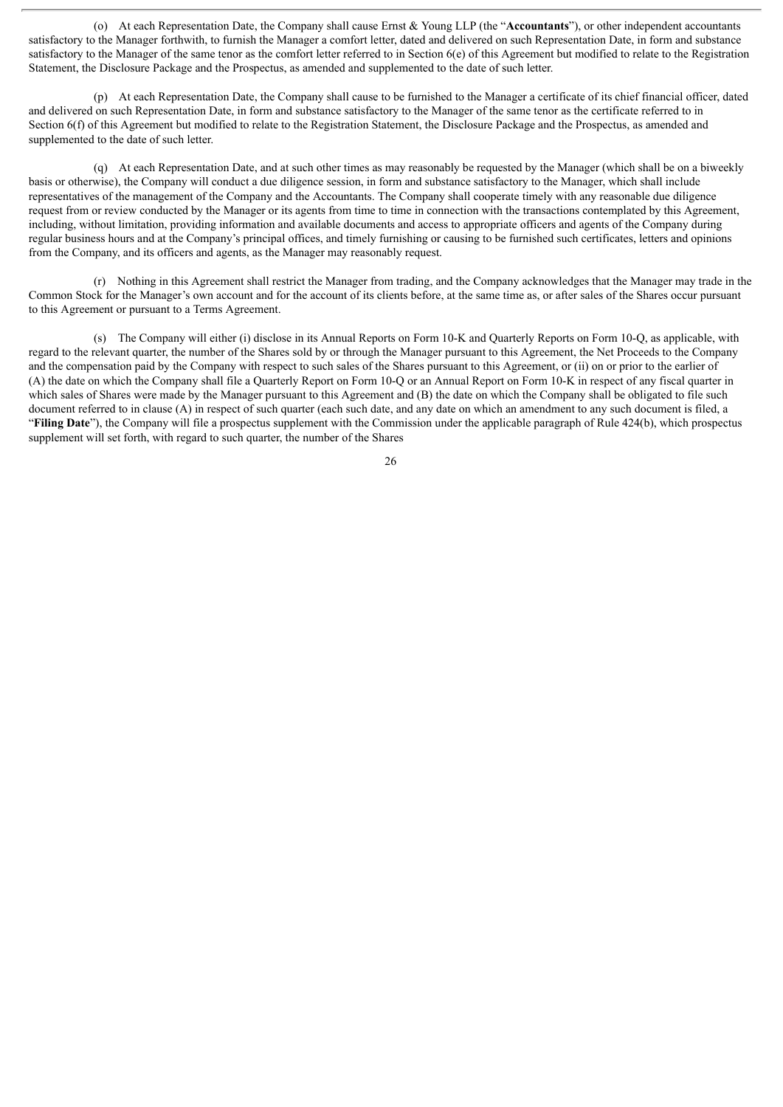(o) At each Representation Date, the Company shall cause Ernst & Young LLP (the "**Accountants**"), or other independent accountants satisfactory to the Manager forthwith, to furnish the Manager a comfort letter, dated and delivered on such Representation Date, in form and substance satisfactory to the Manager of the same tenor as the comfort letter referred to in Section 6(e) of this Agreement but modified to relate to the Registration Statement, the Disclosure Package and the Prospectus, as amended and supplemented to the date of such letter.

(p) At each Representation Date, the Company shall cause to be furnished to the Manager a certificate of its chief financial officer, dated and delivered on such Representation Date, in form and substance satisfactory to the Manager of the same tenor as the certificate referred to in Section 6(f) of this Agreement but modified to relate to the Registration Statement, the Disclosure Package and the Prospectus, as amended and supplemented to the date of such letter.

(q) At each Representation Date, and at such other times as may reasonably be requested by the Manager (which shall be on a biweekly basis or otherwise), the Company will conduct a due diligence session, in form and substance satisfactory to the Manager, which shall include representatives of the management of the Company and the Accountants. The Company shall cooperate timely with any reasonable due diligence request from or review conducted by the Manager or its agents from time to time in connection with the transactions contemplated by this Agreement, including, without limitation, providing information and available documents and access to appropriate officers and agents of the Company during regular business hours and at the Company's principal offices, and timely furnishing or causing to be furnished such certificates, letters and opinions from the Company, and its officers and agents, as the Manager may reasonably request.

(r) Nothing in this Agreement shall restrict the Manager from trading, and the Company acknowledges that the Manager may trade in the Common Stock for the Manager's own account and for the account of its clients before, at the same time as, or after sales of the Shares occur pursuant to this Agreement or pursuant to a Terms Agreement.

(s) The Company will either (i) disclose in its Annual Reports on Form 10-K and Quarterly Reports on Form 10-Q, as applicable, with regard to the relevant quarter, the number of the Shares sold by or through the Manager pursuant to this Agreement, the Net Proceeds to the Company and the compensation paid by the Company with respect to such sales of the Shares pursuant to this Agreement, or (ii) on or prior to the earlier of (A) the date on which the Company shall file a Quarterly Report on Form 10-Q or an Annual Report on Form 10-K in respect of any fiscal quarter in which sales of Shares were made by the Manager pursuant to this Agreement and (B) the date on which the Company shall be obligated to file such document referred to in clause (A) in respect of such quarter (each such date, and any date on which an amendment to any such document is filed, a "**Filing Date**"), the Company will file a prospectus supplement with the Commission under the applicable paragraph of Rule 424(b), which prospectus supplement will set forth, with regard to such quarter, the number of the Shares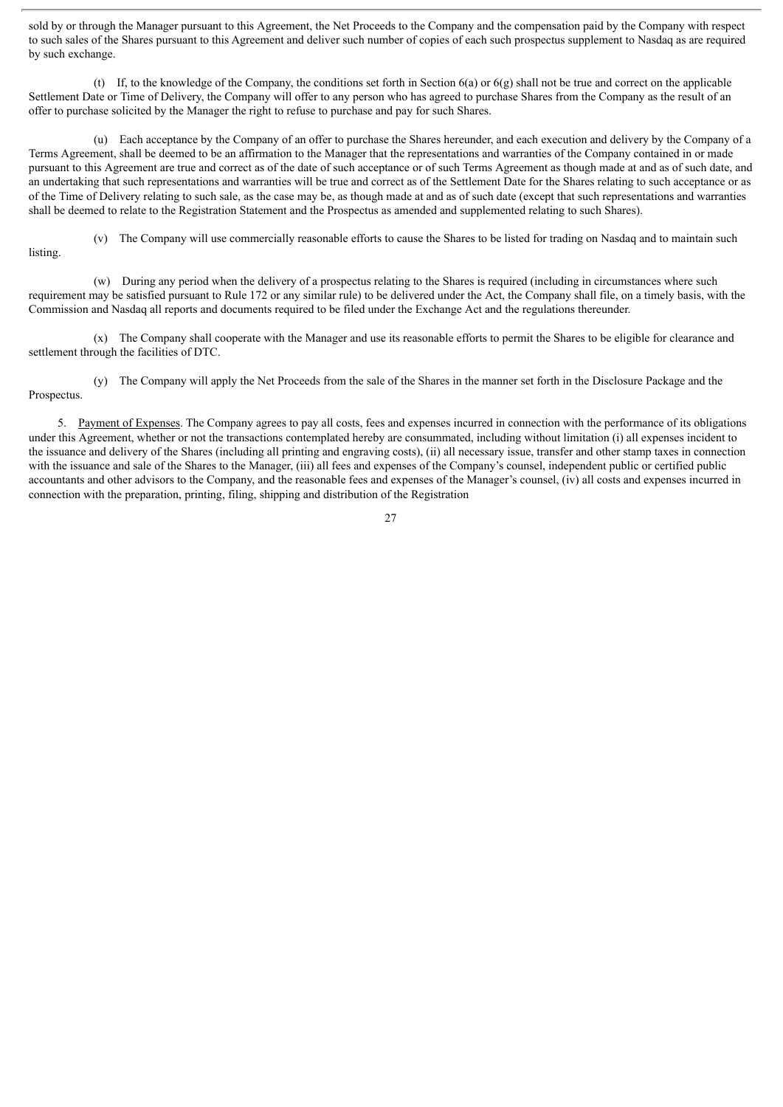sold by or through the Manager pursuant to this Agreement, the Net Proceeds to the Company and the compensation paid by the Company with respect to such sales of the Shares pursuant to this Agreement and deliver such number of copies of each such prospectus supplement to Nasdaq as are required by such exchange.

(t) If, to the knowledge of the Company, the conditions set forth in Section  $6(a)$  or  $6(g)$  shall not be true and correct on the applicable Settlement Date or Time of Delivery, the Company will offer to any person who has agreed to purchase Shares from the Company as the result of an offer to purchase solicited by the Manager the right to refuse to purchase and pay for such Shares.

(u) Each acceptance by the Company of an offer to purchase the Shares hereunder, and each execution and delivery by the Company of a Terms Agreement, shall be deemed to be an affirmation to the Manager that the representations and warranties of the Company contained in or made pursuant to this Agreement are true and correct as of the date of such acceptance or of such Terms Agreement as though made at and as of such date, and an undertaking that such representations and warranties will be true and correct as of the Settlement Date for the Shares relating to such acceptance or as of the Time of Delivery relating to such sale, as the case may be, as though made at and as of such date (except that such representations and warranties shall be deemed to relate to the Registration Statement and the Prospectus as amended and supplemented relating to such Shares).

(v) The Company will use commercially reasonable efforts to cause the Shares to be listed for trading on Nasdaq and to maintain such listing.

(w) During any period when the delivery of a prospectus relating to the Shares is required (including in circumstances where such requirement may be satisfied pursuant to Rule 172 or any similar rule) to be delivered under the Act, the Company shall file, on a timely basis, with the Commission and Nasdaq all reports and documents required to be filed under the Exchange Act and the regulations thereunder.

(x) The Company shall cooperate with the Manager and use its reasonable efforts to permit the Shares to be eligible for clearance and settlement through the facilities of DTC.

(y) The Company will apply the Net Proceeds from the sale of the Shares in the manner set forth in the Disclosure Package and the Prospectus.

5. Payment of Expenses. The Company agrees to pay all costs, fees and expenses incurred in connection with the performance of its obligations under this Agreement, whether or not the transactions contemplated hereby are consummated, including without limitation (i) all expenses incident to the issuance and delivery of the Shares (including all printing and engraving costs), (ii) all necessary issue, transfer and other stamp taxes in connection with the issuance and sale of the Shares to the Manager, (iii) all fees and expenses of the Company's counsel, independent public or certified public accountants and other advisors to the Company, and the reasonable fees and expenses of the Manager's counsel, (iv) all costs and expenses incurred in connection with the preparation, printing, filing, shipping and distribution of the Registration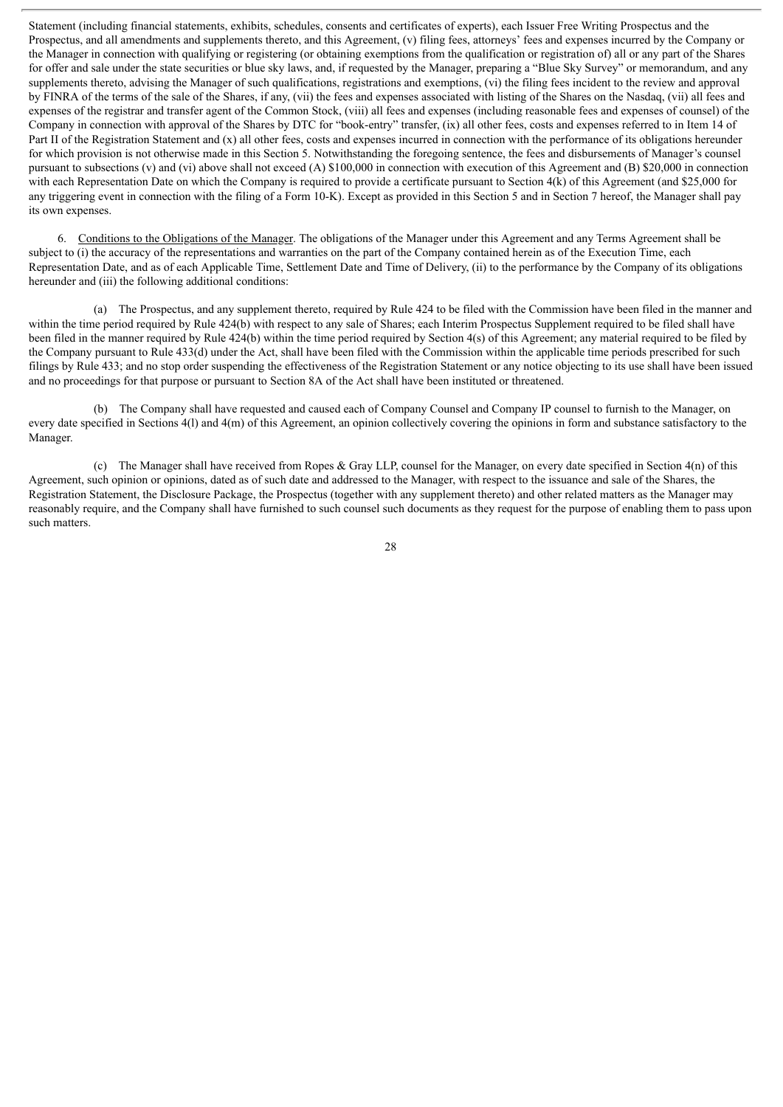Statement (including financial statements, exhibits, schedules, consents and certificates of experts), each Issuer Free Writing Prospectus and the Prospectus, and all amendments and supplements thereto, and this Agreement, (v) filing fees, attorneys' fees and expenses incurred by the Company or the Manager in connection with qualifying or registering (or obtaining exemptions from the qualification or registration of) all or any part of the Shares for offer and sale under the state securities or blue sky laws, and, if requested by the Manager, preparing a "Blue Sky Survey" or memorandum, and any supplements thereto, advising the Manager of such qualifications, registrations and exemptions, (vi) the filing fees incident to the review and approval by FINRA of the terms of the sale of the Shares, if any, (vii) the fees and expenses associated with listing of the Shares on the Nasdaq, (vii) all fees and expenses of the registrar and transfer agent of the Common Stock, (viii) all fees and expenses (including reasonable fees and expenses of counsel) of the Company in connection with approval of the Shares by DTC for "book-entry" transfer, (ix) all other fees, costs and expenses referred to in Item 14 of Part II of the Registration Statement and (x) all other fees, costs and expenses incurred in connection with the performance of its obligations hereunder for which provision is not otherwise made in this Section 5. Notwithstanding the foregoing sentence, the fees and disbursements of Manager's counsel pursuant to subsections (v) and (vi) above shall not exceed (A) \$100,000 in connection with execution of this Agreement and (B) \$20,000 in connection with each Representation Date on which the Company is required to provide a certificate pursuant to Section 4(k) of this Agreement (and \$25,000 for any triggering event in connection with the filing of a Form 10-K). Except as provided in this Section 5 and in Section 7 hereof, the Manager shall pay its own expenses.

6. Conditions to the Obligations of the Manager. The obligations of the Manager under this Agreement and any Terms Agreement shall be subject to (i) the accuracy of the representations and warranties on the part of the Company contained herein as of the Execution Time, each Representation Date, and as of each Applicable Time, Settlement Date and Time of Delivery, (ii) to the performance by the Company of its obligations hereunder and (iii) the following additional conditions:

(a) The Prospectus, and any supplement thereto, required by Rule 424 to be filed with the Commission have been filed in the manner and within the time period required by Rule 424(b) with respect to any sale of Shares; each Interim Prospectus Supplement required to be filed shall have been filed in the manner required by Rule 424(b) within the time period required by Section 4(s) of this Agreement; any material required to be filed by the Company pursuant to Rule 433(d) under the Act, shall have been filed with the Commission within the applicable time periods prescribed for such filings by Rule 433; and no stop order suspending the effectiveness of the Registration Statement or any notice objecting to its use shall have been issued and no proceedings for that purpose or pursuant to Section 8A of the Act shall have been instituted or threatened.

(b) The Company shall have requested and caused each of Company Counsel and Company IP counsel to furnish to the Manager, on every date specified in Sections 4(l) and 4(m) of this Agreement, an opinion collectively covering the opinions in form and substance satisfactory to the Manager.

(c) The Manager shall have received from Ropes & Gray LLP, counsel for the Manager, on every date specified in Section 4(n) of this Agreement, such opinion or opinions, dated as of such date and addressed to the Manager, with respect to the issuance and sale of the Shares, the Registration Statement, the Disclosure Package, the Prospectus (together with any supplement thereto) and other related matters as the Manager may reasonably require, and the Company shall have furnished to such counsel such documents as they request for the purpose of enabling them to pass upon such matters.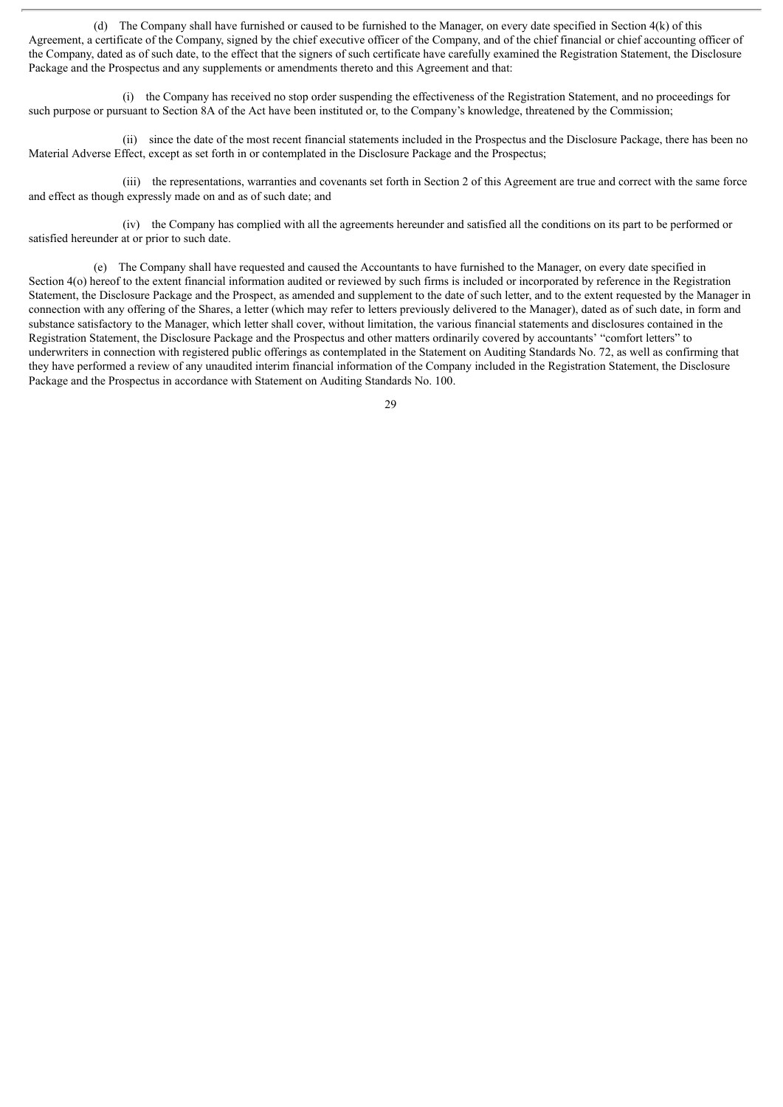(d) The Company shall have furnished or caused to be furnished to the Manager, on every date specified in Section 4(k) of this Agreement, a certificate of the Company, signed by the chief executive officer of the Company, and of the chief financial or chief accounting officer of the Company, dated as of such date, to the effect that the signers of such certificate have carefully examined the Registration Statement, the Disclosure Package and the Prospectus and any supplements or amendments thereto and this Agreement and that:

(i) the Company has received no stop order suspending the effectiveness of the Registration Statement, and no proceedings for such purpose or pursuant to Section 8A of the Act have been instituted or, to the Company's knowledge, threatened by the Commission;

(ii) since the date of the most recent financial statements included in the Prospectus and the Disclosure Package, there has been no Material Adverse Effect, except as set forth in or contemplated in the Disclosure Package and the Prospectus;

(iii) the representations, warranties and covenants set forth in Section 2 of this Agreement are true and correct with the same force and effect as though expressly made on and as of such date; and

(iv) the Company has complied with all the agreements hereunder and satisfied all the conditions on its part to be performed or satisfied hereunder at or prior to such date.

(e) The Company shall have requested and caused the Accountants to have furnished to the Manager, on every date specified in Section 4(o) hereof to the extent financial information audited or reviewed by such firms is included or incorporated by reference in the Registration Statement, the Disclosure Package and the Prospect, as amended and supplement to the date of such letter, and to the extent requested by the Manager in connection with any offering of the Shares, a letter (which may refer to letters previously delivered to the Manager), dated as of such date, in form and substance satisfactory to the Manager, which letter shall cover, without limitation, the various financial statements and disclosures contained in the Registration Statement, the Disclosure Package and the Prospectus and other matters ordinarily covered by accountants' "comfort letters" to underwriters in connection with registered public offerings as contemplated in the Statement on Auditing Standards No. 72, as well as confirming that they have performed a review of any unaudited interim financial information of the Company included in the Registration Statement, the Disclosure Package and the Prospectus in accordance with Statement on Auditing Standards No. 100.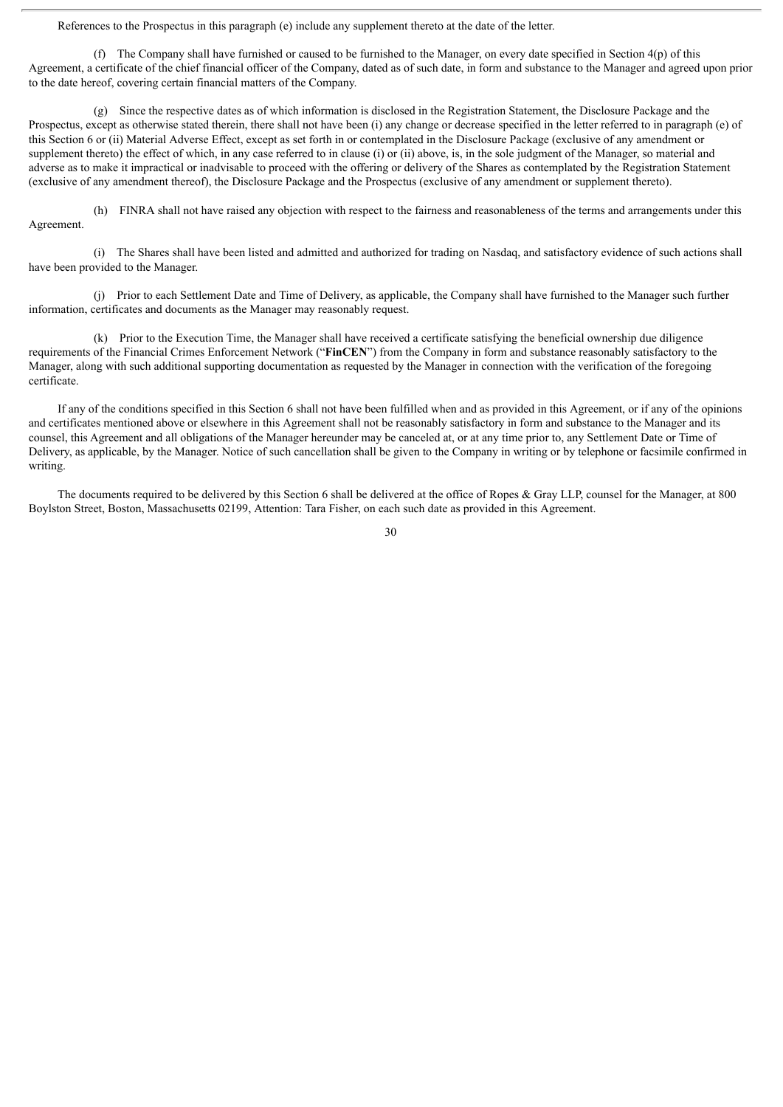References to the Prospectus in this paragraph (e) include any supplement thereto at the date of the letter.

(f) The Company shall have furnished or caused to be furnished to the Manager, on every date specified in Section  $4(p)$  of this Agreement, a certificate of the chief financial officer of the Company, dated as of such date, in form and substance to the Manager and agreed upon prior to the date hereof, covering certain financial matters of the Company.

(g) Since the respective dates as of which information is disclosed in the Registration Statement, the Disclosure Package and the Prospectus, except as otherwise stated therein, there shall not have been (i) any change or decrease specified in the letter referred to in paragraph (e) of this Section 6 or (ii) Material Adverse Effect, except as set forth in or contemplated in the Disclosure Package (exclusive of any amendment or supplement thereto) the effect of which, in any case referred to in clause (i) or (ii) above, is, in the sole judgment of the Manager, so material and adverse as to make it impractical or inadvisable to proceed with the offering or delivery of the Shares as contemplated by the Registration Statement (exclusive of any amendment thereof), the Disclosure Package and the Prospectus (exclusive of any amendment or supplement thereto).

(h) FINRA shall not have raised any objection with respect to the fairness and reasonableness of the terms and arrangements under this Agreement.

(i) The Shares shall have been listed and admitted and authorized for trading on Nasdaq, and satisfactory evidence of such actions shall have been provided to the Manager.

(j) Prior to each Settlement Date and Time of Delivery, as applicable, the Company shall have furnished to the Manager such further information, certificates and documents as the Manager may reasonably request.

(k) Prior to the Execution Time, the Manager shall have received a certificate satisfying the beneficial ownership due diligence requirements of the Financial Crimes Enforcement Network ("**FinCEN**") from the Company in form and substance reasonably satisfactory to the Manager, along with such additional supporting documentation as requested by the Manager in connection with the verification of the foregoing certificate.

If any of the conditions specified in this Section 6 shall not have been fulfilled when and as provided in this Agreement, or if any of the opinions and certificates mentioned above or elsewhere in this Agreement shall not be reasonably satisfactory in form and substance to the Manager and its counsel, this Agreement and all obligations of the Manager hereunder may be canceled at, or at any time prior to, any Settlement Date or Time of Delivery, as applicable, by the Manager. Notice of such cancellation shall be given to the Company in writing or by telephone or facsimile confirmed in writing.

The documents required to be delivered by this Section 6 shall be delivered at the office of Ropes & Gray LLP, counsel for the Manager, at 800 Boylston Street, Boston, Massachusetts 02199, Attention: Tara Fisher, on each such date as provided in this Agreement.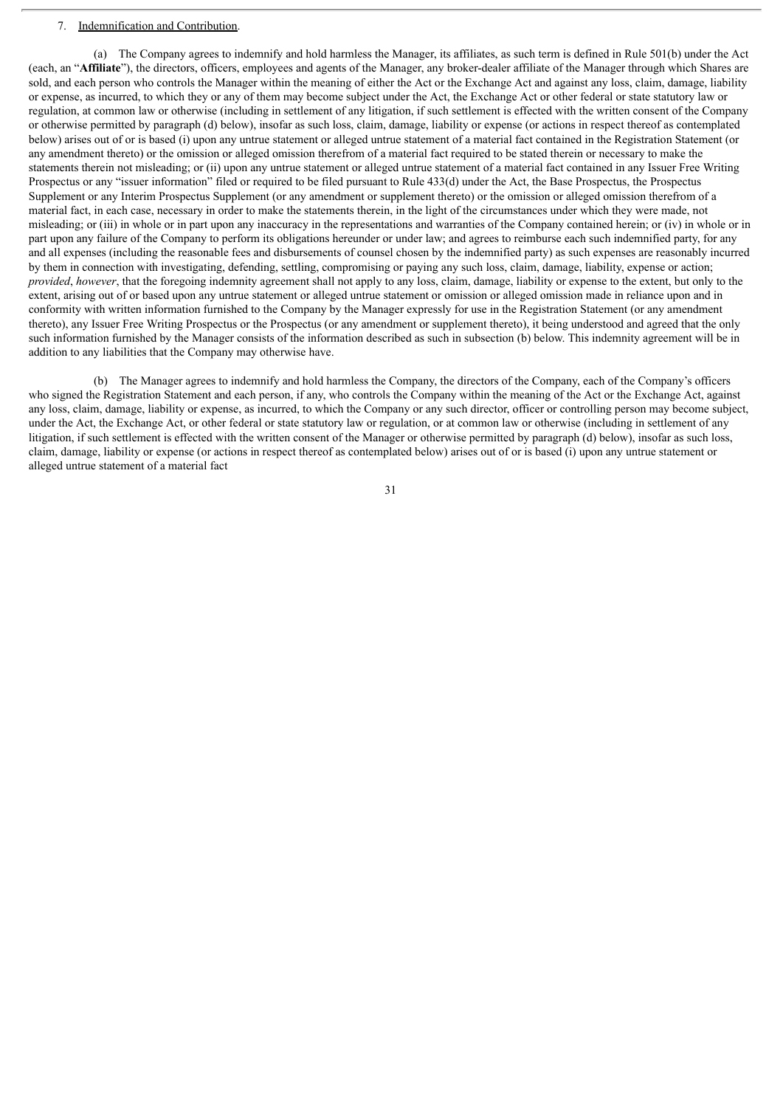# 7. Indemnification and Contribution.

(a) The Company agrees to indemnify and hold harmless the Manager, its affiliates, as such term is defined in Rule 501(b) under the Act (each, an "**Affiliate**"), the directors, officers, employees and agents of the Manager, any broker-dealer affiliate of the Manager through which Shares are sold, and each person who controls the Manager within the meaning of either the Act or the Exchange Act and against any loss, claim, damage, liability or expense, as incurred, to which they or any of them may become subject under the Act, the Exchange Act or other federal or state statutory law or regulation, at common law or otherwise (including in settlement of any litigation, if such settlement is effected with the written consent of the Company or otherwise permitted by paragraph (d) below), insofar as such loss, claim, damage, liability or expense (or actions in respect thereof as contemplated below) arises out of or is based (i) upon any untrue statement or alleged untrue statement of a material fact contained in the Registration Statement (or any amendment thereto) or the omission or alleged omission therefrom of a material fact required to be stated therein or necessary to make the statements therein not misleading; or (ii) upon any untrue statement or alleged untrue statement of a material fact contained in any Issuer Free Writing Prospectus or any "issuer information" filed or required to be filed pursuant to Rule 433(d) under the Act, the Base Prospectus, the Prospectus Supplement or any Interim Prospectus Supplement (or any amendment or supplement thereto) or the omission or alleged omission therefrom of a material fact, in each case, necessary in order to make the statements therein, in the light of the circumstances under which they were made, not misleading; or (iii) in whole or in part upon any inaccuracy in the representations and warranties of the Company contained herein; or (iv) in whole or in part upon any failure of the Company to perform its obligations hereunder or under law; and agrees to reimburse each such indemnified party, for any and all expenses (including the reasonable fees and disbursements of counsel chosen by the indemnified party) as such expenses are reasonably incurred by them in connection with investigating, defending, settling, compromising or paying any such loss, claim, damage, liability, expense or action; *provided, however*, that the foregoing indemnity agreement shall not apply to any loss, claim, damage, liability or expense to the extent, but only to the extent, arising out of or based upon any untrue statement or alleged untrue statement or omission or alleged omission made in reliance upon and in conformity with written information furnished to the Company by the Manager expressly for use in the Registration Statement (or any amendment thereto), any Issuer Free Writing Prospectus or the Prospectus (or any amendment or supplement thereto), it being understood and agreed that the only such information furnished by the Manager consists of the information described as such in subsection (b) below. This indemnity agreement will be in addition to any liabilities that the Company may otherwise have.

(b) The Manager agrees to indemnify and hold harmless the Company, the directors of the Company, each of the Company's officers who signed the Registration Statement and each person, if any, who controls the Company within the meaning of the Act or the Exchange Act, against any loss, claim, damage, liability or expense, as incurred, to which the Company or any such director, officer or controlling person may become subject, under the Act, the Exchange Act, or other federal or state statutory law or regulation, or at common law or otherwise (including in settlement of any litigation, if such settlement is effected with the written consent of the Manager or otherwise permitted by paragraph (d) below), insofar as such loss, claim, damage, liability or expense (or actions in respect thereof as contemplated below) arises out of or is based (i) upon any untrue statement or alleged untrue statement of a material fact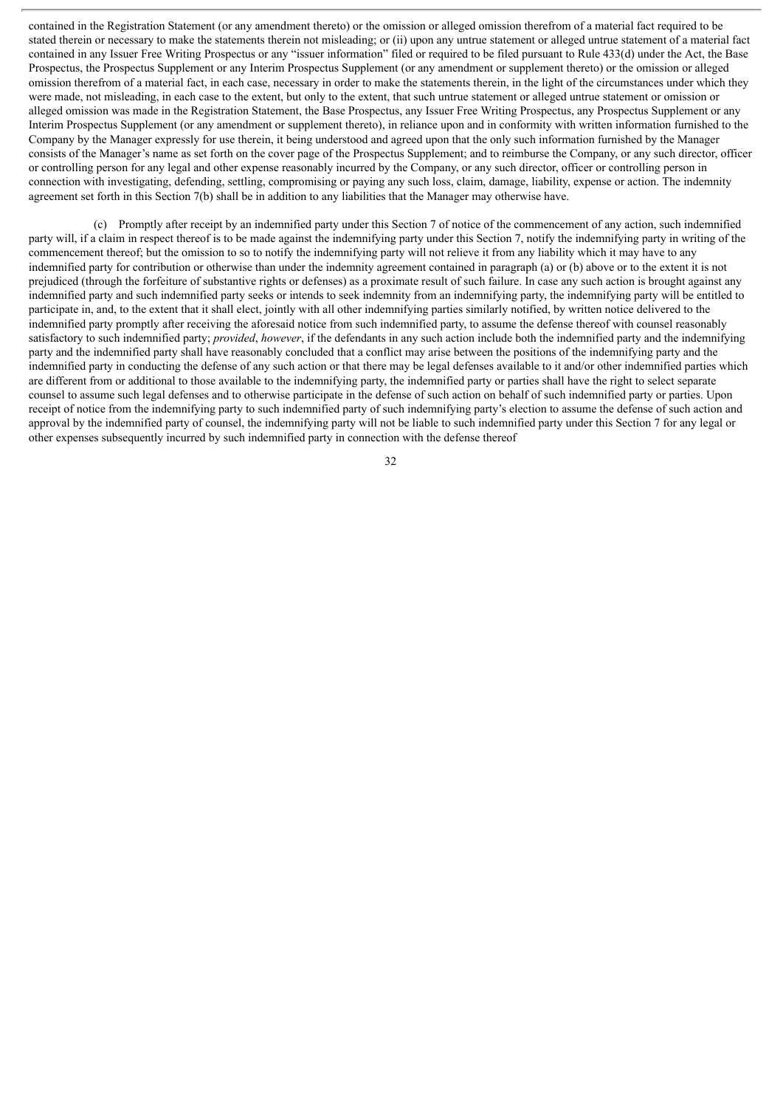contained in the Registration Statement (or any amendment thereto) or the omission or alleged omission therefrom of a material fact required to be stated therein or necessary to make the statements therein not misleading; or (ii) upon any untrue statement or alleged untrue statement of a material fact contained in any Issuer Free Writing Prospectus or any "issuer information" filed or required to be filed pursuant to Rule 433(d) under the Act, the Base Prospectus, the Prospectus Supplement or any Interim Prospectus Supplement (or any amendment or supplement thereto) or the omission or alleged omission therefrom of a material fact, in each case, necessary in order to make the statements therein, in the light of the circumstances under which they were made, not misleading, in each case to the extent, but only to the extent, that such untrue statement or alleged untrue statement or omission or alleged omission was made in the Registration Statement, the Base Prospectus, any Issuer Free Writing Prospectus, any Prospectus Supplement or any Interim Prospectus Supplement (or any amendment or supplement thereto), in reliance upon and in conformity with written information furnished to the Company by the Manager expressly for use therein, it being understood and agreed upon that the only such information furnished by the Manager consists of the Manager's name as set forth on the cover page of the Prospectus Supplement; and to reimburse the Company, or any such director, officer or controlling person for any legal and other expense reasonably incurred by the Company, or any such director, officer or controlling person in connection with investigating, defending, settling, compromising or paying any such loss, claim, damage, liability, expense or action. The indemnity agreement set forth in this Section 7(b) shall be in addition to any liabilities that the Manager may otherwise have.

(c) Promptly after receipt by an indemnified party under this Section 7 of notice of the commencement of any action, such indemnified party will, if a claim in respect thereof is to be made against the indemnifying party under this Section 7, notify the indemnifying party in writing of the commencement thereof; but the omission to so to notify the indemnifying party will not relieve it from any liability which it may have to any indemnified party for contribution or otherwise than under the indemnity agreement contained in paragraph (a) or (b) above or to the extent it is not prejudiced (through the forfeiture of substantive rights or defenses) as a proximate result of such failure. In case any such action is brought against any indemnified party and such indemnified party seeks or intends to seek indemnity from an indemnifying party, the indemnifying party will be entitled to participate in, and, to the extent that it shall elect, jointly with all other indemnifying parties similarly notified, by written notice delivered to the indemnified party promptly after receiving the aforesaid notice from such indemnified party, to assume the defense thereof with counsel reasonably satisfactory to such indemnified party; *provided*, *however*, if the defendants in any such action include both the indemnified party and the indemnifying party and the indemnified party shall have reasonably concluded that a conflict may arise between the positions of the indemnifying party and the indemnified party in conducting the defense of any such action or that there may be legal defenses available to it and/or other indemnified parties which are different from or additional to those available to the indemnifying party, the indemnified party or parties shall have the right to select separate counsel to assume such legal defenses and to otherwise participate in the defense of such action on behalf of such indemnified party or parties. Upon receipt of notice from the indemnifying party to such indemnified party of such indemnifying party's election to assume the defense of such action and approval by the indemnified party of counsel, the indemnifying party will not be liable to such indemnified party under this Section 7 for any legal or other expenses subsequently incurred by such indemnified party in connection with the defense thereof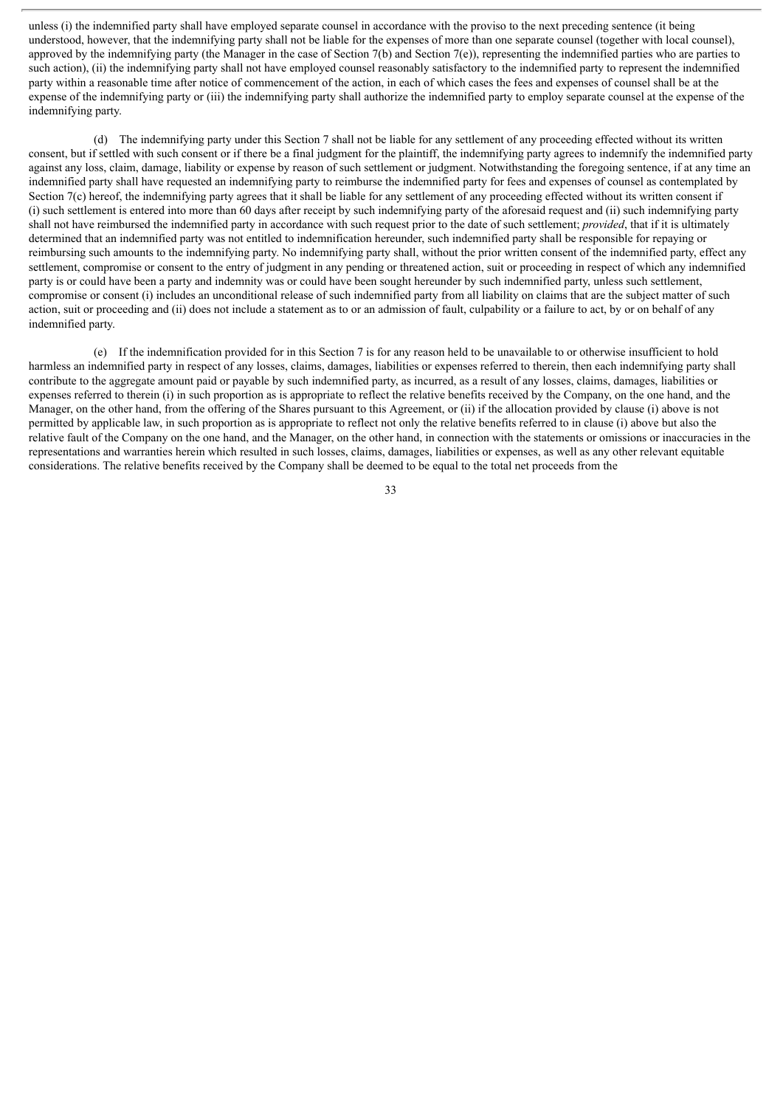unless (i) the indemnified party shall have employed separate counsel in accordance with the proviso to the next preceding sentence (it being understood, however, that the indemnifying party shall not be liable for the expenses of more than one separate counsel (together with local counsel), approved by the indemnifying party (the Manager in the case of Section 7(b) and Section 7(e)), representing the indemnified parties who are parties to such action), (ii) the indemnifying party shall not have employed counsel reasonably satisfactory to the indemnified party to represent the indemnified party within a reasonable time after notice of commencement of the action, in each of which cases the fees and expenses of counsel shall be at the expense of the indemnifying party or (iii) the indemnifying party shall authorize the indemnified party to employ separate counsel at the expense of the indemnifying party.

(d) The indemnifying party under this Section 7 shall not be liable for any settlement of any proceeding effected without its written consent, but if settled with such consent or if there be a final judgment for the plaintiff, the indemnifying party agrees to indemnify the indemnified party against any loss, claim, damage, liability or expense by reason of such settlement or judgment. Notwithstanding the foregoing sentence, if at any time an indemnified party shall have requested an indemnifying party to reimburse the indemnified party for fees and expenses of counsel as contemplated by Section 7(c) hereof, the indemnifying party agrees that it shall be liable for any settlement of any proceeding effected without its written consent if (i) such settlement is entered into more than 60 days after receipt by such indemnifying party of the aforesaid request and (ii) such indemnifying party shall not have reimbursed the indemnified party in accordance with such request prior to the date of such settlement; *provided*, that if it is ultimately determined that an indemnified party was not entitled to indemnification hereunder, such indemnified party shall be responsible for repaying or reimbursing such amounts to the indemnifying party. No indemnifying party shall, without the prior written consent of the indemnified party, effect any settlement, compromise or consent to the entry of judgment in any pending or threatened action, suit or proceeding in respect of which any indemnified party is or could have been a party and indemnity was or could have been sought hereunder by such indemnified party, unless such settlement, compromise or consent (i) includes an unconditional release of such indemnified party from all liability on claims that are the subject matter of such action, suit or proceeding and (ii) does not include a statement as to or an admission of fault, culpability or a failure to act, by or on behalf of any indemnified party.

(e) If the indemnification provided for in this Section 7 is for any reason held to be unavailable to or otherwise insufficient to hold harmless an indemnified party in respect of any losses, claims, damages, liabilities or expenses referred to therein, then each indemnifying party shall contribute to the aggregate amount paid or payable by such indemnified party, as incurred, as a result of any losses, claims, damages, liabilities or expenses referred to therein (i) in such proportion as is appropriate to reflect the relative benefits received by the Company, on the one hand, and the Manager, on the other hand, from the offering of the Shares pursuant to this Agreement, or (ii) if the allocation provided by clause (i) above is not permitted by applicable law, in such proportion as is appropriate to reflect not only the relative benefits referred to in clause (i) above but also the relative fault of the Company on the one hand, and the Manager, on the other hand, in connection with the statements or omissions or inaccuracies in the representations and warranties herein which resulted in such losses, claims, damages, liabilities or expenses, as well as any other relevant equitable considerations. The relative benefits received by the Company shall be deemed to be equal to the total net proceeds from the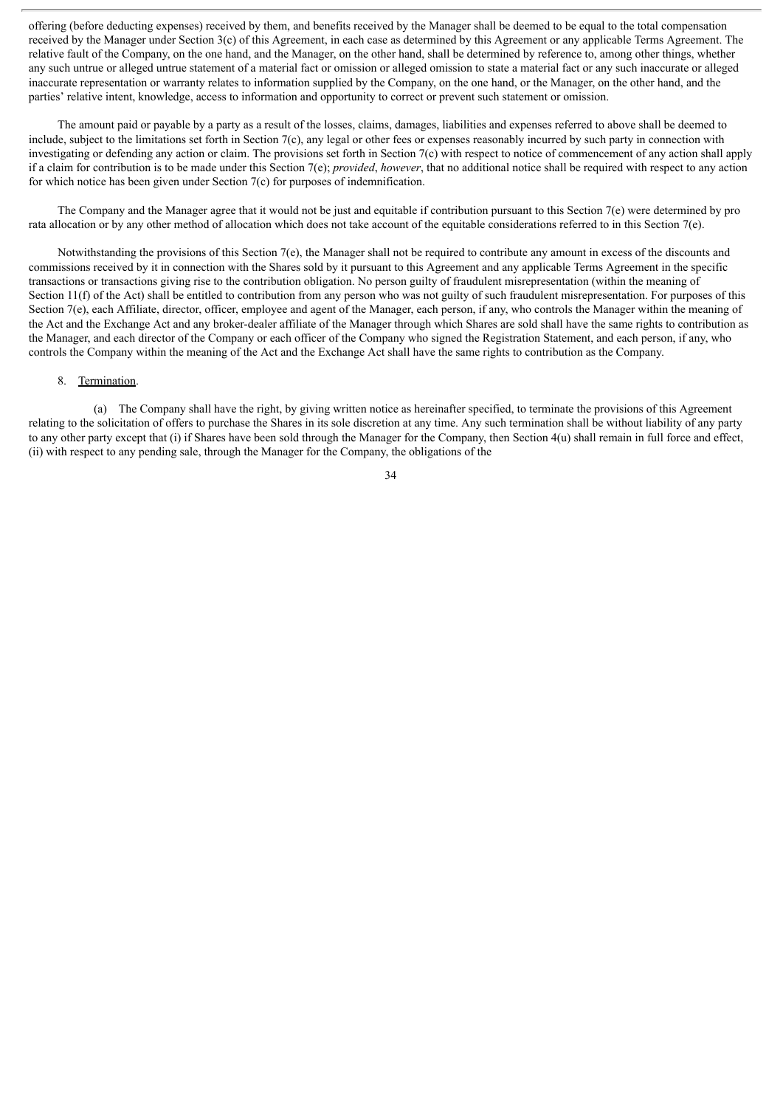offering (before deducting expenses) received by them, and benefits received by the Manager shall be deemed to be equal to the total compensation received by the Manager under Section 3(c) of this Agreement, in each case as determined by this Agreement or any applicable Terms Agreement. The relative fault of the Company, on the one hand, and the Manager, on the other hand, shall be determined by reference to, among other things, whether any such untrue or alleged untrue statement of a material fact or omission or alleged omission to state a material fact or any such inaccurate or alleged inaccurate representation or warranty relates to information supplied by the Company, on the one hand, or the Manager, on the other hand, and the parties' relative intent, knowledge, access to information and opportunity to correct or prevent such statement or omission.

The amount paid or payable by a party as a result of the losses, claims, damages, liabilities and expenses referred to above shall be deemed to include, subject to the limitations set forth in Section 7(c), any legal or other fees or expenses reasonably incurred by such party in connection with investigating or defending any action or claim. The provisions set forth in Section 7(c) with respect to notice of commencement of any action shall apply if a claim for contribution is to be made under this Section 7(e); *provided*, *however*, that no additional notice shall be required with respect to any action for which notice has been given under Section 7(c) for purposes of indemnification.

The Company and the Manager agree that it would not be just and equitable if contribution pursuant to this Section 7(e) were determined by pro rata allocation or by any other method of allocation which does not take account of the equitable considerations referred to in this Section 7(e).

Notwithstanding the provisions of this Section 7(e), the Manager shall not be required to contribute any amount in excess of the discounts and commissions received by it in connection with the Shares sold by it pursuant to this Agreement and any applicable Terms Agreement in the specific transactions or transactions giving rise to the contribution obligation. No person guilty of fraudulent misrepresentation (within the meaning of Section 11(f) of the Act) shall be entitled to contribution from any person who was not guilty of such fraudulent misrepresentation. For purposes of this Section 7(e), each Affiliate, director, officer, employee and agent of the Manager, each person, if any, who controls the Manager within the meaning of the Act and the Exchange Act and any broker-dealer affiliate of the Manager through which Shares are sold shall have the same rights to contribution as the Manager, and each director of the Company or each officer of the Company who signed the Registration Statement, and each person, if any, who controls the Company within the meaning of the Act and the Exchange Act shall have the same rights to contribution as the Company.

# 8. Termination.

(a) The Company shall have the right, by giving written notice as hereinafter specified, to terminate the provisions of this Agreement relating to the solicitation of offers to purchase the Shares in its sole discretion at any time. Any such termination shall be without liability of any party to any other party except that (i) if Shares have been sold through the Manager for the Company, then Section 4(u) shall remain in full force and effect, (ii) with respect to any pending sale, through the Manager for the Company, the obligations of the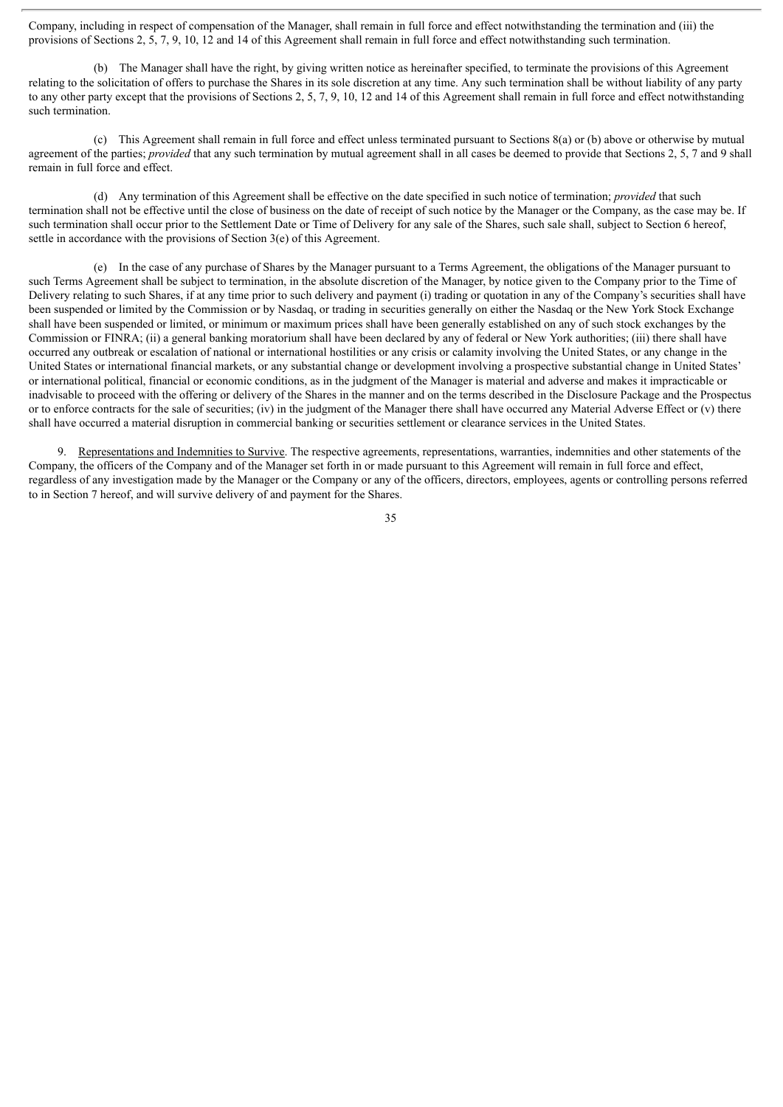Company, including in respect of compensation of the Manager, shall remain in full force and effect notwithstanding the termination and (iii) the provisions of Sections 2, 5, 7, 9, 10, 12 and 14 of this Agreement shall remain in full force and effect notwithstanding such termination.

(b) The Manager shall have the right, by giving written notice as hereinafter specified, to terminate the provisions of this Agreement relating to the solicitation of offers to purchase the Shares in its sole discretion at any time. Any such termination shall be without liability of any party to any other party except that the provisions of Sections 2, 5, 7, 9, 10, 12 and 14 of this Agreement shall remain in full force and effect notwithstanding such termination

(c) This Agreement shall remain in full force and effect unless terminated pursuant to Sections 8(a) or (b) above or otherwise by mutual agreement of the parties; *provided* that any such termination by mutual agreement shall in all cases be deemed to provide that Sections 2, 5, 7 and 9 shall remain in full force and effect.

(d) Any termination of this Agreement shall be effective on the date specified in such notice of termination; *provided* that such termination shall not be effective until the close of business on the date of receipt of such notice by the Manager or the Company, as the case may be. If such termination shall occur prior to the Settlement Date or Time of Delivery for any sale of the Shares, such sale shall, subject to Section 6 hereof, settle in accordance with the provisions of Section 3(e) of this Agreement.

(e) In the case of any purchase of Shares by the Manager pursuant to a Terms Agreement, the obligations of the Manager pursuant to such Terms Agreement shall be subject to termination, in the absolute discretion of the Manager, by notice given to the Company prior to the Time of Delivery relating to such Shares, if at any time prior to such delivery and payment (i) trading or quotation in any of the Company's securities shall have been suspended or limited by the Commission or by Nasdaq, or trading in securities generally on either the Nasdaq or the New York Stock Exchange shall have been suspended or limited, or minimum or maximum prices shall have been generally established on any of such stock exchanges by the Commission or FINRA; (ii) a general banking moratorium shall have been declared by any of federal or New York authorities; (iii) there shall have occurred any outbreak or escalation of national or international hostilities or any crisis or calamity involving the United States, or any change in the United States or international financial markets, or any substantial change or development involving a prospective substantial change in United States' or international political, financial or economic conditions, as in the judgment of the Manager is material and adverse and makes it impracticable or inadvisable to proceed with the offering or delivery of the Shares in the manner and on the terms described in the Disclosure Package and the Prospectus or to enforce contracts for the sale of securities; (iv) in the judgment of the Manager there shall have occurred any Material Adverse Effect or (v) there shall have occurred a material disruption in commercial banking or securities settlement or clearance services in the United States.

9. Representations and Indemnities to Survive. The respective agreements, representations, warranties, indemnities and other statements of the Company, the officers of the Company and of the Manager set forth in or made pursuant to this Agreement will remain in full force and effect, regardless of any investigation made by the Manager or the Company or any of the officers, directors, employees, agents or controlling persons referred to in Section 7 hereof, and will survive delivery of and payment for the Shares.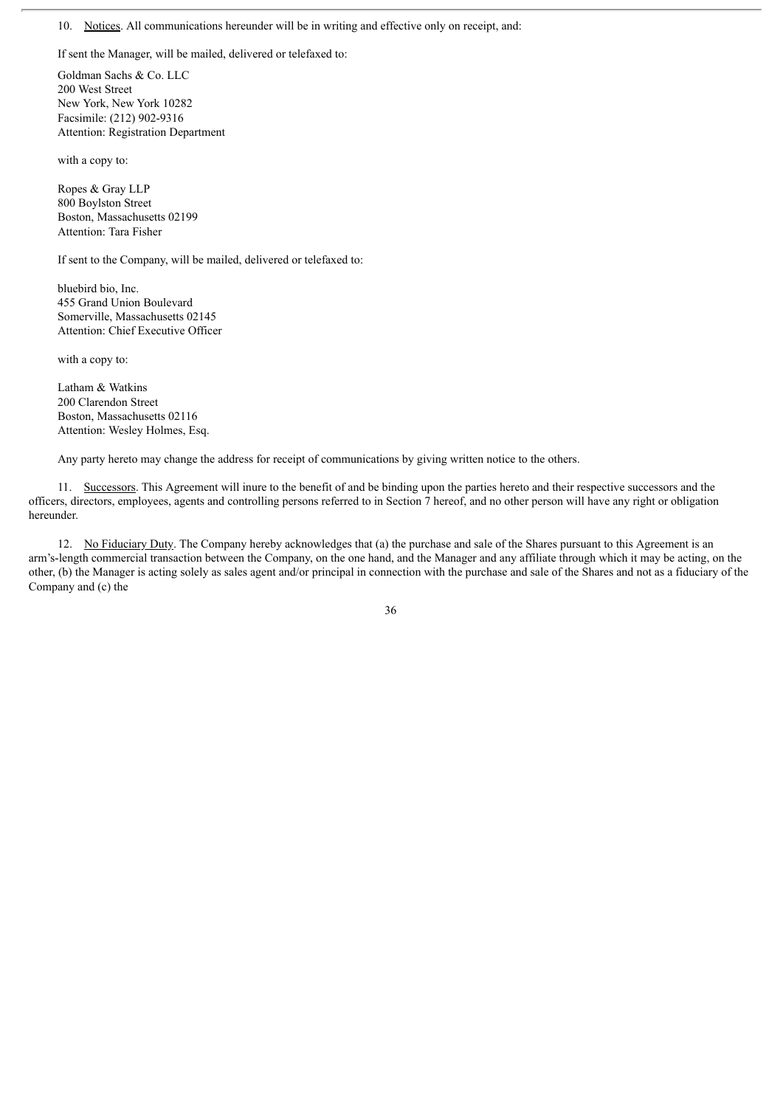10. Notices. All communications hereunder will be in writing and effective only on receipt, and:

If sent the Manager, will be mailed, delivered or telefaxed to:

Goldman Sachs & Co. LLC 200 West Street New York, New York 10282 Facsimile: (212) 902-9316 Attention: Registration Department

with a copy to:

Ropes & Gray LLP 800 Boylston Street Boston, Massachusetts 02199 Attention: Tara Fisher

If sent to the Company, will be mailed, delivered or telefaxed to:

bluebird bio, Inc. 455 Grand Union Boulevard Somerville, Massachusetts 02145 Attention: Chief Executive Officer

with a copy to:

Latham & Watkins 200 Clarendon Street Boston, Massachusetts 02116 Attention: Wesley Holmes, Esq.

Any party hereto may change the address for receipt of communications by giving written notice to the others.

11. Successors. This Agreement will inure to the benefit of and be binding upon the parties hereto and their respective successors and the officers, directors, employees, agents and controlling persons referred to in Section 7 hereof, and no other person will have any right or obligation hereunder.

12. No Fiduciary Duty. The Company hereby acknowledges that (a) the purchase and sale of the Shares pursuant to this Agreement is an arm's-length commercial transaction between the Company, on the one hand, and the Manager and any affiliate through which it may be acting, on the other, (b) the Manager is acting solely as sales agent and/or principal in connection with the purchase and sale of the Shares and not as a fiduciary of the Company and (c) the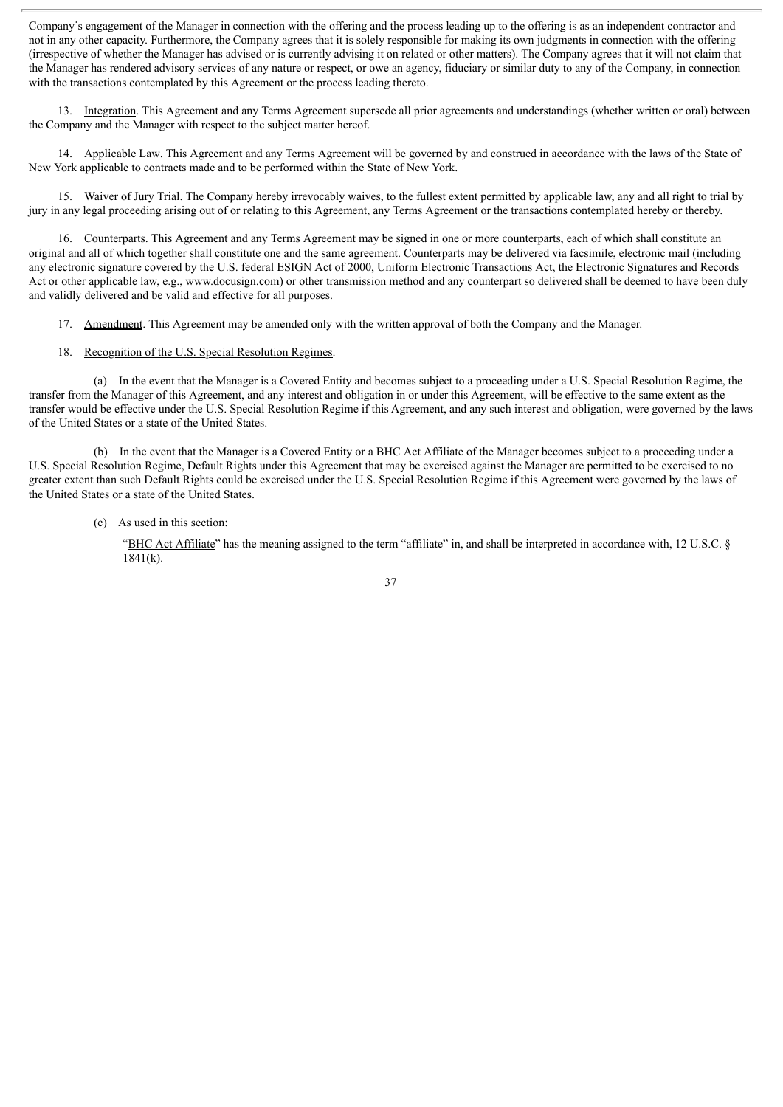Company's engagement of the Manager in connection with the offering and the process leading up to the offering is as an independent contractor and not in any other capacity. Furthermore, the Company agrees that it is solely responsible for making its own judgments in connection with the offering (irrespective of whether the Manager has advised or is currently advising it on related or other matters). The Company agrees that it will not claim that the Manager has rendered advisory services of any nature or respect, or owe an agency, fiduciary or similar duty to any of the Company, in connection with the transactions contemplated by this Agreement or the process leading thereto.

13. Integration. This Agreement and any Terms Agreement supersede all prior agreements and understandings (whether written or oral) between the Company and the Manager with respect to the subject matter hereof.

14. Applicable Law. This Agreement and any Terms Agreement will be governed by and construed in accordance with the laws of the State of New York applicable to contracts made and to be performed within the State of New York.

15. Waiver of Jury Trial. The Company hereby irrevocably waives, to the fullest extent permitted by applicable law, any and all right to trial by jury in any legal proceeding arising out of or relating to this Agreement, any Terms Agreement or the transactions contemplated hereby or thereby.

16. Counterparts. This Agreement and any Terms Agreement may be signed in one or more counterparts, each of which shall constitute an original and all of which together shall constitute one and the same agreement. Counterparts may be delivered via facsimile, electronic mail (including any electronic signature covered by the U.S. federal ESIGN Act of 2000, Uniform Electronic Transactions Act, the Electronic Signatures and Records Act or other applicable law, e.g., www.docusign.com) or other transmission method and any counterpart so delivered shall be deemed to have been duly and validly delivered and be valid and effective for all purposes.

- 17. Amendment. This Agreement may be amended only with the written approval of both the Company and the Manager.
- 18. Recognition of the U.S. Special Resolution Regimes.

(a) In the event that the Manager is a Covered Entity and becomes subject to a proceeding under a U.S. Special Resolution Regime, the transfer from the Manager of this Agreement, and any interest and obligation in or under this Agreement, will be effective to the same extent as the transfer would be effective under the U.S. Special Resolution Regime if this Agreement, and any such interest and obligation, were governed by the laws of the United States or a state of the United States.

(b) In the event that the Manager is a Covered Entity or a BHC Act Affiliate of the Manager becomes subject to a proceeding under a U.S. Special Resolution Regime, Default Rights under this Agreement that may be exercised against the Manager are permitted to be exercised to no greater extent than such Default Rights could be exercised under the U.S. Special Resolution Regime if this Agreement were governed by the laws of the United States or a state of the United States.

(c) As used in this section:

"BHC Act Affiliate" has the meaning assigned to the term "affiliate" in, and shall be interpreted in accordance with, 12 U.S.C. § 1841(k).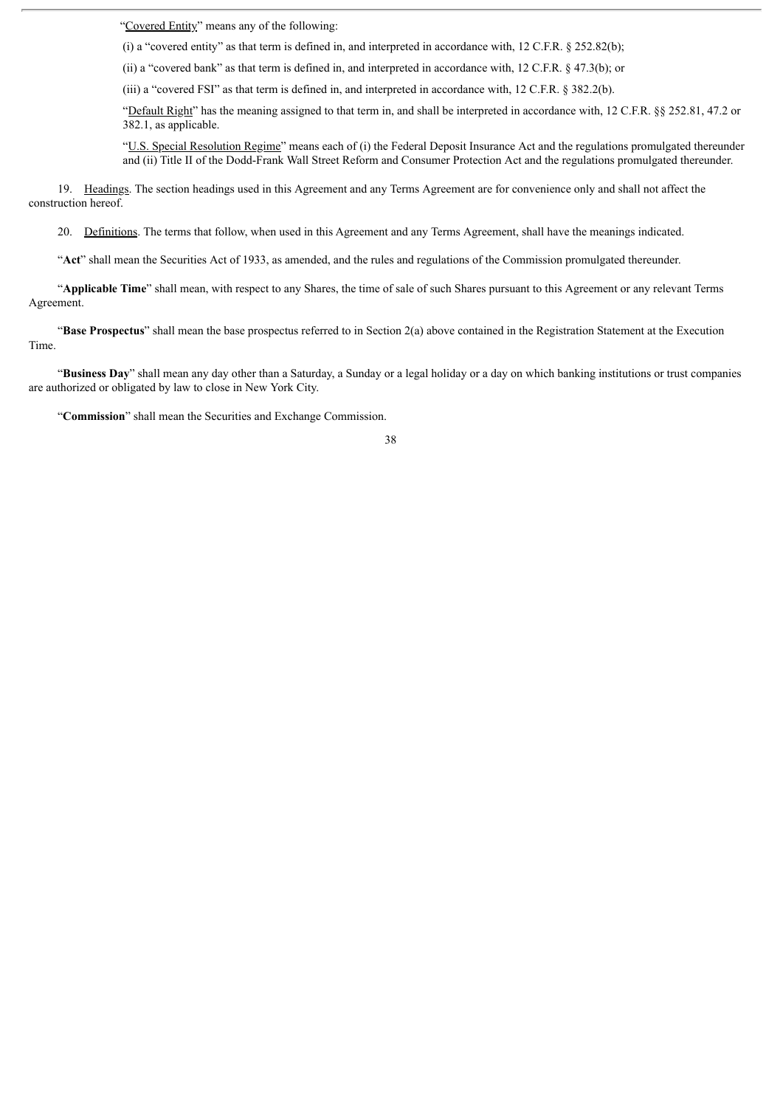"Covered Entity" means any of the following:

(i) a "covered entity" as that term is defined in, and interpreted in accordance with, 12 C.F.R. § 252.82(b);

(ii) a "covered bank" as that term is defined in, and interpreted in accordance with, 12 C.F.R. § 47.3(b); or

(iii) a "covered FSI" as that term is defined in, and interpreted in accordance with, 12 C.F.R. § 382.2(b).

"Default Right" has the meaning assigned to that term in, and shall be interpreted in accordance with, 12 C.F.R. §§ 252.81, 47.2 or 382.1, as applicable.

"U.S. Special Resolution Regime" means each of (i) the Federal Deposit Insurance Act and the regulations promulgated thereunder and (ii) Title II of the Dodd-Frank Wall Street Reform and Consumer Protection Act and the regulations promulgated thereunder.

19. Headings. The section headings used in this Agreement and any Terms Agreement are for convenience only and shall not affect the construction hereof.

20. Definitions. The terms that follow, when used in this Agreement and any Terms Agreement, shall have the meanings indicated.

"**Act**" shall mean the Securities Act of 1933, as amended, and the rules and regulations of the Commission promulgated thereunder.

"**Applicable Time**" shall mean, with respect to any Shares, the time of sale of such Shares pursuant to this Agreement or any relevant Terms Agreement.

"**Base Prospectus**" shall mean the base prospectus referred to in Section 2(a) above contained in the Registration Statement at the Execution Time.

"**Business Day**" shall mean any day other than a Saturday, a Sunday or a legal holiday or a day on which banking institutions or trust companies are authorized or obligated by law to close in New York City.

"**Commission**" shall mean the Securities and Exchange Commission.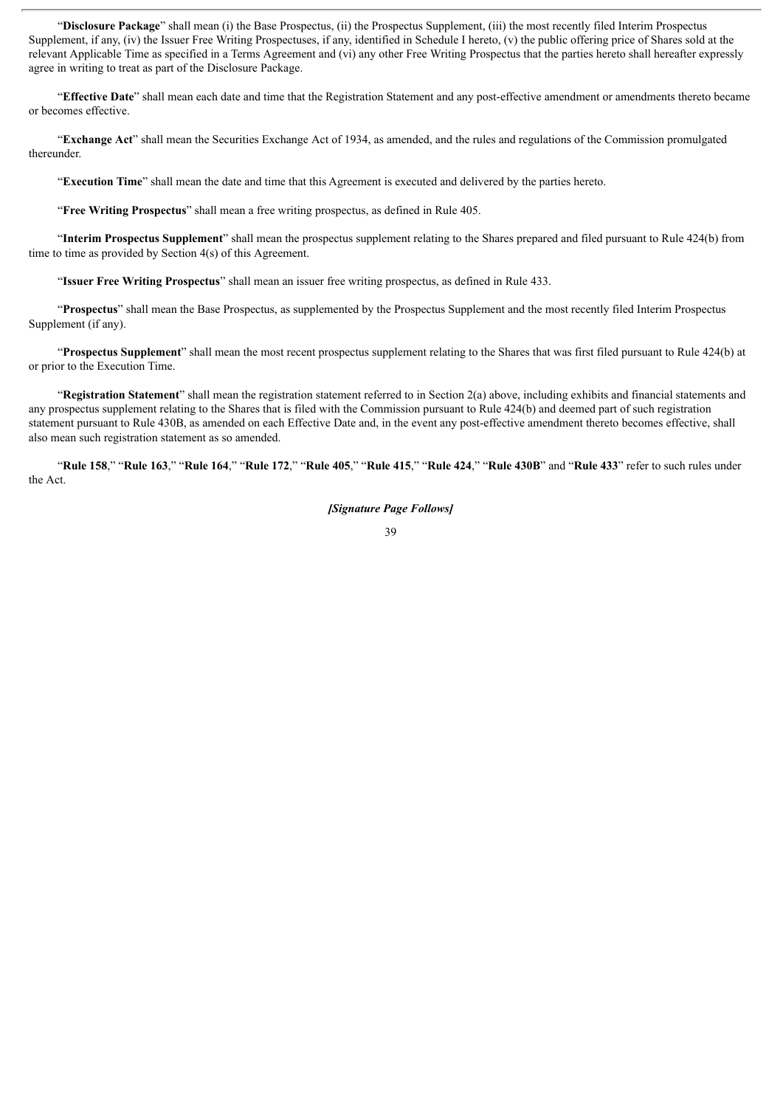"**Disclosure Package**" shall mean (i) the Base Prospectus, (ii) the Prospectus Supplement, (iii) the most recently filed Interim Prospectus Supplement, if any, (iv) the Issuer Free Writing Prospectuses, if any, identified in Schedule I hereto, (v) the public offering price of Shares sold at the relevant Applicable Time as specified in a Terms Agreement and (vi) any other Free Writing Prospectus that the parties hereto shall hereafter expressly agree in writing to treat as part of the Disclosure Package.

"**Effective Date**" shall mean each date and time that the Registration Statement and any post-effective amendment or amendments thereto became or becomes effective.

"**Exchange Act**" shall mean the Securities Exchange Act of 1934, as amended, and the rules and regulations of the Commission promulgated thereunder.

"**Execution Time**" shall mean the date and time that this Agreement is executed and delivered by the parties hereto.

"**Free Writing Prospectus**" shall mean a free writing prospectus, as defined in Rule 405.

"**Interim Prospectus Supplement**" shall mean the prospectus supplement relating to the Shares prepared and filed pursuant to Rule 424(b) from time to time as provided by Section 4(s) of this Agreement.

"**Issuer Free Writing Prospectus**" shall mean an issuer free writing prospectus, as defined in Rule 433.

"**Prospectus**" shall mean the Base Prospectus, as supplemented by the Prospectus Supplement and the most recently filed Interim Prospectus Supplement (if any).

"**Prospectus Supplement**" shall mean the most recent prospectus supplement relating to the Shares that was first filed pursuant to Rule 424(b) at or prior to the Execution Time.

"**Registration Statement**" shall mean the registration statement referred to in Section 2(a) above, including exhibits and financial statements and any prospectus supplement relating to the Shares that is filed with the Commission pursuant to Rule 424(b) and deemed part of such registration statement pursuant to Rule 430B, as amended on each Effective Date and, in the event any post-effective amendment thereto becomes effective, shall also mean such registration statement as so amended.

"Rule 158," "Rule 163," "Rule 164," "Rule 172," "Rule 405," "Rule 415," "Rule 424," "Rule 430B" and "Rule 433" refer to such rules under the Act.

*[Signature Page Follows]*

<sup>39</sup>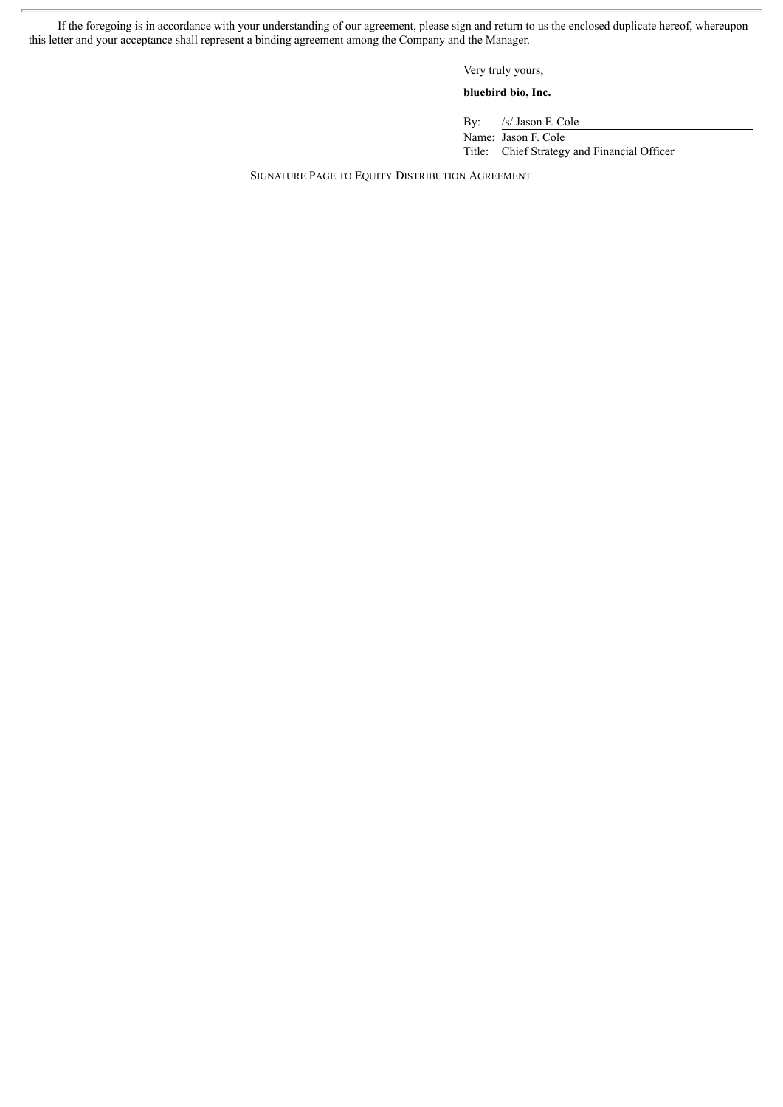If the foregoing is in accordance with your understanding of our agreement, please sign and return to us the enclosed duplicate hereof, whereupon this letter and your acceptance shall represent a binding agreement among the Company and the Manager.

Very truly yours,

# **bluebird bio, Inc.**

By: /s/ Jason F. Cole Name: Jason F. Cole Title: Chief Strategy and Financial Officer

SIGNATURE PAGE TO EQUITY DISTRIBUTION AGREEMENT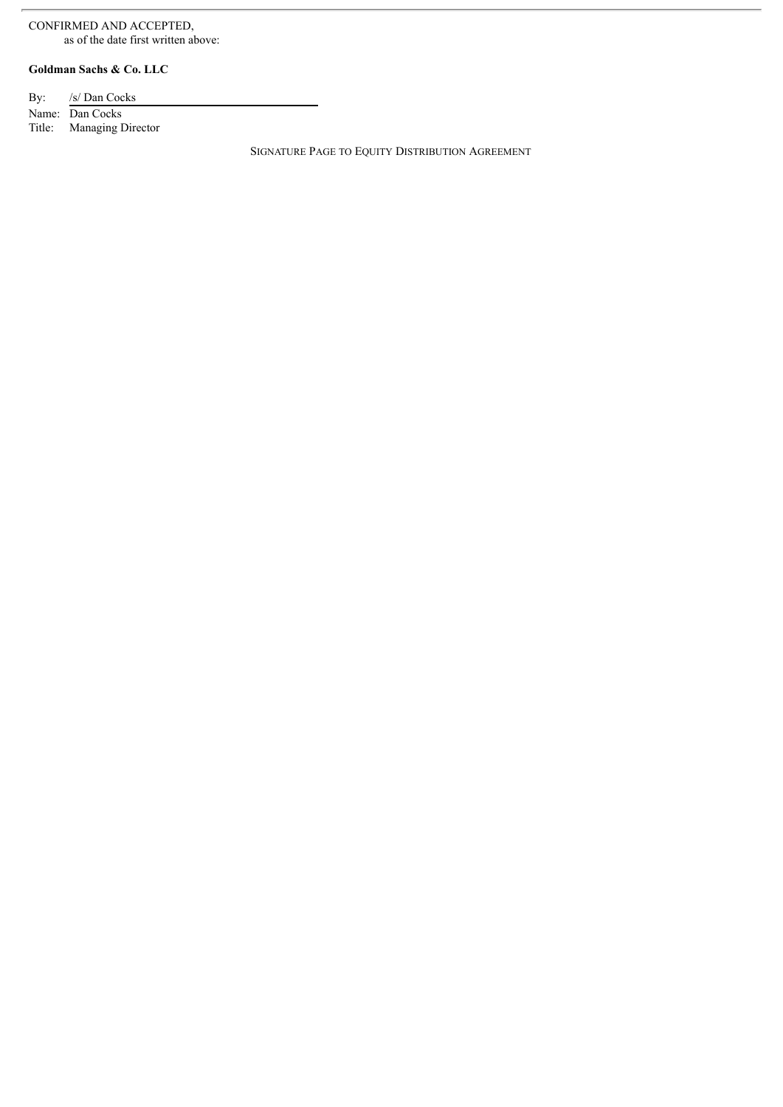# CONFIRMED AND ACCEPTED, as of the date first written above:

# **Goldman Sachs & Co. LLC**

| By: /s/ Dan Cocks        |
|--------------------------|
| Name: Dan Cocks          |
| Title: Managing Director |

SIGNATURE PAGE TO EQUITY DISTRIBUTION AGREEMENT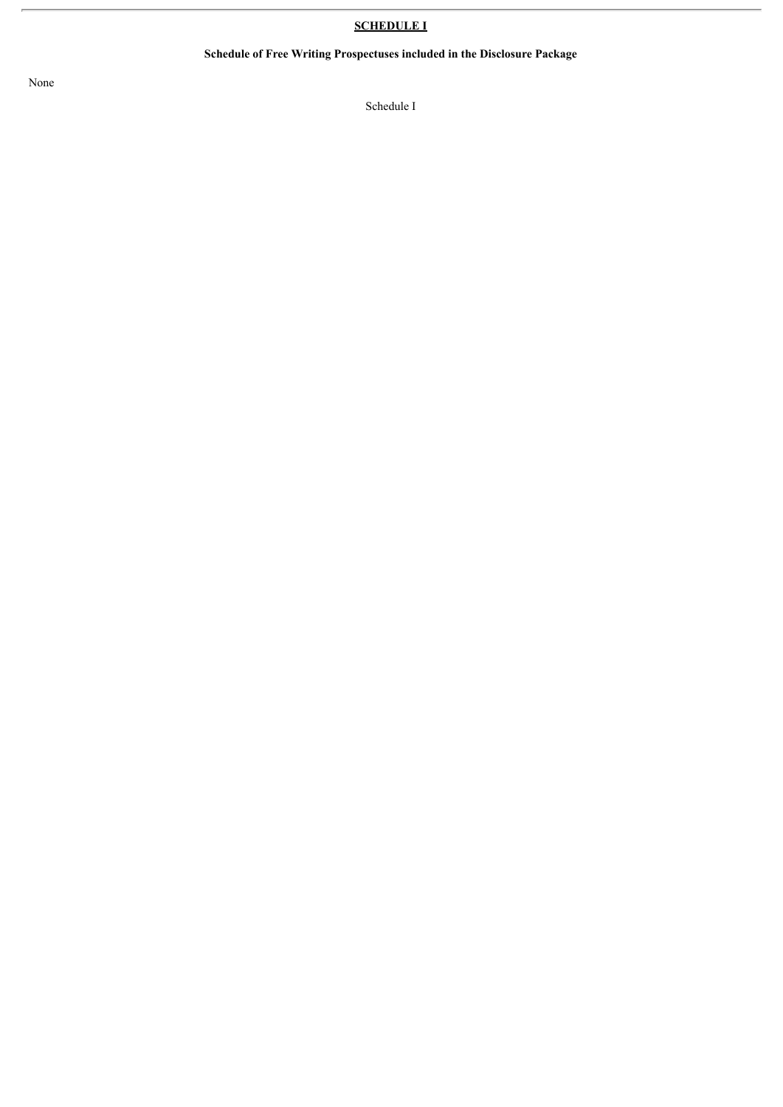# **SCHEDULE I**

# **Schedule of Free Writing Prospectuses included in the Disclosure Package**

None

Schedule I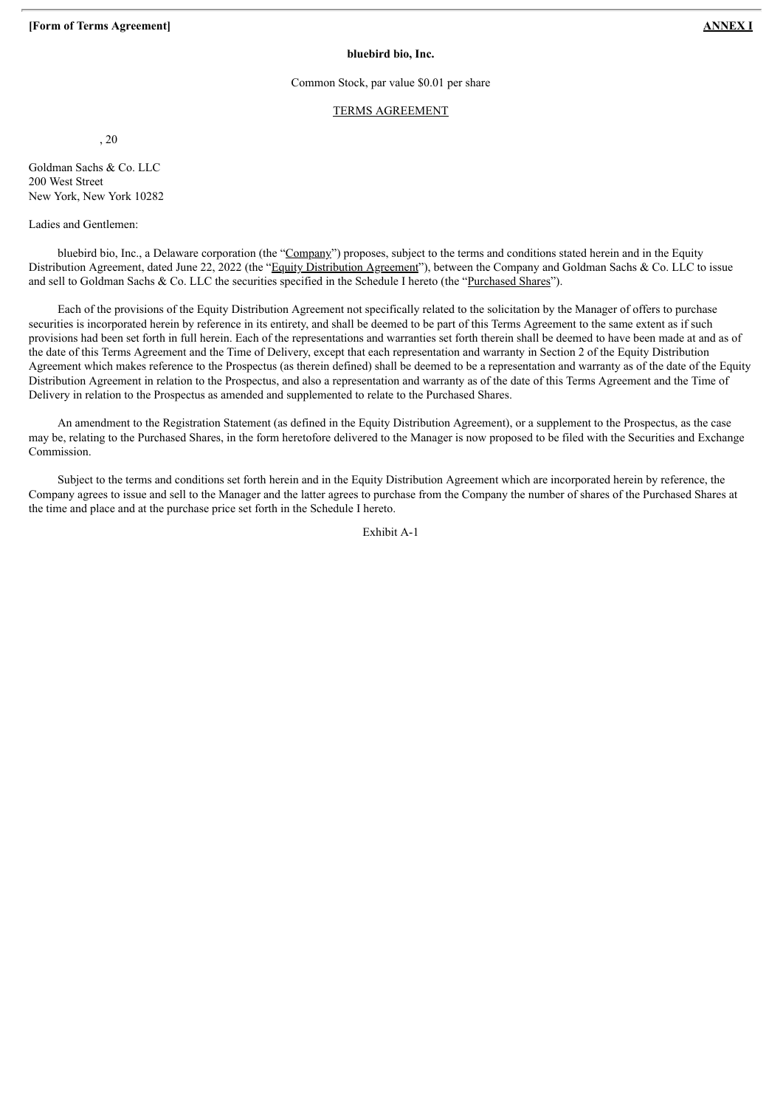## **bluebird bio, Inc.**

## Common Stock, par value \$0.01 per share

## TERMS AGREEMENT

, 20

Goldman Sachs & Co. LLC 200 West Street New York, New York 10282

Ladies and Gentlemen:

bluebird bio, Inc., a Delaware corporation (the "Company") proposes, subject to the terms and conditions stated herein and in the Equity Distribution Agreement, dated June 22, 2022 (the "Equity Distribution Agreement"), between the Company and Goldman Sachs & Co. LLC to issue and sell to Goldman Sachs & Co. LLC the securities specified in the Schedule I hereto (the "Purchased Shares").

Each of the provisions of the Equity Distribution Agreement not specifically related to the solicitation by the Manager of offers to purchase securities is incorporated herein by reference in its entirety, and shall be deemed to be part of this Terms Agreement to the same extent as if such provisions had been set forth in full herein. Each of the representations and warranties set forth therein shall be deemed to have been made at and as of the date of this Terms Agreement and the Time of Delivery, except that each representation and warranty in Section 2 of the Equity Distribution Agreement which makes reference to the Prospectus (as therein defined) shall be deemed to be a representation and warranty as of the date of the Equity Distribution Agreement in relation to the Prospectus, and also a representation and warranty as of the date of this Terms Agreement and the Time of Delivery in relation to the Prospectus as amended and supplemented to relate to the Purchased Shares.

An amendment to the Registration Statement (as defined in the Equity Distribution Agreement), or a supplement to the Prospectus, as the case may be, relating to the Purchased Shares, in the form heretofore delivered to the Manager is now proposed to be filed with the Securities and Exchange Commission.

Subject to the terms and conditions set forth herein and in the Equity Distribution Agreement which are incorporated herein by reference, the Company agrees to issue and sell to the Manager and the latter agrees to purchase from the Company the number of shares of the Purchased Shares at the time and place and at the purchase price set forth in the Schedule I hereto.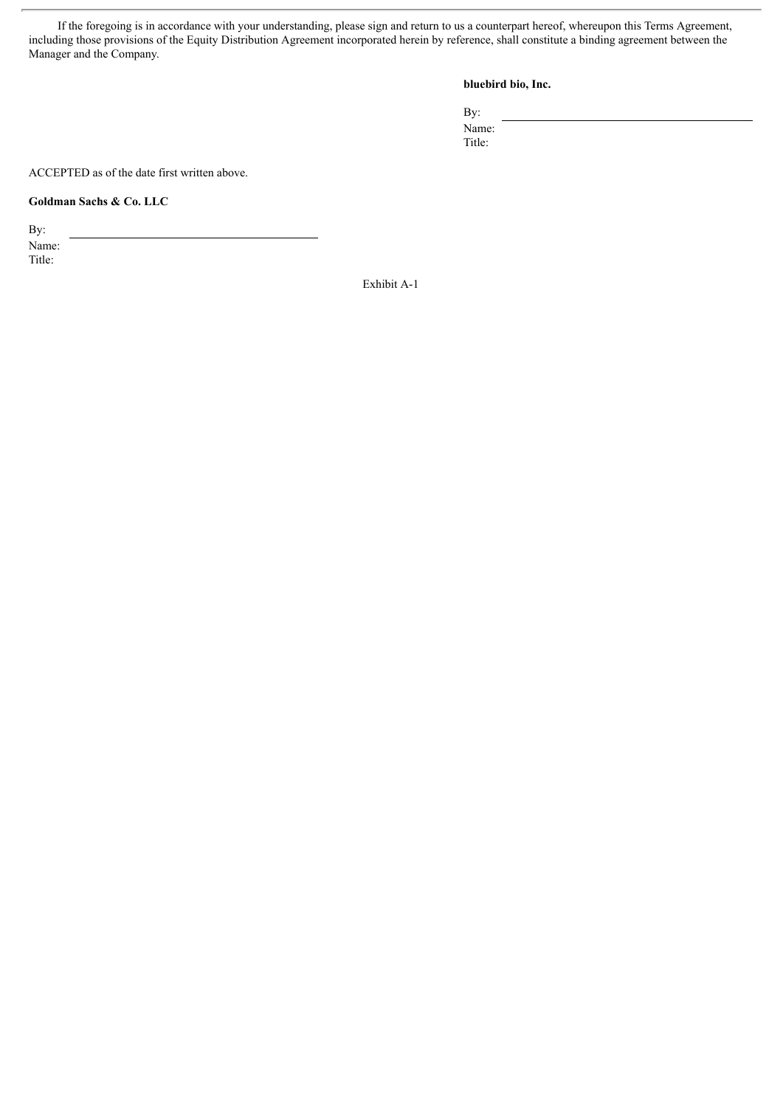If the foregoing is in accordance with your understanding, please sign and return to us a counterpart hereof, whereupon this Terms Agreement, including those provisions of the Equity Distribution Agreement incorporated herein by reference, shall constitute a binding agreement between the Manager and the Company.

# **bluebird bio, Inc.**

By: Name:

Title:

ACCEPTED as of the date first written above.

# **Goldman Sachs & Co. LLC**

By: Name:

Title: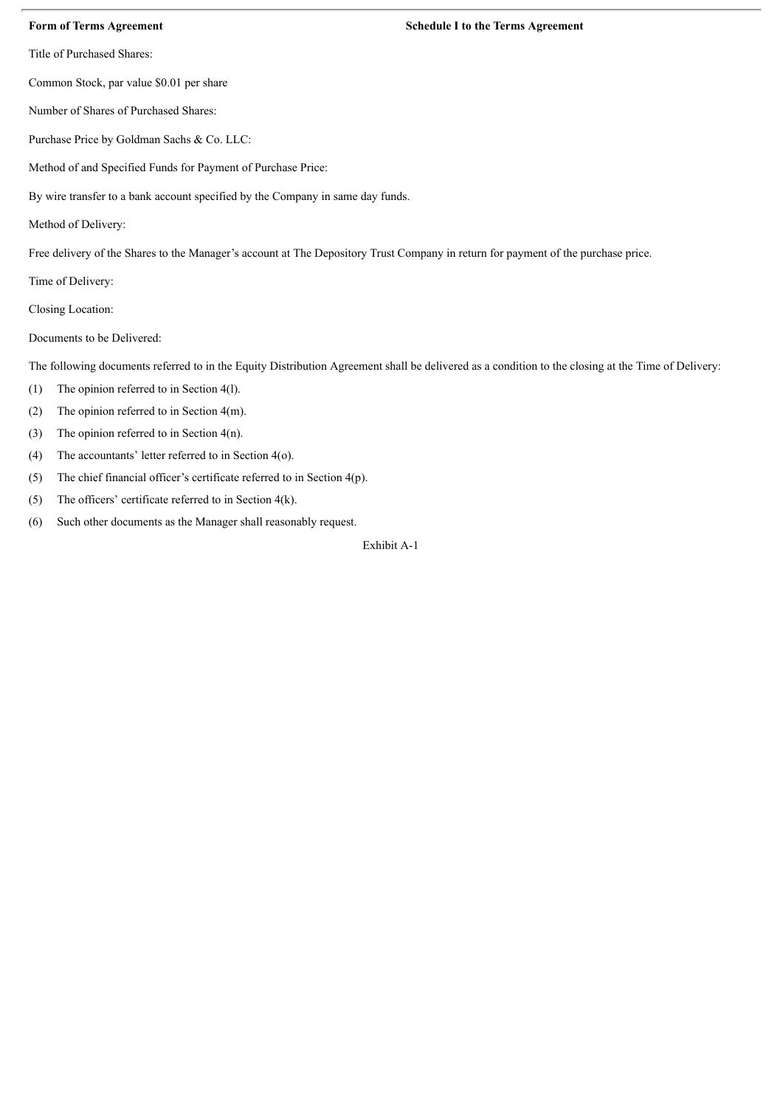Title of Purchased Shares:

Common Stock, par value \$0.01 per share

Number of Shares of Purchased Shares:

Purchase Price by Goldman Sachs & Co. LLC:

Method of and Specified Funds for Payment of Purchase Price:

By wire transfer to a bank account specified by the Company in same day funds.

Method of Delivery:

Free delivery of the Shares to the Manager's account at The Depository Trust Company in return for payment of the purchase price.

Time of Delivery:

Closing Location:

Documents to be Delivered:

The following documents referred to in the Equity Distribution Agreement shall be delivered as a condition to the closing at the Time of Delivery:

- (1) The opinion referred to in Section 4(l).
- (2) The opinion referred to in Section 4(m).
- (3) The opinion referred to in Section  $4(n)$ .
- (4) The accountants' letter referred to in Section 4(o).
- (5) The chief financial officer's certificate referred to in Section 4(p).
- (5) The officers' certificate referred to in Section  $4(k)$ .
- (6) Such other documents as the Manager shall reasonably request.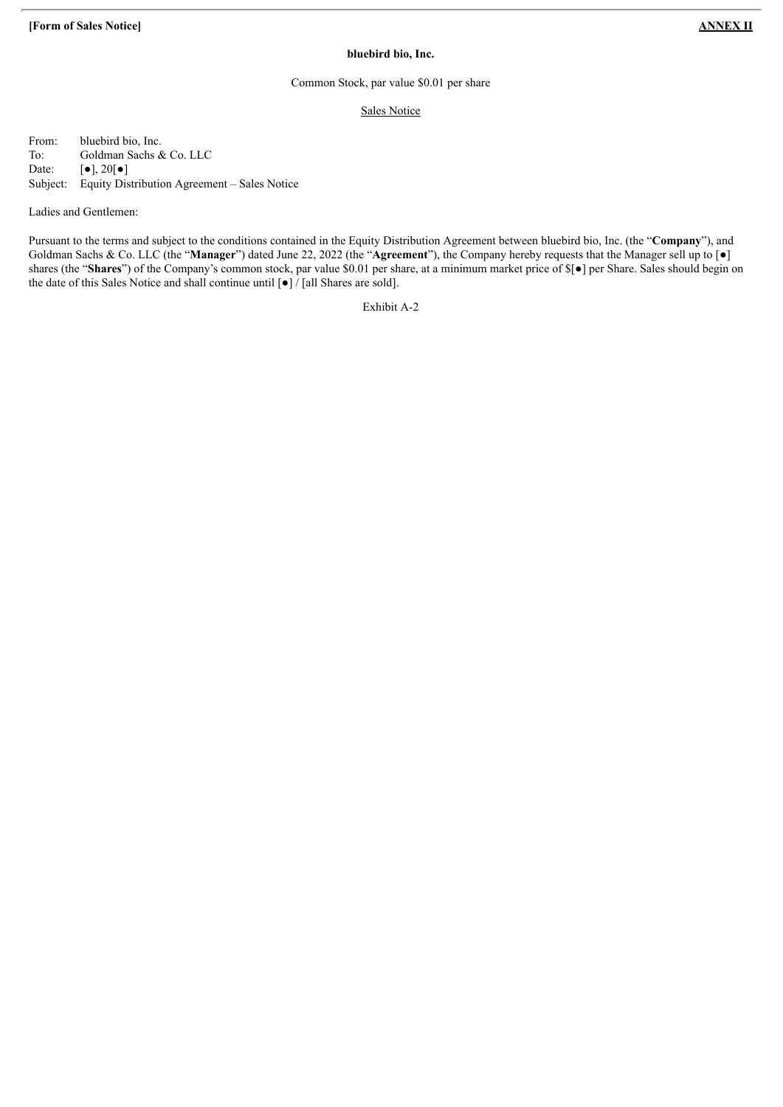# **bluebird bio, Inc.**

# Common Stock, par value \$0.01 per share

# Sales Notice

From: bluebird bio, Inc. To: Goldman Sachs & Co. LLC Date:  $\lbrack \bullet \rbrack, 20 \rbrack \bullet \rbrack$ Subject: Equity Distribution Agreement – Sales Notice

Ladies and Gentlemen:

Pursuant to the terms and subject to the conditions contained in the Equity Distribution Agreement between bluebird bio, Inc. (the "**Company**"), and Goldman Sachs & Co. LLC (the "**Manager**") dated June 22, 2022 (the "**Agreement**"), the Company hereby requests that the Manager sell up to [●] shares (the "**Shares**") of the Company's common stock, par value \$0.01 per share, at a minimum market price of \$[●] per Share. Sales should begin on the date of this Sales Notice and shall continue until  $\lceil \bullet \rceil$  / [all Shares are sold].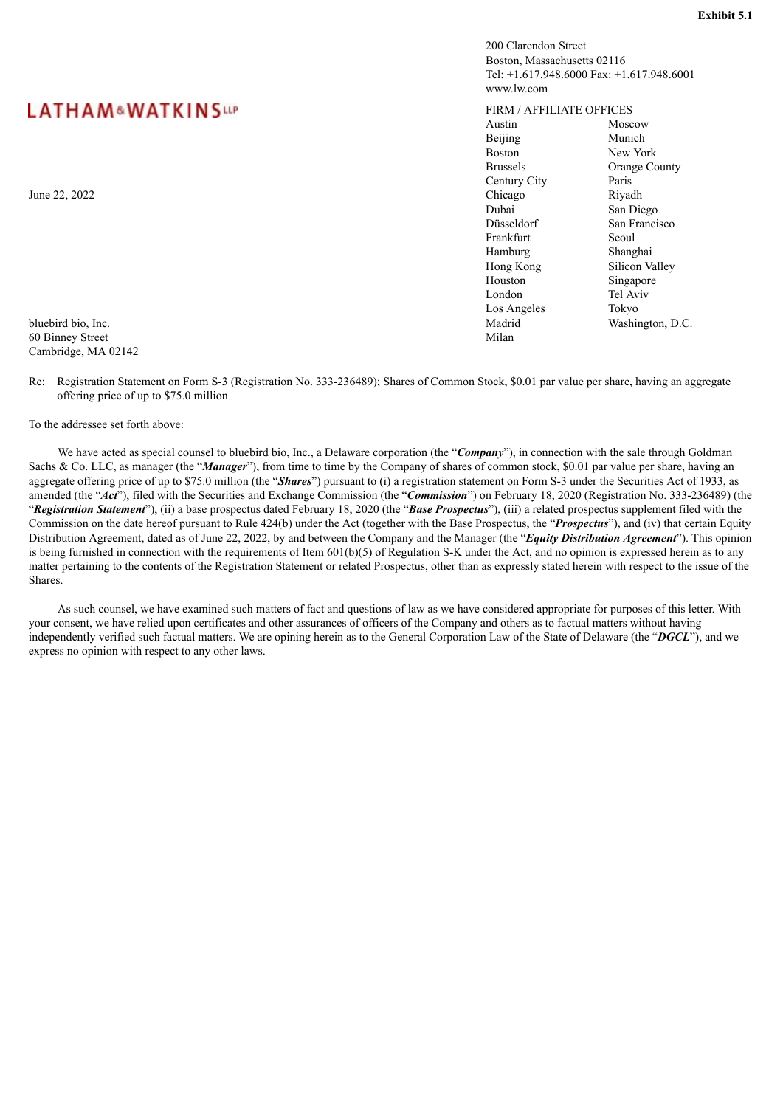# <span id="page-49-0"></span>**LATHAM&WATKINSUP**

60 Binney Street Cambridge, MA 02142

Re: Registration Statement on Form S-3 (Registration No. 333-236489); Shares of Common Stock, \$0.01 par value per share, having an aggregate offering price of up to \$75.0 million

To the addressee set forth above:

We have acted as special counsel to bluebird bio, Inc., a Delaware corporation (the "**Company**"), in connection with the sale through Goldman Sachs & Co. LLC, as manager (the "*Manager*"), from time to time by the Company of shares of common stock, \$0.01 par value per share, having an aggregate offering price of up to \$75.0 million (the "*Shares*") pursuant to (i) a registration statement on Form S-3 under the Securities Act of 1933, as amended (the "*Act*"), filed with the Securities and Exchange Commission (the "*Commission*") on February 18, 2020 (Registration No. 333-236489) (the "*Registration Statement*"), (ii) a base prospectus dated February 18, 2020 (the "*Base Prospectus*"), (iii) a related prospectus supplement filed with the Commission on the date hereof pursuant to Rule 424(b) under the Act (together with the Base Prospectus, the "*Prospectus*"), and (iv) that certain Equity Distribution Agreement, dated as of June 22, 2022, by and between the Company and the Manager (the "*Equity Distribution Agreement*"). This opinion is being furnished in connection with the requirements of Item 601(b)(5) of Regulation S-K under the Act, and no opinion is expressed herein as to any matter pertaining to the contents of the Registration Statement or related Prospectus, other than as expressly stated herein with respect to the issue of the Shares.

As such counsel, we have examined such matters of fact and questions of law as we have considered appropriate for purposes of this letter. With your consent, we have relied upon certificates and other assurances of officers of the Company and others as to factual matters without having independently verified such factual matters. We are opining herein as to the General Corporation Law of the State of Delaware (the "*DGCL*"), and we express no opinion with respect to any other laws.



200 Clarendon Street Boston, Massachusetts 02116

FIRM / AFFILIATE OFFICES

www.lw.com

Tel: +1.617.948.6000 Fax: +1.617.948.6001

San Francisco<br>Seoul

Silicon Valley